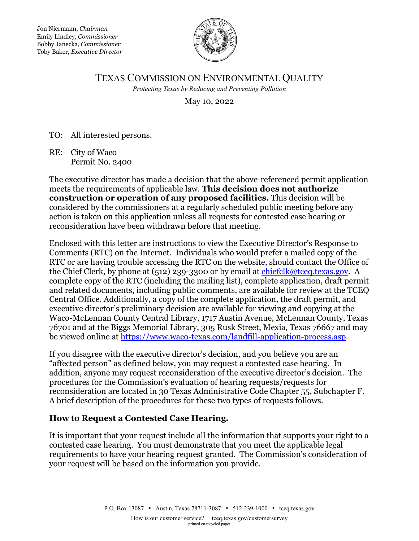Jon Niermann, *Chairman* Emily Lindley, *Commissioner* Bobby Janecka, *Commissioner* Toby Baker, *Executive Director*



# TEXAS COMMISSION ON ENVIRONMENTAL QUALITY *Protecting Texas by Reducing and Preventing Pollution*

May 10, 2022

TO: All interested persons.

RE: City of Waco Permit No. 2400

The executive director has made a decision that the above-referenced permit application meets the requirements of applicable law. **This decision does not authorize construction or operation of any proposed facilities.** This decision will be considered by the commissioners at a regularly scheduled public meeting before any action is taken on this application unless all requests for contested case hearing or reconsideration have been withdrawn before that meeting.

Enclosed with this letter are instructions to view the Executive Director's Response to Comments (RTC) on the Internet. Individuals who would prefer a mailed copy of the RTC or are having trouble accessing the RTC on the website, should contact the Office of the Chief Clerk, by phone at (512) 239-3300 or by email at [chiefclk@tceq.texas.gov.](mailto:chiefclk@tceq.texas.gov) A complete copy of the RTC (including the mailing list), complete application, draft permit and related documents, including public comments, are available for review at the TCEQ Central Office. Additionally, a copy of the complete application, the draft permit, and executive director's preliminary decision are available for viewing and copying at the Waco-McLennan County Central Library, 1717 Austin Avenue, McLennan County, Texas 76701 and at the Biggs Memorial Library, 305 Rusk Street, Mexia, Texas 76667 and may be viewed online at [https://www.waco-texas.com/landfill-application-process.asp.](https://www.waco-texas.com/landfill-application-process.asp)

If you disagree with the executive director's decision, and you believe you are an "affected person" as defined below, you may request a contested case hearing. In addition, anyone may request reconsideration of the executive director's decision. The procedures for the Commission's evaluation of hearing requests/requests for reconsideration are located in 30 Texas Administrative Code Chapter 55, Subchapter F. A brief description of the procedures for these two types of requests follows.

# **How to Request a Contested Case Hearing.**

It is important that your request include all the information that supports your right to a contested case hearing. You must demonstrate that you meet the applicable legal requirements to have your hearing request granted. The Commission's consideration of your request will be based on the information you provide.

P.O. Box 13087 • Austin, Texas 78711-3087 • 512-239-1000 • [tceq.texas.gov](http://www.tceq.state.tx.us/)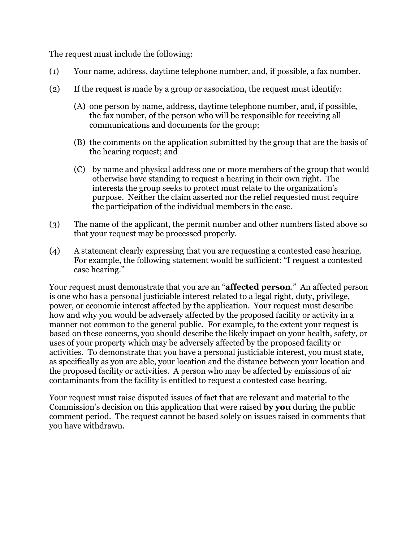The request must include the following:

- (1) Your name, address, daytime telephone number, and, if possible, a fax number.
- (2) If the request is made by a group or association, the request must identify:
	- (A) one person by name, address, daytime telephone number, and, if possible, the fax number, of the person who will be responsible for receiving all communications and documents for the group;
	- (B) the comments on the application submitted by the group that are the basis of the hearing request; and
	- (C) by name and physical address one or more members of the group that would otherwise have standing to request a hearing in their own right. The interests the group seeks to protect must relate to the organization's purpose. Neither the claim asserted nor the relief requested must require the participation of the individual members in the case.
- (3) The name of the applicant, the permit number and other numbers listed above so that your request may be processed properly.
- (4) A statement clearly expressing that you are requesting a contested case hearing. For example, the following statement would be sufficient: "I request a contested case hearing."

Your request must demonstrate that you are an "**affected person**." An affected person is one who has a personal justiciable interest related to a legal right, duty, privilege, power, or economic interest affected by the application. Your request must describe how and why you would be adversely affected by the proposed facility or activity in a manner not common to the general public. For example, to the extent your request is based on these concerns, you should describe the likely impact on your health, safety, or uses of your property which may be adversely affected by the proposed facility or activities. To demonstrate that you have a personal justiciable interest, you must state, as specifically as you are able, your location and the distance between your location and the proposed facility or activities. A person who may be affected by emissions of air contaminants from the facility is entitled to request a contested case hearing.

Your request must raise disputed issues of fact that are relevant and material to the Commission's decision on this application that were raised **by you** during the public comment period. The request cannot be based solely on issues raised in comments that you have withdrawn.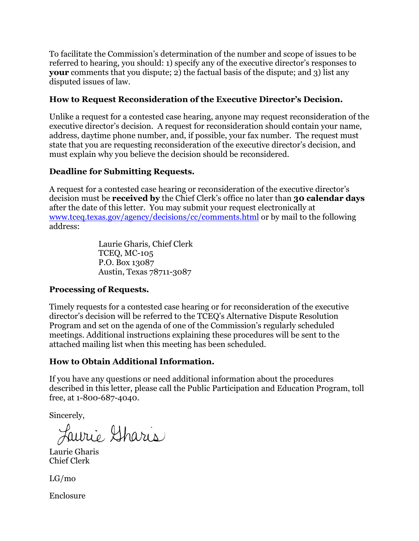To facilitate the Commission's determination of the number and scope of issues to be referred to hearing, you should: 1) specify any of the executive director's responses to **your** comments that you dispute; 2) the factual basis of the dispute; and 3) list any disputed issues of law.

# **How to Request Reconsideration of the Executive Director's Decision.**

Unlike a request for a contested case hearing, anyone may request reconsideration of the executive director's decision. A request for reconsideration should contain your name, address, daytime phone number, and, if possible, your fax number. The request must state that you are requesting reconsideration of the executive director's decision, and must explain why you believe the decision should be reconsidered.

# **Deadline for Submitting Requests.**

A request for a contested case hearing or reconsideration of the executive director's decision must be **received by** the Chief Clerk's office no later than **30 calendar days** after the date of this letter. You may submit your request electronically at [www.tceq.texas.gov/agency/decisions/cc/comments.html](https://www.tceq.texas.gov/agency/decisions/cc/comments.html) or by mail to the following address:

> Laurie Gharis, Chief Clerk TCEQ, MC-105 P.O. Box 13087 Austin, Texas 78711-3087

# **Processing of Requests.**

Timely requests for a contested case hearing or for reconsideration of the executive director's decision will be referred to the TCEQ's Alternative Dispute Resolution Program and set on the agenda of one of the Commission's regularly scheduled meetings. Additional instructions explaining these procedures will be sent to the attached mailing list when this meeting has been scheduled.

# **How to Obtain Additional Information.**

If you have any questions or need additional information about the procedures described in this letter, please call the Public Participation and Education Program, toll free, at 1-800-687-4040.

Sincerely,

Laurie Sharis

Laurie Gharis Chief Clerk

LG/mo

Enclosure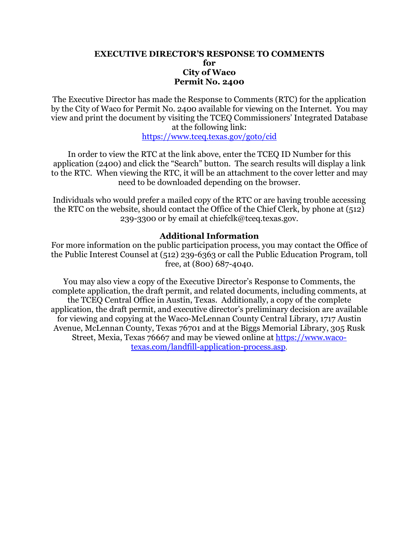#### **EXECUTIVE DIRECTOR'S RESPONSE TO COMMENTS for City of Waco Permit No. 2400**

The Executive Director has made the Response to Comments (RTC) for the application by the City of Waco for Permit No. 2400 available for viewing on the Internet. You may view and print the document by visiting the TCEQ Commissioners' Integrated Database at the following link:

<https://www.tceq.texas.gov/goto/cid>

In order to view the RTC at the link above, enter the TCEQ ID Number for this application (2400) and click the "Search" button. The search results will display a link to the RTC. When viewing the RTC, it will be an attachment to the cover letter and may need to be downloaded depending on the browser.

Individuals who would prefer a mailed copy of the RTC or are having trouble accessing the RTC on the website, should contact the Office of the Chief Clerk, by phone at (512) 239-3300 or by email at chiefclk@tceq.texas.gov.

### **Additional Information**

For more information on the public participation process, you may contact the Office of the Public Interest Counsel at (512) 239-6363 or call the Public Education Program, toll free, at (800) 687-4040.

You may also view a copy of the Executive Director's Response to Comments, the complete application, the draft permit, and related documents, including comments, at the TCEQ Central Office in Austin, Texas. Additionally, a copy of the complete application, the draft permit, and executive director's preliminary decision are available for viewing and copying at the Waco-McLennan County Central Library, 1717 Austin Avenue, McLennan County, Texas 76701 and at the Biggs Memorial Library, 305 Rusk Street, Mexia, Texas 76667 and may be viewed online at [https://www.waco](https://www.waco-texas.com/landfill-application-process.asp)[texas.com/landfill-application-process.asp](https://www.waco-texas.com/landfill-application-process.asp).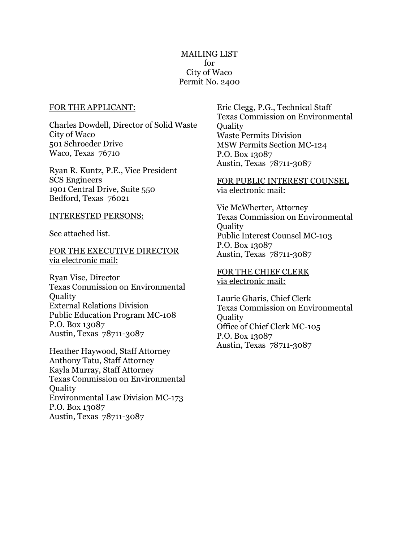#### FOR THE APPLICANT:

Charles Dowdell, Director of Solid Waste City of Waco 501 Schroeder Drive Waco, Texas 76710

Ryan R. Kuntz, P.E., Vice President SCS Engineers 1901 Central Drive, Suite 550 Bedford, Texas 76021

#### INTERESTED PERSONS:

See attached list.

FOR THE EXECUTIVE DIRECTOR via electronic mail:

Ryan Vise, Director Texas Commission on Environmental **Quality** External Relations Division Public Education Program MC-108 P.O. Box 13087 Austin, Texas 78711-3087

Heather Haywood, Staff Attorney Anthony Tatu, Staff Attorney Kayla Murray, Staff Attorney Texas Commission on Environmental **Ouality** Environmental Law Division MC-173 P.O. Box 13087 Austin, Texas 78711-3087

Eric Clegg, P.G., Technical Staff Texas Commission on Environmental **Ouality** Waste Permits Division MSW Permits Section MC-124 P.O. Box 13087 Austin, Texas 78711-3087

#### FOR PUBLIC INTEREST COUNSEL via electronic mail:

Vic McWherter, Attorney Texas Commission on Environmental **Ouality** Public Interest Counsel MC-103 P.O. Box 13087 Austin, Texas 78711-3087

FOR THE CHIEF CLERK via electronic mail:

Laurie Gharis, Chief Clerk Texas Commission on Environmental **Ouality** Office of Chief Clerk MC-105 P.O. Box 13087 Austin, Texas 78711-3087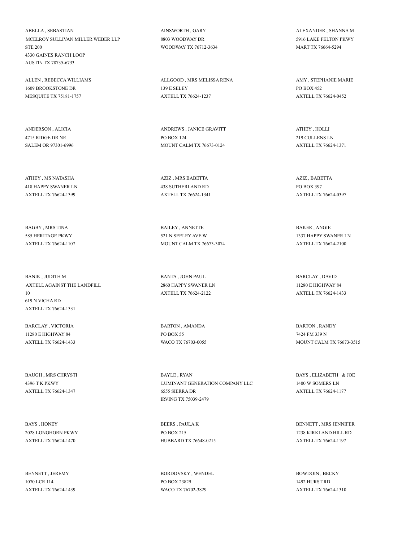ABELLA , SEBASTIAN MCELROY SULLIVAN MILLER WEBER LLP STE 200 4330 GAINES RANCH LOOP AUSTIN TX 78735-6733

ALLEN , REBECCA WILLIAMS 1609 BROOKSTONE DR MESQUITE TX 75181-1757

ANDERSON , ALICIA 4715 RIDGE DR NE SALEM OR 97301-6996

ATHEY , MS NATASHA 418 HAPPY SWANER LN AXTELL TX 76624-1399

BAGBY , MRS TINA 585 HERITAGE PKWY AXTELL TX 76624-1107

BANIK , JUDITH M AXTELL AGAINST THE LANDFILL 10 619 N VICHA RD AXTELL TX 76624-1331

BARCLAY , VICTORIA 11280 E HIGHWAY 84 AXTELL TX 76624-1433

BAUGH , MRS CHRYSTI 4396 T K PKWY AXTELL TX 76624-1347

BAYS , HONEY 2028 LONGHORN PKWY AXTELL TX 76624-1470

BENNETT JEREMY 1070 LCR 114 AXTELL TX 76624-1439 AINSWORTH , GARY 8803 WOODWAY DR WOODWAY TX 76712-3634

ALLGOOD , MRS MELISSA RENA 139 E SELEY AXTELL TX 76624-1237

ANDREWS , JANICE GRAVITT PO BOX 124 MOUNT CALM TX 76673-0124

AZIZ , MRS BABETTA 438 SUTHERLAND RD AXTELL TX 76624-1341

BAILEY , ANNETTE 521 N SEELEY AVE W MOUNT CALM TX 76673-3074

BANTA , JOHN PAUL 2860 HAPPY SWANER LN AXTELL TX 76624-2122

BARTON , AMANDA PO BOX 55 WACO TX 76703-0055

BAYLE , RYAN LUMINANT GENERATION COMPANY LLC 6555 SIERRA DR IRVING TX 75039-2479

BEERS , PAULA K PO BOX 215 HUBBARD TX 76648-0215

BORDOVSKY , WENDEL PO BOX 23829 WACO TX 76702-3829

ALEXANDER , SHANNA M 5916 LAKE FELTON PKWY MART TX 76664-5294

AMY , STEPHANIE MARIE PO BOX 452 AXTELL TX 76624-0452

ATHEY , HOLLI 219 CULLENS LN AXTELL TX 76624-1371

AZIZ , BABETTA PO BOX 397 AXTELL TX 76624-0397

BAKER , ANGIE 1337 HAPPY SWANER LN AXTELL TX 76624-2100

BARCLAY , DAVID 11280 E HIGHWAY 84 AXTELL TX 76624-1433

BARTON , RANDY 7424 FM 339 N MOUNT CALM TX 76673-3515

BAYS , ELIZABETH & JOE 1400 W SOMERS LN AXTELL TX 76624-1177

BENNETT , MRS JENNIFER 1238 KIRKLAND HILL RD AXTELL TX 76624-1197

BOWDOIN , BECKY 1492 HURST RD AXTELL TX 76624-1310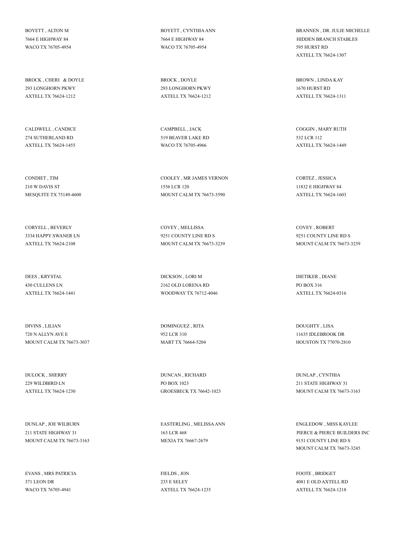BOYETT , ALTON M 7664 E HIGHWAY 84 WACO TX 76705-4954

BROCK , CHERI & DOYLE 293 LONGHORN PKWY AXTELL TX 76624-1212

CALDWELL , CANDICE 274 SUTHERLAND RD AXTELL TX 76624-1455

CONDIET , TIM 210 W DAVIS ST MESQUITE TX 75149-4600

CORYELL , BEVERLY 3334 HAPPY SWANER LN AXTELL TX 76624-2108

DEES , KRYSTAL 430 CULLENS LN AXTELL TX 76624-1441

DIVINS , LILIAN 720 N ALLYN AVE E MOUNT CALM TX 76673-3037

DULOCK , SHERRY 229 WILDBIRD LN AXTELL TX 76624-1230

DUNLAP , JOE WILBURN 211 STATE HIGHWAY 31 MOUNT CALM TX 76673-3163

EVANS , MRS PATRICIA 371 LEON DR WACO TX 76705-4941

BOYETT , CYNTHIA ANN 7664 E HIGHWAY 84 WACO TX 76705-4954

BROCK , DOYLE 293 LONGHORN PKWY AXTELL TX 76624-1212

CAMPBELL , JACK 519 BEAVER LAKE RD WACO TX 76705-4966

COOLEY , MR JAMES VERNON 1556 LCR 120 MOUNT CALM TX 76673-3590

COVEY , MELLISSA 9251 COUNTY LINE RD S MOUNT CALM TX 76673-3239

DICKSON , LORI M 2162 OLD LORENA RD WOODWAY TX 76712-4046

DOMINGUEZ , RITA 952 LCR 310 MART TX 76664-5204

DUNCAN , RICHARD PO BOX 1023 GROESBECK TX 76642-1023

EASTERLING , MELISSA ANN 163 LCR 468 MEXIA TX 76667-2679

FIELDS , JON 235 E SELEY AXTELL TX 76624-1235 BRANNEN , DR. JULIE MICHELLE HIDDEN BRANCH STABLES 595 HURST RD AXTELL TX 76624-1307

BROWN , LINDA KAY 1670 HURST RD AXTELL TX 76624-1311

COGGIN , MARY RUTH 532 LCR 112 AXTELL TX 76624-1449

CORTEZ , JESSICA 11832 E HIGHWAY 84 AXTELL TX 76624-1603

COVEY , ROBERT 9251 COUNTY LINE RD S MOUNT CALM TX 76673-3239

DIETIKER , DIANE PO BOX 316 AXTELL TX 76624-0316

DOUGHTY , LISA 11635 IDLEBROOK DR HOUSTON TX 77070-2810

DUNLAP , CYNTHIA 211 STATE HIGHWAY 31 MOUNT CALM TX 76673-3163

ENGLEDOW , MISS KAYLEE PIERCE & PIERCE BUILDERS INC 9151 COUNTY LINE RD S MOUNT CALM TX 76673-3245

FOOTE BRIDGET 4081 E OLD AXTELL RD AXTELL TX 76624-1218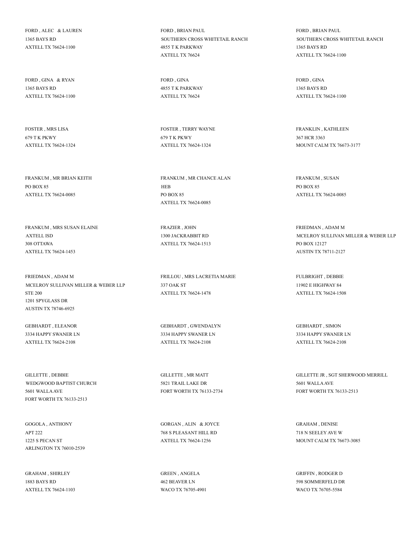FORD , ALEC & LAUREN 1365 BAYS RD AXTELL TX 76624-1100

FORD , GINA & RYAN 1365 BAYS RD AXTELL TX 76624-1100

FOSTER , MRS LISA 679 T K PKWY AXTELL TX 76624-1324

FRANKUM , MR BRIAN KEITH PO BOX 85 AXTELL TX 76624-0085

FRANKUM , MRS SUSAN ELAINE AXTELL ISD 308 OTTAWA AXTELL TX 76624-1453

FRIEDMAN , ADAM M MCELROY SULLIVAN MILLER & WEBER LLP STE 200 1201 SPYGLASS DR AUSTIN TX 78746-6925

GEBHARDT , ELEANOR 3334 HAPPY SWANER LN AXTELL TX 76624-2108

GILLETTE , DEBBIE WEDGWOOD BAPTIST CHURCH 5601 WALLA AVE FORT WORTH TX 76133-2513

GOGOLA , ANTHONY APT 222 1225 S PECAN ST ARLINGTON TX 76010-2539

GRAHAM , SHIRLEY 1883 BAYS RD AXTELL TX 76624-1103 FORD , BRIAN PAUL SOUTHERN CROSS WHITETAIL RANCH 4855 T K PARKWAY AXTELL TX 76624

FORD , GINA 4855 T K PARKWAY AXTELL TX 76624

FOSTER , TERRY WAYNE 679 T K PKWY AXTELL TX 76624-1324

FRANKUM , MR CHANCE ALAN HEB PO BOX 85 AXTELL TX 76624-0085

FRAZIER , JOHN 1300 JACKRABBIT RD AXTELL TX 76624-1513

FRILLOU , MRS LACRETIA MARIE 337 OAK ST AXTELL TX 76624-1478

GEBHARDT , GWENDALYN 3334 HAPPY SWANER LN AXTELL TX 76624-2108

GILLETTE , MR MATT 5821 TRAIL LAKE DR FORT WORTH TX 76133-2734

GORGAN , ALIN & JOYCE 768 S PLEASANT HILL RD AXTELL TX 76624-1256

GREEN , ANGELA 462 BEAVER LN WACO TX 76705-4901 FORD , BRIAN PAUL SOUTHERN CROSS WHITETAIL RANCH 1365 BAYS RD AXTELL TX 76624-1100

FORD , GINA 1365 BAYS RD AXTELL TX 76624-1100

FRANKLIN , KATHLEEN 367 HCR 3363 MOUNT CALM TX 76673-3177

FRANKUM , SUSAN PO BOX 85 AXTELL TX 76624-0085

FRIEDMAN , ADAM M MCELROY SULLIVAN MILLER & WEBER LLP PO BOX 12127 AUSTIN TX 78711-2127

FULBRIGHT , DEBBIE 11902 E HIGHWAY 84 AXTELL TX 76624-1508

GEBHARDT , SIMON 3334 HAPPY SWANER LN AXTELL TX 76624-2108

GILLETTE JR , SGT SHERWOOD MERRILL 5601 WALLA AVE FORT WORTH TX 76133-2513

GRAHAM , DENISE 718 N SEELEY AVE W MOUNT CALM TX 76673-3085

GRIFFIN RODGER D 598 SOMMERFELD DR WACO TX 76705-5584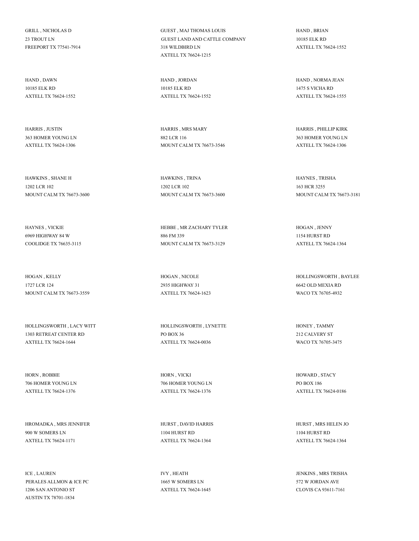GRILL , NICHOLAS D 23 TROUT LN FREEPORT TX 77541-7914

HAND , DAWN 10185 ELK RD AXTELL TX 76624-1552

HARRIS , JUSTIN 363 HOMER YOUNG LN AXTELL TX 76624-1306

HAWKINS , SHANE H 1202 LCR 102 MOUNT CALM TX 76673-3600

HAYNES , VICKIE 6969 HIGHWAY 84 W COOLIDGE TX 76635-3115

HOGAN , KELLY 1727 LCR 124 MOUNT CALM TX 76673-3559

HOLLINGSWORTH , LACY WITT 1303 RETREAT CENTER RD AXTELL TX 76624-1644

HORN , ROBBIE 706 HOMER YOUNG LN AXTELL TX 76624-1376

HROMADKA , MRS JENNIFER 900 W SOMERS LN AXTELL TX 76624-1171

ICE , LAUREN PERALES ALLMON & ICE PC 1206 SAN ANTONIO ST AUSTIN TX 78701-1834

GUEST , MAJ THOMAS LOUIS GUEST LAND AND CATTLE COMPANY 318 WILDBIRD LN AXTELL TX 76624-1215

HAND , JORDAN 10185 ELK RD AXTELL TX 76624-1552

HARRIS , MRS MARY 882 LCR 116 MOUNT CALM TX 76673-3546

HAWKINS , TRINA 1202 LCR 102 MOUNT CALM TX 76673-3600

HEBBE , MR ZACHARY TYLER 886 FM 339 MOUNT CALM TX 76673-3129

HOGAN , NICOLE 2935 HIGHWAY 31 AXTELL TX 76624-1623

HOLLINGSWORTH , LYNETTE PO BOX 36 AXTELL TX 76624-0036

HORN , VICKI 706 HOMER YOUNG LN AXTELL TX 76624-1376

HURST , DAVID HARRIS 1104 HURST RD AXTELL TX 76624-1364

IVY , HEATH 1665 W SOMERS LN AXTELL TX 76624-1645 HAND , BRIAN 10185 ELK RD AXTELL TX 76624-1552

HAND , NORMA JEAN 1475 S VICHA RD AXTELL TX 76624-1555

HARRIS , PHILLIP KIRK 363 HOMER YOUNG LN AXTELL TX 76624-1306

HAYNES , TRISHA 163 HCR 3255 MOUNT CALM TX 76673-3181

HOGAN , JENNY 1154 HURST RD AXTELL TX 76624-1364

HOLLINGSWORTH , BAYLEE 6642 OLD MEXIA RD WACO TX 76705-4932

HONEY , TAMMY 212 CALVERY ST WACO TX 76705-3475

HOWARD , STACY PO BOX 186 AXTELL TX 76624-0186

HURST , MRS HELEN JO 1104 HURST RD AXTELL TX 76624-1364

JENKINS , MRS TRISHA 572 W JORDAN AVE CLOVIS CA 93611-7161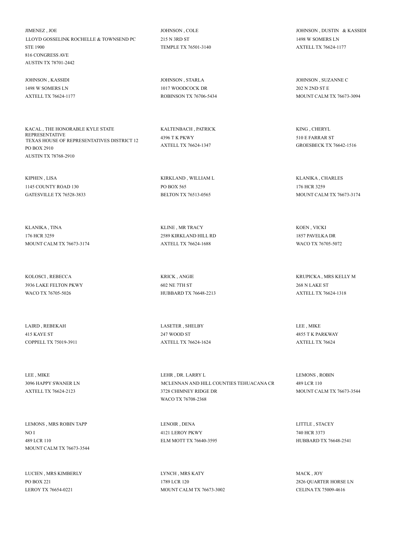JIMENEZ , JOE LLOYD GOSSELINK ROCHELLE & TOWNSEND PC STE 1900 816 CONGRESS AVE AUSTIN TX 78701-2442

JOHNSON , KASSIDI 1498 W SOMERS LN AXTELL TX 76624-1177

KACAL , THE HONORABLE KYLE STATE REPRESENTATIVE TEXAS HOUSE OF REPRESENTATIVES DISTRICT 12 PO BOX 2910 AUSTIN TX 78768-2910

KIPHEN , LISA 1145 COUNTY ROAD 130 GATESVILLE TX 76528-3833

KLANIKA , TINA 176 HCR 3259 MOUNT CALM TX 76673-3174

KOLOSCI , REBECCA 3936 LAKE FELTON PKWY WACO TX 76705-5026

LAIRD , REBEKAH 415 KAYE ST COPPELL TX 75019-3911

LEE , MIKE 3096 HAPPY SWANER LN AXTELL TX 76624-2123

LEMONS , MRS ROBIN TAPP NO I 489 LCR 110 MOUNT CALM TX 76673-3544

LUCIEN , MRS KIMBERLY PO BOX 221 LEROY TX 76654-0221

JOHNSON , COLE 215 N 3RD ST TEMPLE TX 76501-3140

JOHNSON , STARLA 1017 WOODCOCK DR ROBINSON TX 76706-5434

KALTENBACH , PATRICK 4396 T K PKWY AXTELL TX 76624-1347

KIRKLAND , WILLIAM L PO BOX 565 BELTON TX 76513-0565

KLINE , MR TRACY 2589 KIRKLAND HILL RD AXTELL TX 76624-1688

KRICK , ANGIE 602 NE 7TH ST HUBBARD TX 76648-2213

LASETER , SHELBY 247 WOOD ST AXTELL TX 76624-1624

LEHR , DR. LARRY L MCLENNAN AND HILL COUNTIES TEHUACANA CR 3728 CHIMNEY RIDGE DR WACO TX 76708-2368

LENOIR , DENA 4121 LEROY PKWY ELM MOTT TX 76640-3595

LYNCH , MRS KATY 1789 LCR 120 MOUNT CALM TX 76673-3002 JOHNSON , DUSTIN & KASSIDI 1498 W SOMERS LN AXTELL TX 76624-1177

JOHNSON , SUZANNE C 202 N 2ND ST E MOUNT CALM TX 76673-3094

KING , CHERYL 510 E FARRAR ST GROESBECK TX 76642-1516

KLANIKA , CHARLES 176 HCR 3259 MOUNT CALM TX 76673-3174

KOEN , VICKI 1857 PAVELKA DR WACO TX 76705-5072

KRUPICKA , MRS KELLY M 268 N LAKE ST AXTELL TX 76624-1318

LEE , MIKE 4855 T K PARKWAY AXTELL TX 76624

LEMONS , ROBIN 489 LCR 110 MOUNT CALM TX 76673-3544

LITTLE , STACEY 740 HCR 3373 HUBBARD TX 76648-2541

MACK , JOY 2826 QUARTER HORSE LN CELINA TX 75009-4616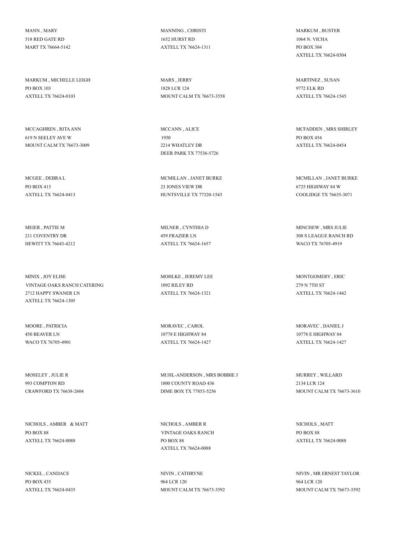MANN , MARY 518 RED GATE RD MART TX 76664-5142

MARKUM , MICHELLE LEIGH PO BOX 103 AXTELL TX 76624-0103

MCCAGHREN , RITA ANN 619 N SEELEY AVE W MOUNT CALM TX 76673-3009

MCGEE , DEBRA L PO BOX 413 AXTELL TX 76624-0413

MEIER , PATTIE M 211 COVENTRY DR HEWITT TX 76643-4212

MINIX , JOY ELISE VINTAGE OAKS RANCH CATERING 2712 HAPPY SWANER LN AXTELL TX 76624-1305

MOORE , PATRICIA 450 BEAVER LN WACO TX 76705-4901

MOSELEY , JULIE R 993 COMPTON RD CRAWFORD TX 76638-2604

NICHOLS , AMBER & MATT PO BOX 88 AXTELL TX 76624-0088

NICKEL , CANDACE PO BOX 435 AXTELL TX 76624-0435 MANNING , CHRISTI 1652 HURST RD AXTELL TX 76624-1311

MARS , JERRY 1828 LCR 124 MOUNT CALM TX 76673-3558

MCCANN , ALICE 1950 2214 WHATLEY DR DEER PARK TX 77536-5726

MCMILLAN , JANET BURKE 23 JONES VIEW DR HUNTSVILLE TX 77320-1543

MILNER , CYNTHIA D 459 FRAZIER LN AXTELL TX 76624-1657

MOHLKE , JEREMY LEE 1092 RILEY RD AXTELL TX 76624-1321

MORAVEC , CAROL 10778 E HIGHWAY 84 AXTELL TX 76624-1427

MUHL-ANDERSON , MRS BOBBIE J 1800 COUNTY ROAD 436 DIME BOX TX 77853-5256

NICHOLS , AMBER R VINTAGE OAKS RANCH PO BOX 88 AXTELL TX 76624-0088

NIVIN , CATHRYNE 964 LCR 120 MOUNT CALM TX 76673-3592 MARKUM , BUSTER 1064 N. VICHA PO BOX 304 AXTELL TX 76624-0304

MARTINEZ , SUSAN 9772 ELK RD AXTELL TX 76624-1545

MCFADDEN , MRS SHIRLEY PO BOX 454 AXTELL TX 76624-0454

MCMILLAN , JANET BURKE 6725 HIGHWAY 84 W COOLIDGE TX 76635-3071

MINCHEW , MRS JULIE 308 S LEAGUE RANCH RD WACO TX 76705-4919

MONTGOMERY , ERIC 279 N 7TH ST AXTELL TX 76624-1442

MORAVEC , DANIEL J 10778 E HIGHWAY 84 AXTELL TX 76624-1427

MURREY , WILLARD 2134 LCR 124 MOUNT CALM TX 76673-3610

NICHOLS , MATT PO BOX 88 AXTELL TX 76624-0088

NIVIN , MR ERNEST TAYLOR 964 LCR 120 MOUNT CALM TX 76673-3592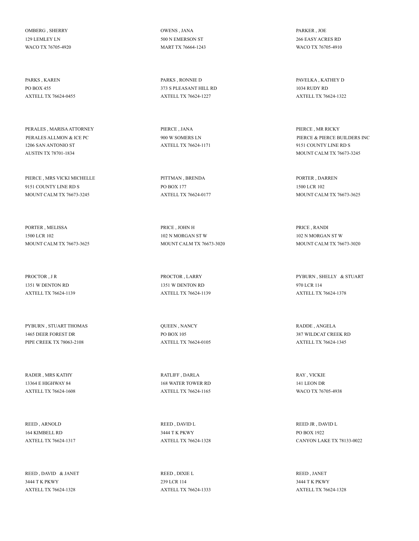OMBERG , SHERRY 129 LEMLEY LN WACO TX 76705-4920

PARKS , KAREN PO BOX 455 AXTELL TX 76624-0455

PERALES , MARISA ATTORNEY PERALES ALLMON & ICE PC 1206 SAN ANTONIO ST AUSTIN TX 78701-1834

PIERCE , MRS VICKI MICHELLE 9151 COUNTY LINE RD S MOUNT CALM TX 76673-3245

PORTER , MELISSA 1500 LCR 102 MOUNT CALM TX 76673-3625

PROCTOR , J R 1351 W DENTON RD AXTELL TX 76624-1139

PYBURN , STUART THOMAS 1465 DEER FOREST DR PIPE CREEK TX 78063-2108

RADER , MRS KATHY 13364 E HIGHWAY 84 AXTELL TX 76624-1608

REED , ARNOLD 164 KIMBELL RD AXTELL TX 76624-1317

REED , DAVID & JANET 3444 T K PKWY AXTELL TX 76624-1328

OWENS , JANA 500 N EMERSON ST MART TX 76664-1243

PARKS , RONNIE D 373 S PLEASANT HILL RD AXTELL TX 76624-1227

PIERCE , JANA 900 W SOMERS LN AXTELL TX 76624-1171

PITTMAN , BRENDA PO BOX 177 AXTELL TX 76624-0177

PRICE , JOHN H 102 N MORGAN ST W MOUNT CALM TX 76673-3020

PROCTOR , LARRY 1351 W DENTON RD AXTELL TX 76624-1139

QUEEN , NANCY PO BOX 105 AXTELL TX 76624-0105

RATLIFF , DARLA 168 WATER TOWER RD AXTELL TX 76624-1165

REED , DAVID L 3444 T K PKWY AXTELL TX 76624-1328

REED , DIXIE L 239 LCR 114 AXTELL TX 76624-1333 PARKER , JOE 266 EASY ACRES RD WACO TX 76705-4910

PAVELKA , KATHEY D 1034 RUDY RD AXTELL TX 76624-1322

PIERCE , MR RICKY PIERCE & PIERCE BUILDERS INC 9151 COUNTY LINE RD S MOUNT CALM TX 76673-3245

PORTER , DARREN 1500 LCR 102 MOUNT CALM TX 76673-3625

PRICE , RANDI 102 N MORGAN ST W MOUNT CALM TX 76673-3020

PYBURN , SHELLY & STUART 970 LCR 114 AXTELL TX 76624-1378

RADDE , ANGELA 387 WILDCAT CREEK RD AXTELL TX 76624-1345

RAY , VICKIE 141 LEON DR WACO TX 76705-4938

REED JR , DAVID L PO BOX 1922 CANYON LAKE TX 78133-0022

REED , JANET 3444 T K PKWY AXTELL TX 76624-1328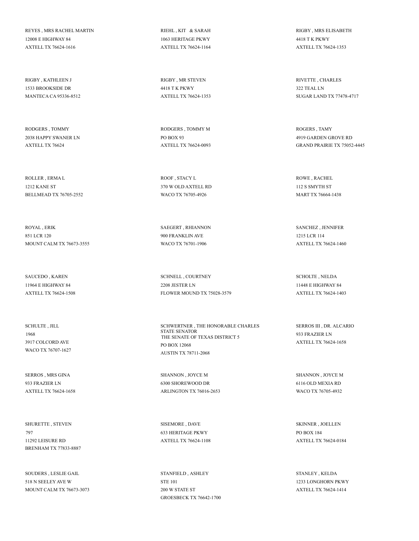REYES , MRS RACHEL MARTIN 12008 E HIGHWAY 84 AXTELL TX 76624-1616

RIGBY , KATHLEEN J 1533 BROOKSIDE DR MANTECA CA 95336-8512

RODGERS , TOMMY 2038 HAPPY SWANER LN AXTELL TX 76624

ROLLER , ERMA L 1212 KANE ST BELLMEAD TX 76705-2552

ROYAL , ERIK 851 LCR 120 MOUNT CALM TX 76673-3555

SAUCEDO , KAREN 11964 E HIGHWAY 84 AXTELL TX 76624-1508

SCHULTE , JILL 1968 3917 COLCORD AVE WACO TX 76707-1627

SERROS , MRS GINA 933 FRAZIER LN AXTELL TX 76624-1658

SHURETTE , STEVEN 797 11292 LEISURE RD BRENHAM TX 77833-8887

SOUDERS , LESLIE GAIL 518 N SEELEY AVE W MOUNT CALM TX 76673-3073 RIEHL , KIT & SARAH 1063 HERITAGE PKWY AXTELL TX 76624-1164

RIGBY , MR STEVEN 4418 T K PKWY AXTELL TX 76624-1353

RODGERS , TOMMY M PO BOX 93 AXTELL TX 76624-0093

ROOF , STACY L 370 W OLD AXTELL RD WACO TX 76705-4926

SAEGERT , RHIANNON 900 FRANKLIN AVE WACO TX 76701-1906

SCHNELL , COURTNEY 2208 JESTER LN FLOWER MOUND TX 75028-3579

SCHWERTNER , THE HONORABLE CHARLES STATE SENATOR THE SENATE OF TEXAS DISTRICT 5 PO BOX 12068 AUSTIN TX 78711-2068

SHANNON , JOYCE M 6300 SHOREWOOD DR ARLINGTON TX 76016-2653

SISEMORE , DAVE 633 HERITAGE PKWY AXTELL TX 76624-1108

STANFIELD , ASHLEY STE 101 200 W STATE ST GROESBECK TX 76642-1700 RIGBY , MRS ELISABETH 4418 T K PKWY AXTELL TX 76624-1353

RIVETTE , CHARLES 322 TEAL LN SUGAR LAND TX 77478-4717

ROGERS , TAMY 4919 GARDEN GROVE RD GRAND PRAIRIE TX 75052-4445

ROWE , RACHEL 112 S SMYTH ST MART TX 76664-1438

SANCHEZ , JENNIFER 1215 LCR 114 AXTELL TX 76624-1460

SCHOLTE , NELDA 11448 E HIGHWAY 84 AXTELL TX 76624-1403

SERROS III , DR. ALCARIO 933 FRAZIER LN AXTELL TX 76624-1658

SHANNON , JOYCE M 6116 OLD MEXIA RD WACO TX 76705-4932

SKINNER , JOELLEN PO BOX 184 AXTELL TX 76624-0184

STANLEY , KELDA 1233 LONGHORN PKWY AXTELL TX 76624-1414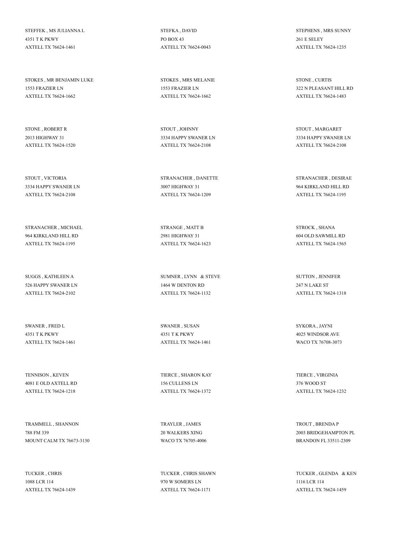STEFFEK , MS JULIANNA L 4351 T K PKWY AXTELL TX 76624-1461

STOKES , MR BENJAMIN LUKE 1553 FRAZIER LN AXTELL TX 76624-1662

STONE , ROBERT R 2013 HIGHWAY 31 AXTELL TX 76624-1520

STOUT , VICTORIA 3334 HAPPY SWANER LN AXTELL TX 76624-2108

STRANACHER , MICHAEL 964 KIRKLAND HILL RD AXTELL TX 76624-1195

SUGGS , KATHLEEN A 526 HAPPY SWANER LN AXTELL TX 76624-2102

SWANER , FRED L 4351 T K PKWY AXTELL TX 76624-1461

TENNISON , KEVEN 4081 E OLD AXTELL RD AXTELL TX 76624-1218

TRAMMELL , SHANNON 788 FM 339 MOUNT CALM TX 76673-3130

TUCKER , CHRIS 1088 LCR 114 AXTELL TX 76624-1439 STEFKA , DAVID PO BOX 43 AXTELL TX 76624-0043

STOKES , MRS MELANIE 1553 FRAZIER LN AXTELL TX 76624-1662

STOUT , JOHNNY 3334 HAPPY SWANER LN AXTELL TX 76624-2108

STRANACHER , DANETTE 3007 HIGHWAY 31 AXTELL TX 76624-1209

STRANGE , MATT B 2981 HIGHWAY 31 AXTELL TX 76624-1623

SUMNER , LYNN & STEVE 1464 W DENTON RD AXTELL TX 76624-1132

SWANER , SUSAN 4351 T K PKWY AXTELL TX 76624-1461

TIERCE , SHARON KAY 156 CULLENS LN AXTELL TX 76624-1372

TRAYLER , JAMES 20 WALKERS XING WACO TX 76705-4006

TUCKER , CHRIS SHAWN 970 W SOMERS LN AXTELL TX 76624-1171

STEPHENS , MRS SUNNY 261 E SELEY AXTELL TX 76624-1235

STONE , CURTIS 322 N PLEASANT HILL RD AXTELL TX 76624-1483

STOUT , MARGARET 3334 HAPPY SWANER LN AXTELL TX 76624-2108

STRANACHER , DESIRAE 964 KIRKLAND HILL RD AXTELL TX 76624-1195

STROCK , SHANA 604 OLD SAWMILL RD AXTELL TX 76624-1565

SUTTON , JENNIFER 247 N LAKE ST AXTELL TX 76624-1318

SYKORA , JAYNI 4025 WINDSOR AVE WACO TX 76708-3073

TIERCE , VIRGINIA 376 WOOD ST AXTELL TX 76624-1232

TROUT , BRENDA P 2003 BRIDGEHAMPTON PL BRANDON FL 33511-2309

TUCKER , GLENDA & KEN 1116 LCR 114 AXTELL TX 76624-1459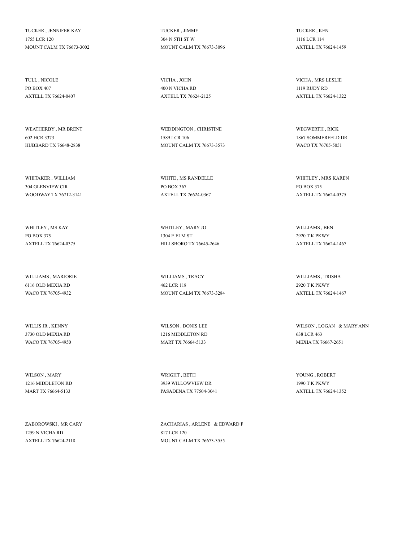TUCKER , JENNIFER KAY 1755 LCR 120 MOUNT CALM TX 76673-3002

TULL , NICOLE PO BOX 407 AXTELL TX 76624-0407

WEATHERBY , MR BRENT 602 HCR 3373 HUBBARD TX 76648-2838

WHITAKER , WILLIAM 304 GLENVIEW CIR WOODWAY TX 76712-3141

WHITLEY , MS KAY PO BOX 375 AXTELL TX 76624-0375

WILLIAMS , MARJORIE 6116 OLD MEXIA RD WACO TX 76705-4932

WILLIS JR , KENNY 3730 OLD MEXIA RD WACO TX 76705-4950

WILSON , MARY 1216 MIDDLETON RD MART TX 76664-5133

ZABOROWSKI , MR CARY 1259 N VICHA RD AXTELL TX 76624-2118

TUCKER , JIMMY 304 N 5TH ST W MOUNT CALM TX 76673-3096

VICHA , JOHN 400 N VICHA RD AXTELL TX 76624-2125

WEDDINGTON , CHRISTINE 1589 LCR 106 MOUNT CALM TX 76673-3573

WHITE , MS RANDELLE PO BOX 367 AXTELL TX 76624-0367

WHITLEY , MARY JO 1304 E ELM ST HILLSBORO TX 76645-2646

WILLIAMS , TRACY 462 LCR 118 MOUNT CALM TX 76673-3284

WILSON , DONIS LEE 1216 MIDDLETON RD MART TX 76664-5133

WRIGHT , BETH 3939 WILLOWVIEW DR PASADENA TX 77504-3041

ZACHARIAS , ARLENE & EDWARD F 817 LCR 120 MOUNT CALM TX 76673-3555

TUCKER , KEN 1116 LCR 114 AXTELL TX 76624-1459

VICHA , MRS LESLIE 1119 RUDY RD AXTELL TX 76624-1322

WEGWERTH , RICK 1867 SOMMERFELD DR WACO TX 76705-5051

WHITLEY , MRS KAREN PO BOX 375 AXTELL TX 76624-0375

WILLIAMS , BEN 2920 T K PKWY AXTELL TX 76624-1467

WILLIAMS , TRISHA 2920 T K PKWY AXTELL TX 76624-1467

WILSON , LOGAN & MARY ANN 638 LCR 463 MEXIA TX 76667-2651

YOUNG , ROBERT 1990 T K PKWY AXTELL TX 76624-1352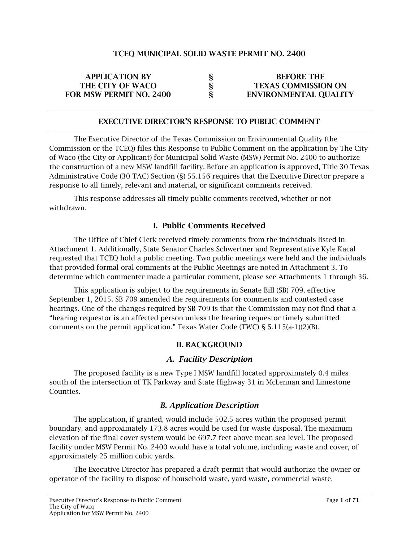### TCEQ MUNICIPAL SOLID WASTE PERMIT NO. 2400

| <b>APPLICATION BY</b>          | <b>BEFORE THE</b>            |
|--------------------------------|------------------------------|
| THE CITY OF WACO               | <b>TEXAS COMMISSION ON</b>   |
| <b>FOR MSW PERMIT NO. 2400</b> | <b>ENVIRONMENTAL QUALITY</b> |

#### EXECUTIVE DIRECTOR'S RESPONSE TO PUBLIC COMMENT

The Executive Director of the Texas Commission on Environmental Quality (the Commission or the TCEQ) files this Response to Public Comment on the application by The City of Waco (the City or Applicant) for Municipal Solid Waste (MSW) Permit No. 2400 to authorize the construction of a new MSW landfill facility. Before an application is approved, Title 30 Texas Administrative Code (30 TAC) Section (§) 55.156 requires that the Executive Director prepare a response to all timely, relevant and material, or significant comments received.

This response addresses all timely public comments received, whether or not withdrawn.

### I. Public Comments Received

The Office of Chief Clerk received timely comments from the individuals listed in Attachment 1. Additionally, State Senator Charles Schwertner and Representative Kyle Kacal requested that TCEQ hold a public meeting. Two public meetings were held and the individuals that provided formal oral comments at the Public Meetings are noted in Attachment 3. To determine which commenter made a particular comment, please see Attachments 1 through 36.

This application is subject to the requirements in Senate Bill (SB) 709, effective September 1, 2015. SB 709 amended the requirements for comments and contested case hearings. One of the changes required by SB 709 is that the Commission may not find that a "hearing requestor is an affected person unless the hearing requestor timely submitted comments on the permit application." Texas Water Code (TWC) § 5.115(a-1)(2)(B).

#### II. BACKGROUND

# *A. Facility Description*

The proposed facility is a new Type I MSW landfill located approximately 0.4 miles south of the intersection of TK Parkway and State Highway 31 in McLennan and Limestone Counties.

# *B. Application Description*

The application, if granted, would include 502.5 acres within the proposed permit boundary, and approximately 173.8 acres would be used for waste disposal. The maximum elevation of the final cover system would be 697.7 feet above mean sea level. The proposed facility under MSW Permit No. 2400 would have a total volume, including waste and cover, of approximately 25 million cubic yards.

The Executive Director has prepared a draft permit that would authorize the owner or operator of the facility to dispose of household waste, yard waste, commercial waste,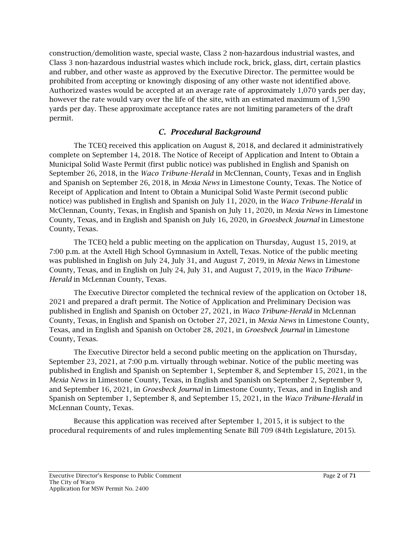construction/demolition waste, special waste, Class 2 non-hazardous industrial wastes, and Class 3 non-hazardous industrial wastes which include rock, brick, glass, dirt, certain plastics and rubber, and other waste as approved by the Executive Director. The permittee would be prohibited from accepting or knowingly disposing of any other waste not identified above. Authorized wastes would be accepted at an average rate of approximately 1,070 yards per day, however the rate would vary over the life of the site, with an estimated maximum of 1,590 yards per day. These approximate acceptance rates are not limiting parameters of the draft permit.

# *C. Procedural Background*

The TCEQ received this application on August 8, 2018, and declared it administratively complete on September 14, 2018. The Notice of Receipt of Application and Intent to Obtain a Municipal Solid Waste Permit (first public notice) was published in English and Spanish on September 26, 2018, in the *Waco Tribune-Herald* in McClennan, County, Texas and in English and Spanish on September 26, 2018, in *Mexia News* in Limestone County, Texas. The Notice of Receipt of Application and Intent to Obtain a Municipal Solid Waste Permit (second public notice) was published in English and Spanish on July 11, 2020, in the *Waco Tribune-Herald* in McClennan, County, Texas, in English and Spanish on July 11, 2020, in *Mexia News* in Limestone County, Texas, and in English and Spanish on July 16, 2020, in *Groesbeck Journal* in Limestone County, Texas.

The TCEQ held a public meeting on the application on Thursday, August 15, 2019, at 7:00 p.m. at the Axtell High School Gymnasium in Axtell, Texas. Notice of the public meeting was published in English on July 24, July 31, and August 7, 2019, in *Mexia News* in Limestone County, Texas, and in English on July 24, July 31, and August 7, 2019, in the *Waco Tribune-Herald* in McLennan County, Texas*.* 

The Executive Director completed the technical review of the application on October 18, 2021 and prepared a draft permit. The Notice of Application and Preliminary Decision was published in English and Spanish on October 27, 2021, in *Waco Tribune-Herald* in McLennan County, Texas, in English and Spanish on October 27, 2021, in *Mexia News* in Limestone County, Texas, and in English and Spanish on October 28, 2021, in *Groesbeck Journal* in Limestone County, Texas.

The Executive Director held a second public meeting on the application on Thursday, September 23, 2021, at 7:00 p.m. virtually through webinar. Notice of the public meeting was published in English and Spanish on September 1, September 8, and September 15, 2021, in the *Mexia News* in Limestone County, Texas, in English and Spanish on September 2, September 9, and September 16, 2021, in *Groesbeck Journal* in Limestone County, Texas, and in English and Spanish on September 1, September 8, and September 15, 2021, in the *Waco Tribune-Herald* in McLennan County, Texas*.* 

Because this application was received after September 1, 2015, it is subject to the procedural requirements of and rules implementing Senate Bill 709 (84th Legislature, 2015).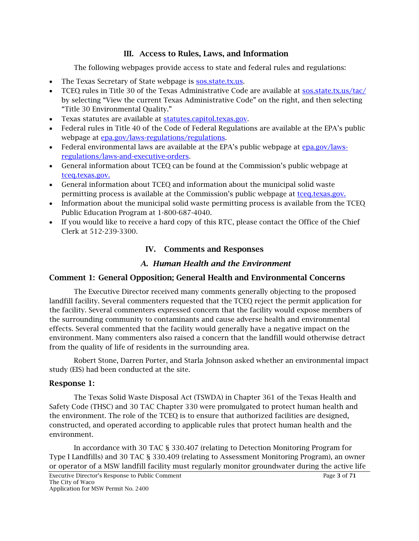### III. Access to Rules, Laws, and Information

The following webpages provide access to state and federal rules and regulations:

- The Texas Secretary of State webpage is [sos.state.tx.us.](http://www.sos.state.tx.us/)
- TCEQ rules in Title 30 of the Texas Administrative Code are available at [sos.state.tx.us/tac/](http://www.sos.state.tx.us/tac/) by selecting "View the current Texas Administrative Code" on the right, and then selecting "Title 30 Environmental Quality."
- Texas statutes are available at statutes.capitol.texas.gov.
- Federal rules in Title 40 of the Code of Federal Regulations are available at the EPA's public webpage at [epa.gov/laws-regulations/regulations.](http://www.epa.gov/laws-regulations/regulations)
- Federal environmental laws are available at the EPA's public webpage at [epa.gov/laws](http://www.epa.gov/laws-regulations/laws-and-executive-orders)[regulations/laws-and-executive-orders.](http://www.epa.gov/laws-regulations/laws-and-executive-orders)
- General information about TCEQ can be found at the Commission's public webpage at [tceq.texas.gov.](http://www.tceq.texas.gov/)
- General information about TCEQ and information about the municipal solid waste permitting process is available at the Commission's public webpage at [tceq.texas.gov.](http://www.tceq.texas.gov/)
- Information about the municipal solid waste permitting process is available from the TCEQ Public Education Program at 1-800-687-4040.
- If you would like to receive a hard copy of this RTC, please contact the Office of the Chief Clerk at 512-239-3300.

# IV. Comments and Responses

# *A. Human Health and the Environment*

# Comment 1: General Opposition; General Health and Environmental Concerns

The Executive Director received many comments generally objecting to the proposed landfill facility. Several commenters requested that the TCEQ reject the permit application for the facility. Several commenters expressed concern that the facility would expose members of the surrounding community to contaminants and cause adverse health and environmental effects. Several commented that the facility would generally have a negative impact on the environment. Many commenters also raised a concern that the landfill would otherwise detract from the quality of life of residents in the surrounding area.

Robert Stone, Darren Porter, and Starla Johnson asked whether an environmental impact study (EIS) had been conducted at the site.

#### Response 1:

The Texas Solid Waste Disposal Act (TSWDA) in Chapter 361 of the Texas Health and Safety Code (THSC) and 30 TAC Chapter 330 were promulgated to protect human health and the environment. The role of the TCEQ is to ensure that authorized facilities are designed, constructed, and operated according to applicable rules that protect human health and the environment.

In accordance with 30 TAC § 330.407 (relating to Detection Monitoring Program for Type I Landfills) and 30 TAC § 330.409 (relating to Assessment Monitoring Program), an owner or operator of a MSW landfill facility must regularly monitor groundwater during the active life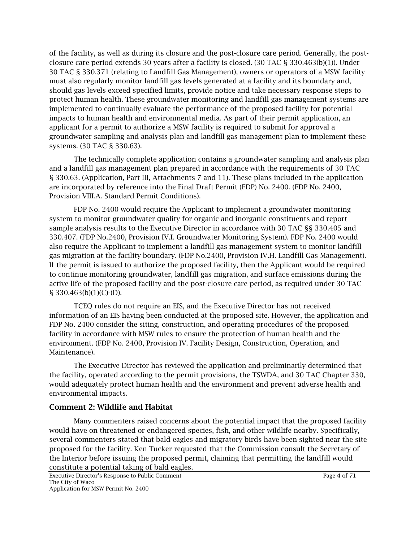of the facility, as well as during its closure and the post-closure care period. Generally, the postclosure care period extends 30 years after a facility is closed. (30 TAC § 330.463(b)(1)). Under 30 TAC § 330.371 (relating to Landfill Gas Management), owners or operators of a MSW facility must also regularly monitor landfill gas levels generated at a facility and its boundary and, should gas levels exceed specified limits, provide notice and take necessary response steps to protect human health. These groundwater monitoring and landfill gas management systems are implemented to continually evaluate the performance of the proposed facility for potential impacts to human health and environmental media. As part of their permit application, an applicant for a permit to authorize a MSW facility is required to submit for approval a groundwater sampling and analysis plan and landfill gas management plan to implement these systems. (30 TAC § 330.63).

The technically complete application contains a groundwater sampling and analysis plan and a landfill gas management plan prepared in accordance with the requirements of 30 TAC § 330.63. (Application, Part III, Attachments 7 and 11). These plans included in the application are incorporated by reference into the Final Draft Permit (FDP) No. 2400. (FDP No. 2400, Provision VIII.A. Standard Permit Conditions).

FDP No. 2400 would require the Applicant to implement a groundwater monitoring system to monitor groundwater quality for organic and inorganic constituents and report sample analysis results to the Executive Director in accordance with 30 TAC §§ 330.405 and 330.407. (FDP No.2400, Provision IV.I. Groundwater Monitoring System). FDP No. 2400 would also require the Applicant to implement a landfill gas management system to monitor landfill gas migration at the facility boundary. (FDP No.2400, Provision IV.H. Landfill Gas Management). If the permit is issued to authorize the proposed facility, then the Applicant would be required to continue monitoring groundwater, landfill gas migration, and surface emissions during the active life of the proposed facility and the post-closure care period, as required under 30 TAC § 330.463(b)(1)(C)-(D).

TCEQ rules do not require an EIS, and the Executive Director has not received information of an EIS having been conducted at the proposed site. However, the application and FDP No. 2400 consider the siting, construction, and operating procedures of the proposed facility in accordance with MSW rules to ensure the protection of human health and the environment. (FDP No. 2400, Provision IV. Facility Design, Construction, Operation, and Maintenance).

The Executive Director has reviewed the application and preliminarily determined that the facility, operated according to the permit provisions, the TSWDA, and 30 TAC Chapter 330, would adequately protect human health and the environment and prevent adverse health and environmental impacts.

#### Comment 2: Wildlife and Habitat

Many commenters raised concerns about the potential impact that the proposed facility would have on threatened or endangered species, fish, and other wildlife nearby. Specifically, several commenters stated that bald eagles and migratory birds have been sighted near the site proposed for the facility. Ken Tucker requested that the Commission consult the Secretary of the Interior before issuing the proposed permit, claiming that permitting the landfill would constitute a potential taking of bald eagles.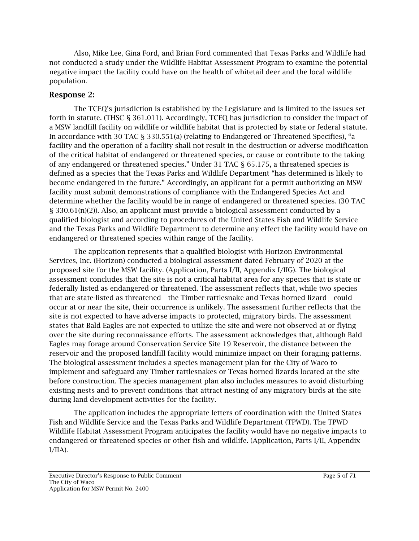Also, Mike Lee, Gina Ford, and Brian Ford commented that Texas Parks and Wildlife had not conducted a study under the Wildlife Habitat Assessment Program to examine the potential negative impact the facility could have on the health of whitetail deer and the local wildlife population.

#### Response 2:

The TCEQ's jurisdiction is established by the Legislature and is limited to the issues set forth in statute. (THSC § 361.011). Accordingly, TCEQ has jurisdiction to consider the impact of a MSW landfill facility on wildlife or wildlife habitat that is protected by state or federal statute. In accordance with 30 TAC § 330.551(a) (relating to Endangered or Threatened Specifies), "a facility and the operation of a facility shall not result in the destruction or adverse modification of the critical habitat of endangered or threatened species, or cause or contribute to the taking of any endangered or threatened species." Under 31 TAC § 65.175, a threatened species is defined as a species that the Texas Parks and Wildlife Department "has determined is likely to become endangered in the future." Accordingly, an applicant for a permit authorizing an MSW facility must submit demonstrations of compliance with the Endangered Species Act and determine whether the facility would be in range of endangered or threatened species. (30 TAC § 330.61(n)(2)). Also, an applicant must provide a biological assessment conducted by a qualified biologist and according to procedures of the United States Fish and Wildlife Service and the Texas Parks and Wildlife Department to determine any effect the facility would have on endangered or threatened species within range of the facility.

The application represents that a qualified biologist with Horizon Environmental Services, Inc. (Horizon) conducted a biological assessment dated February of 2020 at the proposed site for the MSW facility. (Application, Parts I/II, Appendix I/IIG). The biological assessment concludes that the site is not a critical habitat area for any species that is state or federally listed as endangered or threatened. The assessment reflects that, while two species that are state-listed as threatened—the Timber rattlesnake and Texas horned lizard—could occur at or near the site, their occurrence is unlikely. The assessment further reflects that the site is not expected to have adverse impacts to protected, migratory birds. The assessment states that Bald Eagles are not expected to utilize the site and were not observed at or flying over the site during reconnaissance efforts. The assessment acknowledges that, although Bald Eagles may forage around Conservation Service Site 19 Reservoir, the distance between the reservoir and the proposed landfill facility would minimize impact on their foraging patterns. The biological assessment includes a species management plan for the City of Waco to implement and safeguard any Timber rattlesnakes or Texas horned lizards located at the site before construction. The species management plan also includes measures to avoid disturbing existing nests and to prevent conditions that attract nesting of any migratory birds at the site during land development activities for the facility.

The application includes the appropriate letters of coordination with the United States Fish and Wildlife Service and the Texas Parks and Wildlife Department (TPWD). The TPWD Wildlife Habitat Assessment Program anticipates the facility would have no negative impacts to endangered or threatened species or other fish and wildlife. (Application, Parts I/II, Appendix  $I/IIA$ ).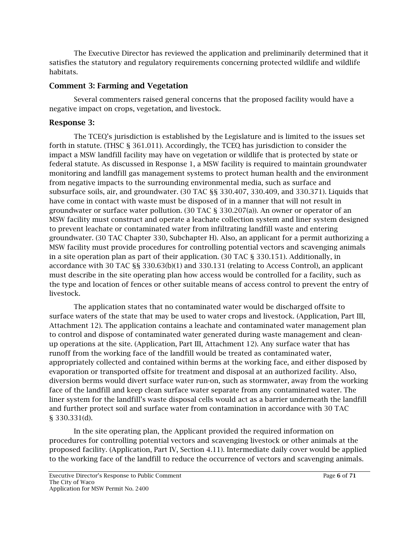The Executive Director has reviewed the application and preliminarily determined that it satisfies the statutory and regulatory requirements concerning protected wildlife and wildlife habitats.

#### Comment 3: Farming and Vegetation

Several commenters raised general concerns that the proposed facility would have a negative impact on crops, vegetation, and livestock.

### Response 3:

The TCEQ's jurisdiction is established by the Legislature and is limited to the issues set forth in statute. (THSC § 361.011). Accordingly, the TCEQ has jurisdiction to consider the impact a MSW landfill facility may have on vegetation or wildlife that is protected by state or federal statute. As discussed in Response 1, a MSW facility is required to maintain groundwater monitoring and landfill gas management systems to protect human health and the environment from negative impacts to the surrounding environmental media, such as surface and subsurface soils, air, and groundwater. (30 TAC §§ 330.407, 330.409, and 330.371). Liquids that have come in contact with waste must be disposed of in a manner that will not result in groundwater or surface water pollution. (30 TAC § 330.207(a)). An owner or operator of an MSW facility must construct and operate a leachate collection system and liner system designed to prevent leachate or contaminated water from infiltrating landfill waste and entering groundwater. (30 TAC Chapter 330, Subchapter H). Also, an applicant for a permit authorizing a MSW facility must provide procedures for controlling potential vectors and scavenging animals in a site operation plan as part of their application. (30 TAC § 330.151). Additionally, in accordance with 30 TAC §§ 330.63(b)(1) and 330.131 (relating to Access Control), an applicant must describe in the site operating plan how access would be controlled for a facility, such as the type and location of fences or other suitable means of access control to prevent the entry of livestock.

The application states that no contaminated water would be discharged offsite to surface waters of the state that may be used to water crops and livestock. (Application, Part III, Attachment 12). The application contains a leachate and contaminated water management plan to control and dispose of contaminated water generated during waste management and cleanup operations at the site. (Application, Part III, Attachment 12). Any surface water that has runoff from the working face of the landfill would be treated as contaminated water, appropriately collected and contained within berms at the working face, and either disposed by evaporation or transported offsite for treatment and disposal at an authorized facility. Also, diversion berms would divert surface water run-on, such as stormwater, away from the working face of the landfill and keep clean surface water separate from any contaminated water. The liner system for the landfill's waste disposal cells would act as a barrier underneath the landfill and further protect soil and surface water from contamination in accordance with 30 TAC § 330.331(d).

In the site operating plan, the Applicant provided the required information on procedures for controlling potential vectors and scavenging livestock or other animals at the proposed facility. (Application, Part IV, Section 4.11). Intermediate daily cover would be applied to the working face of the landfill to reduce the occurrence of vectors and scavenging animals.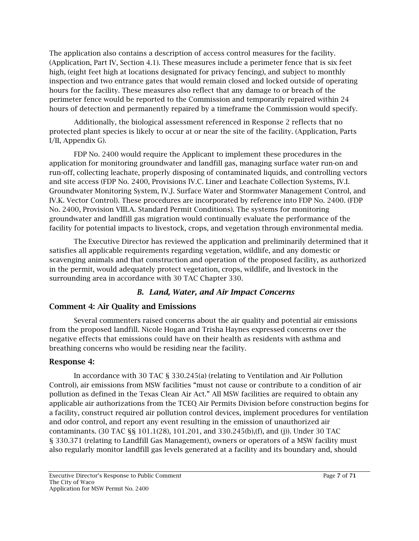The application also contains a description of access control measures for the facility. (Application, Part IV, Section 4.1). These measures include a perimeter fence that is six feet high, (eight feet high at locations designated for privacy fencing), and subject to monthly inspection and two entrance gates that would remain closed and locked outside of operating hours for the facility. These measures also reflect that any damage to or breach of the perimeter fence would be reported to the Commission and temporarily repaired within 24 hours of detection and permanently repaired by a timeframe the Commission would specify.

Additionally, the biological assessment referenced in Response 2 reflects that no protected plant species is likely to occur at or near the site of the facility. (Application, Parts I/II, Appendix G).

FDP No. 2400 would require the Applicant to implement these procedures in the application for monitoring groundwater and landfill gas, managing surface water run-on and run-off, collecting leachate, properly disposing of contaminated liquids, and controlling vectors and site access (FDP No. 2400, Provisions IV.C. Liner and Leachate Collection Systems, IV.I. Groundwater Monitoring System, IV.J. Surface Water and Stormwater Management Control, and IV.K. Vector Control). These procedures are incorporated by reference into FDP No. 2400. (FDP No. 2400, Provision VIII.A. Standard Permit Conditions). The systems for monitoring groundwater and landfill gas migration would continually evaluate the performance of the facility for potential impacts to livestock, crops, and vegetation through environmental media.

The Executive Director has reviewed the application and preliminarily determined that it satisfies all applicable requirements regarding vegetation, wildlife, and any domestic or scavenging animals and that construction and operation of the proposed facility, as authorized in the permit, would adequately protect vegetation, crops, wildlife, and livestock in the surrounding area in accordance with 30 TAC Chapter 330.

# *B. Land, Water, and Air Impact Concerns*

# Comment 4: Air Quality and Emissions

Several commenters raised concerns about the air quality and potential air emissions from the proposed landfill. Nicole Hogan and Trisha Haynes expressed concerns over the negative effects that emissions could have on their health as residents with asthma and breathing concerns who would be residing near the facility.

# Response 4:

In accordance with 30 TAC § 330.245(a) (relating to Ventilation and Air Pollution Control), air emissions from MSW facilities "must not cause or contribute to a condition of air pollution as defined in the Texas Clean Air Act." All MSW facilities are required to obtain any applicable air authorizations from the TCEQ Air Permits Division before construction begins for a facility, construct required air pollution control devices, implement procedures for ventilation and odor control, and report any event resulting in the emission of unauthorized air contaminants. (30 TAC §§ 101.1(28), 101.201, and 330.245(b),(f), and (j)). Under 30 TAC § 330.371 (relating to Landfill Gas Management), owners or operators of a MSW facility must also regularly monitor landfill gas levels generated at a facility and its boundary and, should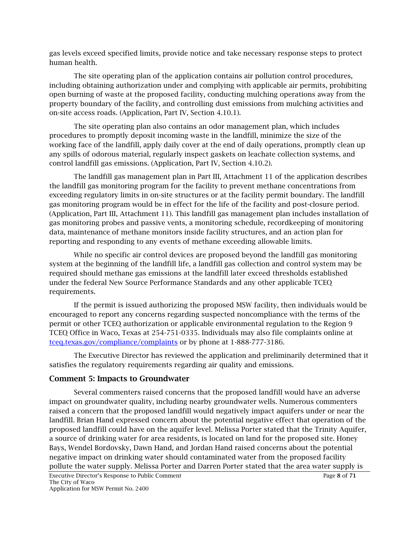gas levels exceed specified limits, provide notice and take necessary response steps to protect human health.

The site operating plan of the application contains air pollution control procedures, including obtaining authorization under and complying with applicable air permits, prohibiting open burning of waste at the proposed facility, conducting mulching operations away from the property boundary of the facility, and controlling dust emissions from mulching activities and on-site access roads. (Application, Part IV, Section 4.10.1).

The site operating plan also contains an odor management plan, which includes procedures to promptly deposit incoming waste in the landfill, minimize the size of the working face of the landfill, apply daily cover at the end of daily operations, promptly clean up any spills of odorous material, regularly inspect gaskets on leachate collection systems, and control landfill gas emissions. (Application, Part IV, Section 4.10.2).

The landfill gas management plan in Part III, Attachment 11 of the application describes the landfill gas monitoring program for the facility to prevent methane concentrations from exceeding regulatory limits in on-site structures or at the facility permit boundary. The landfill gas monitoring program would be in effect for the life of the facility and post-closure period. (Application, Part III, Attachment 11). This landfill gas management plan includes installation of gas monitoring probes and passive vents, a monitoring schedule, recordkeeping of monitoring data, maintenance of methane monitors inside facility structures, and an action plan for reporting and responding to any events of methane exceeding allowable limits.

While no specific air control devices are proposed beyond the landfill gas monitoring system at the beginning of the landfill life, a landfill gas collection and control system may be required should methane gas emissions at the landfill later exceed thresholds established under the federal New Source Performance Standards and any other applicable TCEQ requirements.

If the permit is issued authorizing the proposed MSW facility, then individuals would be encouraged to report any concerns regarding suspected noncompliance with the terms of the permit or other TCEQ authorization or applicable environmental regulation to the Region 9 TCEQ Office in Waco, Texas at 254-751-0335. Individuals may also file complaints online at [tceq.texas.gov/compliance/complaints](http://www.tceq.texas.gov/compliance/complaints) or by phone at 1-888-777-3186.

The Executive Director has reviewed the application and preliminarily determined that it satisfies the regulatory requirements regarding air quality and emissions.

#### Comment 5: Impacts to Groundwater

Several commenters raised concerns that the proposed landfill would have an adverse impact on groundwater quality, including nearby groundwater wells. Numerous commenters raised a concern that the proposed landfill would negatively impact aquifers under or near the landfill. Brian Hand expressed concern about the potential negative effect that operation of the proposed landfill could have on the aquifer level. Melissa Porter stated that the Trinity Aquifer, a source of drinking water for area residents, is located on land for the proposed site. Honey Bays, Wendel Bordovsky, Dawn Hand, and Jordan Hand raised concerns about the potential negative impact on drinking water should contaminated water from the proposed facility pollute the water supply. Melissa Porter and Darren Porter stated that the area water supply is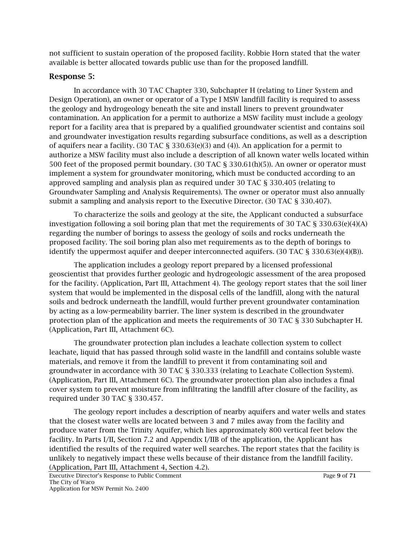not sufficient to sustain operation of the proposed facility. Robbie Horn stated that the water available is better allocated towards public use than for the proposed landfill.

#### Response 5:

In accordance with 30 TAC Chapter 330, Subchapter H (relating to Liner System and Design Operation), an owner or operator of a Type I MSW landfill facility is required to assess the geology and hydrogeology beneath the site and install liners to prevent groundwater contamination. An application for a permit to authorize a MSW facility must include a geology report for a facility area that is prepared by a qualified groundwater scientist and contains soil and groundwater investigation results regarding subsurface conditions, as well as a description of aquifers near a facility. (30 TAC § 330.63(e)(3) and (4)). An application for a permit to authorize a MSW facility must also include a description of all known water wells located within 500 feet of the proposed permit boundary. (30 TAC § 330.61(h)(5)). An owner or operator must implement a system for groundwater monitoring, which must be conducted according to an approved sampling and analysis plan as required under 30 TAC § 330.405 (relating to Groundwater Sampling and Analysis Requirements). The owner or operator must also annually submit a sampling and analysis report to the Executive Director. (30 TAC § 330.407).

To characterize the soils and geology at the site, the Applicant conducted a subsurface investigation following a soil boring plan that met the requirements of 30 TAC § 330.63(e)(4)(A) regarding the number of borings to assess the geology of soils and rocks underneath the proposed facility. The soil boring plan also met requirements as to the depth of borings to identify the uppermost aquifer and deeper interconnected aquifers. (30 TAC § 330.63(e)(4)(B)).

The application includes a geology report prepared by a licensed professional geoscientist that provides further geologic and hydrogeologic assessment of the area proposed for the facility. (Application, Part III, Attachment 4). The geology report states that the soil liner system that would be implemented in the disposal cells of the landfill, along with the natural soils and bedrock underneath the landfill, would further prevent groundwater contamination by acting as a low-permeability barrier. The liner system is described in the groundwater protection plan of the application and meets the requirements of 30 TAC § 330 Subchapter H. (Application, Part III, Attachment 6C).

The groundwater protection plan includes a leachate collection system to collect leachate, liquid that has passed through solid waste in the landfill and contains soluble waste materials, and remove it from the landfill to prevent it from contaminating soil and groundwater in accordance with 30 TAC § 330.333 (relating to Leachate Collection System). (Application, Part III, Attachment 6C). The groundwater protection plan also includes a final cover system to prevent moisture from infiltrating the landfill after closure of the facility, as required under 30 TAC § 330.457.

The geology report includes a description of nearby aquifers and water wells and states that the closest water wells are located between 3 and 7 miles away from the facility and produce water from the Trinity Aquifer, which lies approximately 800 vertical feet below the facility. In Parts I/II, Section 7.2 and Appendix I/IIB of the application, the Applicant has identified the results of the required water well searches. The report states that the facility is unlikely to negatively impact these wells because of their distance from the landfill facility. (Application, Part III, Attachment 4, Section 4.2).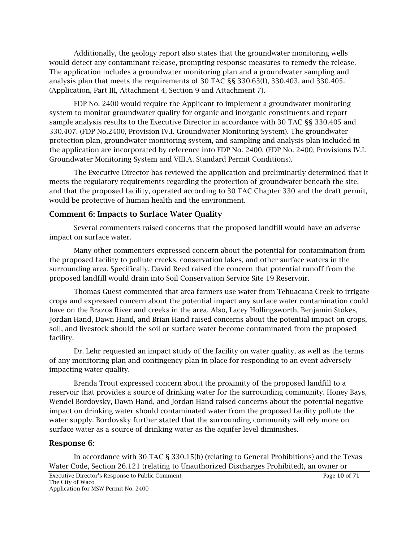Additionally, the geology report also states that the groundwater monitoring wells would detect any contaminant release, prompting response measures to remedy the release. The application includes a groundwater monitoring plan and a groundwater sampling and analysis plan that meets the requirements of 30 TAC §§ 330.63(f), 330.403, and 330.405. (Application, Part III, Attachment 4, Section 9 and Attachment 7).

FDP No. 2400 would require the Applicant to implement a groundwater monitoring system to monitor groundwater quality for organic and inorganic constituents and report sample analysis results to the Executive Director in accordance with 30 TAC §§ 330.405 and 330.407. (FDP No.2400, Provision IV.I. Groundwater Monitoring System). The groundwater protection plan, groundwater monitoring system, and sampling and analysis plan included in the application are incorporated by reference into FDP No. 2400. (FDP No. 2400, Provisions IV.I. Groundwater Monitoring System and VIII.A. Standard Permit Conditions).

The Executive Director has reviewed the application and preliminarily determined that it meets the regulatory requirements regarding the protection of groundwater beneath the site, and that the proposed facility, operated according to 30 TAC Chapter 330 and the draft permit, would be protective of human health and the environment.

#### Comment 6: Impacts to Surface Water Quality

Several commenters raised concerns that the proposed landfill would have an adverse impact on surface water.

Many other commenters expressed concern about the potential for contamination from the proposed facility to pollute creeks, conservation lakes, and other surface waters in the surrounding area. Specifically, David Reed raised the concern that potential runoff from the proposed landfill would drain into Soil Conservation Service Site 19 Reservoir.

Thomas Guest commented that area farmers use water from Tehuacana Creek to irrigate crops and expressed concern about the potential impact any surface water contamination could have on the Brazos River and creeks in the area. Also, Lacey Hollingsworth, Benjamin Stokes, Jordan Hand, Dawn Hand, and Brian Hand raised concerns about the potential impact on crops, soil, and livestock should the soil or surface water become contaminated from the proposed facility.

Dr. Lehr requested an impact study of the facility on water quality, as well as the terms of any monitoring plan and contingency plan in place for responding to an event adversely impacting water quality.

Brenda Trout expressed concern about the proximity of the proposed landfill to a reservoir that provides a source of drinking water for the surrounding community. Honey Bays, Wendel Bordovsky, Dawn Hand, and Jordan Hand raised concerns about the potential negative impact on drinking water should contaminated water from the proposed facility pollute the water supply. Bordovsky further stated that the surrounding community will rely more on surface water as a source of drinking water as the aquifer level diminishes.

#### Response 6:

In accordance with 30 TAC § 330.15(h) (relating to General Prohibitions) and the Texas Water Code, Section 26.121 (relating to Unauthorized Discharges Prohibited), an owner or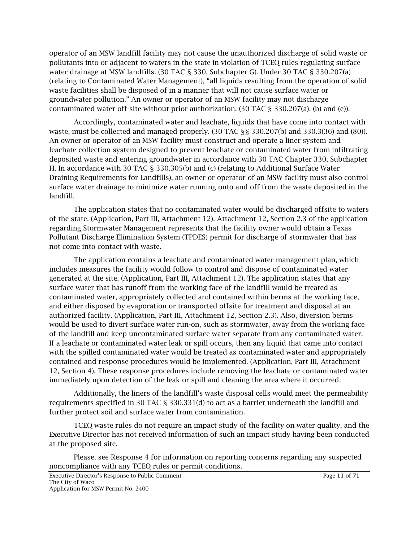operator of an MSW landfill facility may not cause the unauthorized discharge of solid waste or pollutants into or adjacent to waters in the state in violation of TCEQ rules regulating surface water drainage at MSW landfills. (30 TAC § 330, Subchapter G). Under 30 TAC § 330.207(a) (relating to Contaminated Water Management), "all liquids resulting from the operation of solid waste facilities shall be disposed of in a manner that will not cause surface water or groundwater pollution." An owner or operator of an MSW facility may not discharge contaminated water off-site without prior authorization. (30 TAC § 330.207(a), (b) and (e)).

Accordingly, contaminated water and leachate, liquids that have come into contact with waste, must be collected and managed properly. (30 TAC §§ 330.207(b) and 330.3(36) and (80)). An owner or operator of an MSW facility must construct and operate a liner system and leachate collection system designed to prevent leachate or contaminated water from infiltrating deposited waste and entering groundwater in accordance with 30 TAC Chapter 330, Subchapter H. In accordance with 30 TAC § 330.305(b) and (c) (relating to Additional Surface Water Draining Requirements for Landfills), an owner or operator of an MSW facility must also control surface water drainage to minimize water running onto and off from the waste deposited in the landfill.

The application states that no contaminated water would be discharged offsite to waters of the state. (Application, Part III, Attachment 12). Attachment 12, Section 2.3 of the application regarding Stormwater Management represents that the facility owner would obtain a Texas Pollutant Discharge Elimination System (TPDES) permit for discharge of stormwater that has not come into contact with waste.

The application contains a leachate and contaminated water management plan, which includes measures the facility would follow to control and dispose of contaminated water generated at the site. (Application, Part III, Attachment 12). The application states that any surface water that has runoff from the working face of the landfill would be treated as contaminated water, appropriately collected and contained within berms at the working face, and either disposed by evaporation or transported offsite for treatment and disposal at an authorized facility. (Application, Part III, Attachment 12, Section 2.3). Also, diversion berms would be used to divert surface water run-on, such as stormwater, away from the working face of the landfill and keep uncontaminated surface water separate from any contaminated water. If a leachate or contaminated water leak or spill occurs, then any liquid that came into contact with the spilled contaminated water would be treated as contaminated water and appropriately contained and response procedures would be implemented. (Application, Part III, Attachment 12, Section 4). These response procedures include removing the leachate or contaminated water immediately upon detection of the leak or spill and cleaning the area where it occurred.

Additionally, the liners of the landfill's waste disposal cells would meet the permeability requirements specified in 30 TAC § 330.331(d) to act as a barrier underneath the landfill and further protect soil and surface water from contamination.

TCEQ waste rules do not require an impact study of the facility on water quality, and the Executive Director has not received information of such an impact study having been conducted at the proposed site.

Please, see Response 4 for information on reporting concerns regarding any suspected noncompliance with any TCEQ rules or permit conditions.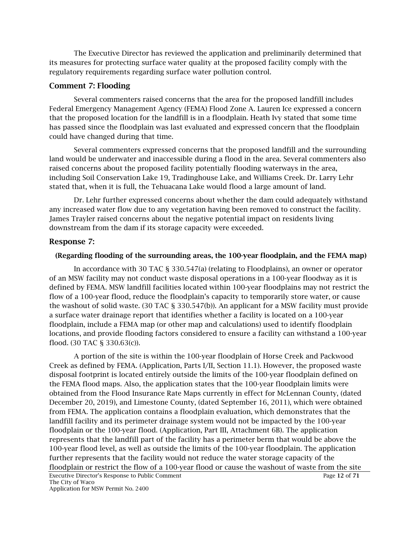The Executive Director has reviewed the application and preliminarily determined that its measures for protecting surface water quality at the proposed facility comply with the regulatory requirements regarding surface water pollution control.

#### Comment 7: Flooding

Several commenters raised concerns that the area for the proposed landfill includes Federal Emergency Management Agency (FEMA) Flood Zone A. Lauren Ice expressed a concern that the proposed location for the landfill is in a floodplain. Heath Ivy stated that some time has passed since the floodplain was last evaluated and expressed concern that the floodplain could have changed during that time.

Several commenters expressed concerns that the proposed landfill and the surrounding land would be underwater and inaccessible during a flood in the area. Several commenters also raised concerns about the proposed facility potentially flooding waterways in the area, including Soil Conservation Lake 19, Tradinghouse Lake, and Williams Creek. Dr. Larry Lehr stated that, when it is full, the Tehuacana Lake would flood a large amount of land.

Dr. Lehr further expressed concerns about whether the dam could adequately withstand any increased water flow due to any vegetation having been removed to construct the facility. James Trayler raised concerns about the negative potential impact on residents living downstream from the dam if its storage capacity were exceeded.

#### Response 7:

#### (Regarding flooding of the surrounding areas, the 100-year floodplain, and the FEMA map)

In accordance with 30 TAC § 330.547(a) (relating to Floodplains), an owner or operator of an MSW facility may not conduct waste disposal operations in a 100-year floodway as it is defined by FEMA. MSW landfill facilities located within 100-year floodplains may not restrict the flow of a 100-year flood, reduce the floodplain's capacity to temporarily store water, or cause the washout of solid waste. (30 TAC § 330.547(b)). An applicant for a MSW facility must provide a surface water drainage report that identifies whether a facility is located on a 100-year floodplain, include a FEMA map (or other map and calculations) used to identify floodplain locations, and provide flooding factors considered to ensure a facility can withstand a 100-year flood. (30 TAC § 330.63(c)).

A portion of the site is within the 100-year floodplain of Horse Creek and Packwood Creek as defined by FEMA. (Application, Parts I/II, Section 11.1). However, the proposed waste disposal footprint is located entirely outside the limits of the 100-year floodplain defined on the FEMA flood maps. Also, the application states that the 100-year floodplain limits were obtained from the Flood Insurance Rate Maps currently in effect for McLennan County, (dated December 20, 2019), and Limestone County, (dated September 16, 2011), which were obtained from FEMA. The application contains a floodplain evaluation, which demonstrates that the landfill facility and its perimeter drainage system would not be impacted by the 100-year floodplain or the 100-year flood. (Application, Part III, Attachment 6B). The application represents that the landfill part of the facility has a perimeter berm that would be above the 100-year flood level, as well as outside the limits of the 100-year floodplain. The application further represents that the facility would not reduce the water storage capacity of the floodplain or restrict the flow of a 100-year flood or cause the washout of waste from the site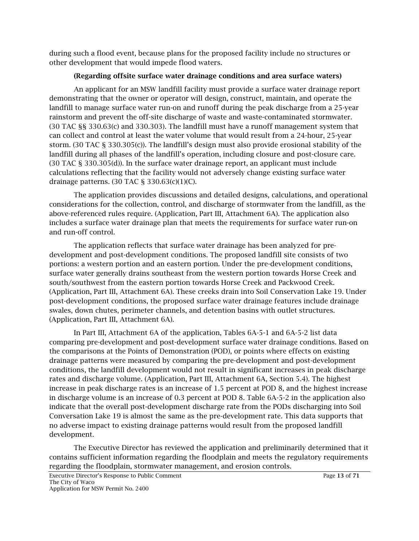during such a flood event, because plans for the proposed facility include no structures or other development that would impede flood waters.

#### (Regarding offsite surface water drainage conditions and area surface waters)

An applicant for an MSW landfill facility must provide a surface water drainage report demonstrating that the owner or operator will design, construct, maintain, and operate the landfill to manage surface water run-on and runoff during the peak discharge from a 25-year rainstorm and prevent the off-site discharge of waste and waste-contaminated stormwater. (30 TAC §§ 330.63(c) and 330.303). The landfill must have a runoff management system that can collect and control at least the water volume that would result from a 24-hour, 25-year storm. (30 TAC § 330.305(c)). The landfill's design must also provide erosional stability of the landfill during all phases of the landfill's operation, including closure and post-closure care. (30 TAC § 330.305(d)). In the surface water drainage report, an applicant must include calculations reflecting that the facility would not adversely change existing surface water drainage patterns. (30 TAC § 330.63(c)(1)(C).

The application provides discussions and detailed designs, calculations, and operational considerations for the collection, control, and discharge of stormwater from the landfill, as the above-referenced rules require. (Application, Part III, Attachment 6A). The application also includes a surface water drainage plan that meets the requirements for surface water run-on and run-off control.

The application reflects that surface water drainage has been analyzed for predevelopment and post-development conditions. The proposed landfill site consists of two portions: a western portion and an eastern portion. Under the pre-development conditions, surface water generally drains southeast from the western portion towards Horse Creek and south/southwest from the eastern portion towards Horse Creek and Packwood Creek. (Application, Part III, Attachment 6A). These creeks drain into Soil Conservation Lake 19. Under post-development conditions, the proposed surface water drainage features include drainage swales, down chutes, perimeter channels, and detention basins with outlet structures. (Application, Part III, Attachment 6A).

In Part III, Attachment 6A of the application, Tables 6A-5-1 and 6A-5-2 list data comparing pre-development and post-development surface water drainage conditions. Based on the comparisons at the Points of Demonstration (POD), or points where effects on existing drainage patterns were measured by comparing the pre-development and post-development conditions, the landfill development would not result in significant increases in peak discharge rates and discharge volume. (Application, Part III, Attachment 6A, Section 5.4). The highest increase in peak discharge rates is an increase of 1.5 percent at POD 8, and the highest increase in discharge volume is an increase of 0.3 percent at POD 8. Table 6A-5-2 in the application also indicate that the overall post-development discharge rate from the PODs discharging into Soil Conversation Lake 19 is almost the same as the pre-development rate. This data supports that no adverse impact to existing drainage patterns would result from the proposed landfill development.

The Executive Director has reviewed the application and preliminarily determined that it contains sufficient information regarding the floodplain and meets the regulatory requirements regarding the floodplain, stormwater management, and erosion controls.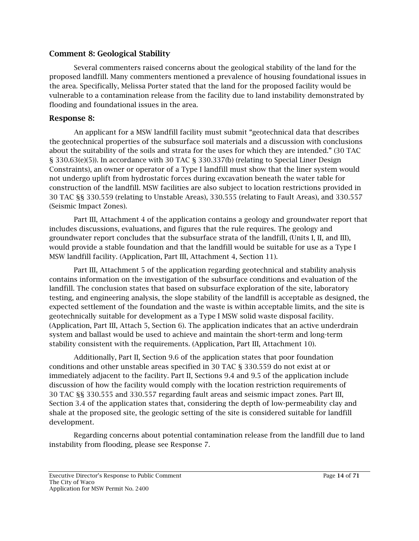#### Comment 8: Geological Stability

Several commenters raised concerns about the geological stability of the land for the proposed landfill. Many commenters mentioned a prevalence of housing foundational issues in the area. Specifically, Melissa Porter stated that the land for the proposed facility would be vulnerable to a contamination release from the facility due to land instability demonstrated by flooding and foundational issues in the area.

#### Response 8:

An applicant for a MSW landfill facility must submit "geotechnical data that describes the geotechnical properties of the subsurface soil materials and a discussion with conclusions about the suitability of the soils and strata for the uses for which they are intended." (30 TAC § 330.63(e)(5)). In accordance with 30 TAC § 330.337(b) (relating to Special Liner Design Constraints), an owner or operator of a Type I landfill must show that the liner system would not undergo uplift from hydrostatic forces during excavation beneath the water table for construction of the landfill. MSW facilities are also subject to location restrictions provided in 30 TAC §§ 330.559 (relating to Unstable Areas), 330.555 (relating to Fault Areas), and 330.557 (Seismic Impact Zones).

Part III, Attachment 4 of the application contains a geology and groundwater report that includes discussions, evaluations, and figures that the rule requires. The geology and groundwater report concludes that the subsurface strata of the landfill, (Units I, II, and III), would provide a stable foundation and that the landfill would be suitable for use as a Type I MSW landfill facility. (Application, Part III, Attachment 4, Section 11).

Part III, Attachment 5 of the application regarding geotechnical and stability analysis contains information on the investigation of the subsurface conditions and evaluation of the landfill. The conclusion states that based on subsurface exploration of the site, laboratory testing, and engineering analysis, the slope stability of the landfill is acceptable as designed, the expected settlement of the foundation and the waste is within acceptable limits, and the site is geotechnically suitable for development as a Type I MSW solid waste disposal facility. (Application, Part III, Attach 5, Section 6). The application indicates that an active underdrain system and ballast would be used to achieve and maintain the short-term and long-term stability consistent with the requirements. (Application, Part III, Attachment 10).

Additionally, Part II, Section 9.6 of the application states that poor foundation conditions and other unstable areas specified in 30 TAC § 330.559 do not exist at or immediately adjacent to the facility. Part II, Sections 9.4 and 9.5 of the application include discussion of how the facility would comply with the location restriction requirements of 30 TAC §§ 330.555 and 330.557 regarding fault areas and seismic impact zones. Part III, Section 3.4 of the application states that, considering the depth of low-permeability clay and shale at the proposed site, the geologic setting of the site is considered suitable for landfill development.

Regarding concerns about potential contamination release from the landfill due to land instability from flooding, please see Response 7.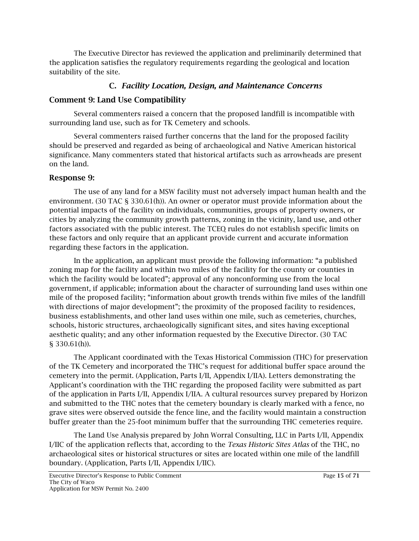The Executive Director has reviewed the application and preliminarily determined that the application satisfies the regulatory requirements regarding the geological and location suitability of the site.

# C. *Facility Location, Design, and Maintenance Concerns*

# Comment 9: Land Use Compatibility

Several commenters raised a concern that the proposed landfill is incompatible with surrounding land use, such as for TK Cemetery and schools.

Several commenters raised further concerns that the land for the proposed facility should be preserved and regarded as being of archaeological and Native American historical significance. Many commenters stated that historical artifacts such as arrowheads are present on the land.

### Response 9:

The use of any land for a MSW facility must not adversely impact human health and the environment. (30 TAC § 330.61(h)). An owner or operator must provide information about the potential impacts of the facility on individuals, communities, groups of property owners, or cities by analyzing the community growth patterns, zoning in the vicinity, land use, and other factors associated with the public interest. The TCEQ rules do not establish specific limits on these factors and only require that an applicant provide current and accurate information regarding these factors in the application.

In the application, an applicant must provide the following information: "a published zoning map for the facility and within two miles of the facility for the county or counties in which the facility would be located"; approval of any nonconforming use from the local government, if applicable; information about the character of surrounding land uses within one mile of the proposed facility; "information about growth trends within five miles of the landfill with directions of major development"; the proximity of the proposed facility to residences, business establishments, and other land uses within one mile, such as cemeteries, churches, schools, historic structures, archaeologically significant sites, and sites having exceptional aesthetic quality; and any other information requested by the Executive Director. (30 TAC § 330.61(h)).

The Applicant coordinated with the Texas Historical Commission (THC) for preservation of the TK Cemetery and incorporated the THC's request for additional buffer space around the cemetery into the permit. (Application, Parts I/II, Appendix I/IIA). Letters demonstrating the Applicant's coordination with the THC regarding the proposed facility were submitted as part of the application in Parts I/II, Appendix I/IIA. A cultural resources survey prepared by Horizon and submitted to the THC notes that the cemetery boundary is clearly marked with a fence, no grave sites were observed outside the fence line, and the facility would maintain a construction buffer greater than the 25-foot minimum buffer that the surrounding THC cemeteries require.

The Land Use Analysis prepared by John Worral Consulting, LLC in Parts I/II, Appendix I/IIC of the application reflects that, according to the *Texas Historic Sites Atlas* of the THC, no archaeological sites or historical structures or sites are located within one mile of the landfill boundary. (Application, Parts I/II, Appendix I/IIC).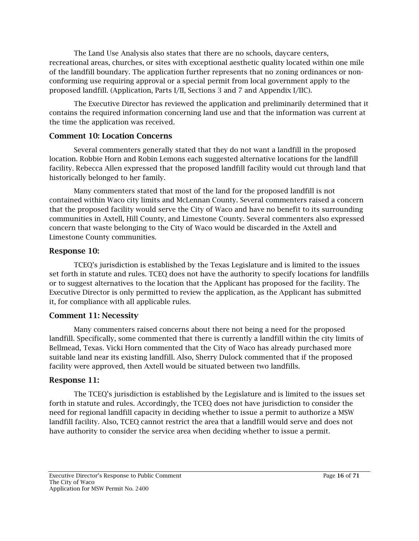The Land Use Analysis also states that there are no schools, daycare centers, recreational areas, churches, or sites with exceptional aesthetic quality located within one mile of the landfill boundary. The application further represents that no zoning ordinances or nonconforming use requiring approval or a special permit from local government apply to the proposed landfill. (Application, Parts I/II, Sections 3 and 7 and Appendix I/IIC).

The Executive Director has reviewed the application and preliminarily determined that it contains the required information concerning land use and that the information was current at the time the application was received.

### Comment 10: Location Concerns

Several commenters generally stated that they do not want a landfill in the proposed location. Robbie Horn and Robin Lemons each suggested alternative locations for the landfill facility. Rebecca Allen expressed that the proposed landfill facility would cut through land that historically belonged to her family.

Many commenters stated that most of the land for the proposed landfill is not contained within Waco city limits and McLennan County. Several commenters raised a concern that the proposed facility would serve the City of Waco and have no benefit to its surrounding communities in Axtell, Hill County, and Limestone County. Several commenters also expressed concern that waste belonging to the City of Waco would be discarded in the Axtell and Limestone County communities.

# Response 10:

TCEQ's jurisdiction is established by the Texas Legislature and is limited to the issues set forth in statute and rules. TCEQ does not have the authority to specify locations for landfills or to suggest alternatives to the location that the Applicant has proposed for the facility. The Executive Director is only permitted to review the application, as the Applicant has submitted it, for compliance with all applicable rules.

# Comment 11: Necessity

Many commenters raised concerns about there not being a need for the proposed landfill. Specifically, some commented that there is currently a landfill within the city limits of Bellmead, Texas. Vicki Horn commented that the City of Waco has already purchased more suitable land near its existing landfill. Also, Sherry Dulock commented that if the proposed facility were approved, then Axtell would be situated between two landfills.

# Response 11:

The TCEQ's jurisdiction is established by the Legislature and is limited to the issues set forth in statute and rules. Accordingly, the TCEQ does not have jurisdiction to consider the need for regional landfill capacity in deciding whether to issue a permit to authorize a MSW landfill facility. Also, TCEQ cannot restrict the area that a landfill would serve and does not have authority to consider the service area when deciding whether to issue a permit.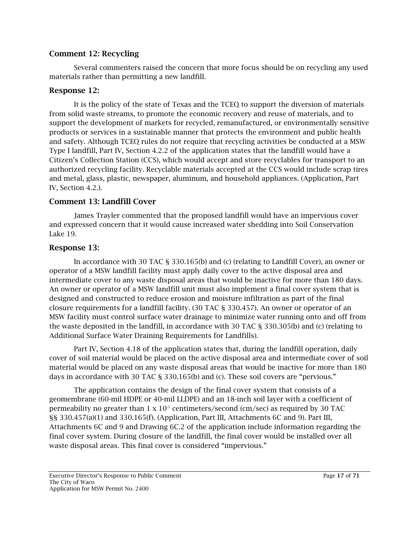#### Comment 12: Recycling

Several commenters raised the concern that more focus should be on recycling any used materials rather than permitting a new landfill.

### Response 12:

It is the policy of the state of Texas and the TCEQ to support the diversion of materials from solid waste streams, to promote the economic recovery and reuse of materials, and to support the development of markets for recycled, remanufactured, or environmentally sensitive products or services in a sustainable manner that protects the environment and public health and safety. Although TCEQ rules do not require that recycling activities be conducted at a MSW Type I landfill, Part IV, Section 4.2.2 of the application states that the landfill would have a Citizen's Collection Station (CCS), which would accept and store recyclables for transport to an authorized recycling facility. Recyclable materials accepted at the CCS would include scrap tires and metal, glass, plastic, newspaper, aluminum, and household appliances. (Application, Part IV, Section 4.2.).

### Comment 13: Landfill Cover

James Trayler commented that the proposed landfill would have an impervious cover and expressed concern that it would cause increased water shedding into Soil Conservation Lake 19.

### Response 13:

In accordance with 30 TAC § 330.165(b) and (c) (relating to Landfill Cover), an owner or operator of a MSW landfill facility must apply daily cover to the active disposal area and intermediate cover to any waste disposal areas that would be inactive for more than 180 days. An owner or operator of a MSW landfill unit must also implement a final cover system that is designed and constructed to reduce erosion and moisture infiltration as part of the final closure requirements for a landfill facility. (30 TAC § 330.457). An owner or operator of an MSW facility must control surface water drainage to minimize water running onto and off from the waste deposited in the landfill, in accordance with 30 TAC § 330.305(b) and (c) (relating to Additional Surface Water Draining Requirements for Landfills).

Part IV, Section 4.18 of the application states that, during the landfill operation, daily cover of soil material would be placed on the active disposal area and intermediate cover of soil material would be placed on any waste disposal areas that would be inactive for more than 180 days in accordance with 30 TAC § 330.165(b) and (c). These soil covers are "pervious."

The application contains the design of the final cover system that consists of a geomembrane (60-mil HDPE or 40-mil LLDPE) and an 18-inch soil layer with a coefficient of permeability no greater than  $1 \times 10^{-5}$  centimeters/second (cm/sec) as required by 30 TAC §§ 330.457(a)(1) and 330.165(f). (Application, Part III, Attachments 6C and 9). Part III, Attachments 6C and 9 and Drawing 6C.2 of the application include information regarding the final cover system. During closure of the landfill, the final cover would be installed over all waste disposal areas. This final cover is considered "impervious."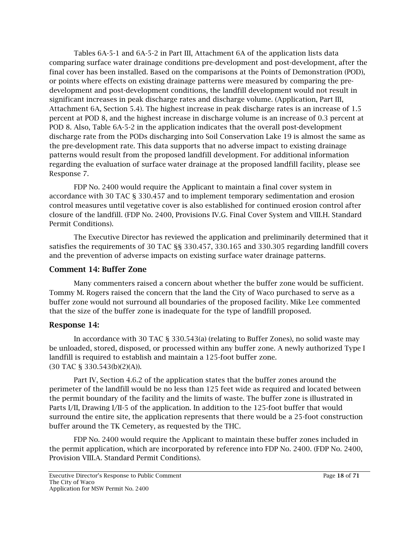Tables 6A-5-1 and 6A-5-2 in Part III, Attachment 6A of the application lists data comparing surface water drainage conditions pre-development and post-development, after the final cover has been installed. Based on the comparisons at the Points of Demonstration (POD), or points where effects on existing drainage patterns were measured by comparing the predevelopment and post-development conditions, the landfill development would not result in significant increases in peak discharge rates and discharge volume. (Application, Part III, Attachment 6A, Section 5.4). The highest increase in peak discharge rates is an increase of 1.5 percent at POD 8, and the highest increase in discharge volume is an increase of 0.3 percent at POD 8. Also, Table 6A-5-2 in the application indicates that the overall post-development discharge rate from the PODs discharging into Soil Conservation Lake 19 is almost the same as the pre-development rate. This data supports that no adverse impact to existing drainage patterns would result from the proposed landfill development. For additional information regarding the evaluation of surface water drainage at the proposed landfill facility, please see Response 7.

FDP No. 2400 would require the Applicant to maintain a final cover system in accordance with 30 TAC § 330.457 and to implement temporary sedimentation and erosion control measures until vegetative cover is also established for continued erosion control after closure of the landfill. (FDP No. 2400, Provisions IV.G. Final Cover System and VIII.H. Standard Permit Conditions).

The Executive Director has reviewed the application and preliminarily determined that it satisfies the requirements of 30 TAC §§ 330.457, 330.165 and 330.305 regarding landfill covers and the prevention of adverse impacts on existing surface water drainage patterns.

#### Comment 14: Buffer Zone

Many commenters raised a concern about whether the buffer zone would be sufficient. Tommy M. Rogers raised the concern that the land the City of Waco purchased to serve as a buffer zone would not surround all boundaries of the proposed facility. Mike Lee commented that the size of the buffer zone is inadequate for the type of landfill proposed.

#### Response 14:

In accordance with 30 TAC § 330.543(a) (relating to Buffer Zones), no solid waste may be unloaded, stored, disposed, or processed within any buffer zone. A newly authorized Type I landfill is required to establish and maintain a 125-foot buffer zone. (30 TAC § 330.543(b)(2)(A)).

Part IV, Section 4.6.2 of the application states that the buffer zones around the perimeter of the landfill would be no less than 125 feet wide as required and located between the permit boundary of the facility and the limits of waste. The buffer zone is illustrated in Parts I/II, Drawing I/II-5 of the application. In addition to the 125-foot buffer that would surround the entire site, the application represents that there would be a 25-foot construction buffer around the TK Cemetery, as requested by the THC.

FDP No. 2400 would require the Applicant to maintain these buffer zones included in the permit application, which are incorporated by reference into FDP No. 2400. (FDP No. 2400, Provision VIII.A. Standard Permit Conditions).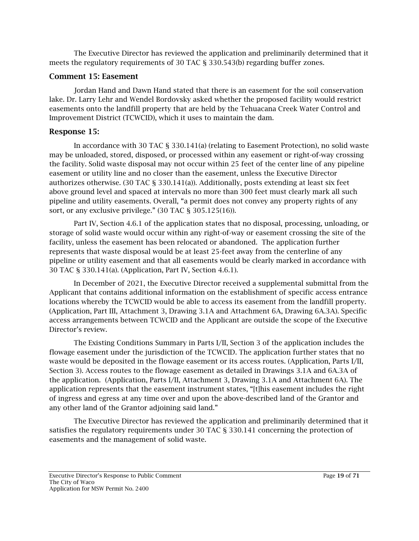The Executive Director has reviewed the application and preliminarily determined that it meets the regulatory requirements of 30 TAC § 330.543(b) regarding buffer zones.

#### Comment 15: Easement

Jordan Hand and Dawn Hand stated that there is an easement for the soil conservation lake. Dr. Larry Lehr and Wendel Bordovsky asked whether the proposed facility would restrict easements onto the landfill property that are held by the Tehuacana Creek Water Control and Improvement District (TCWCID), which it uses to maintain the dam.

# Response 15:

In accordance with 30 TAC § 330.141(a) (relating to Easement Protection), no solid waste may be unloaded, stored, disposed, or processed within any easement or right-of-way crossing the facility. Solid waste disposal may not occur within 25 feet of the center line of any pipeline easement or utility line and no closer than the easement, unless the Executive Director authorizes otherwise. (30 TAC § 330.141(a)). Additionally, posts extending at least six feet above ground level and spaced at intervals no more than 300 feet must clearly mark all such pipeline and utility easements. Overall, "a permit does not convey any property rights of any sort, or any exclusive privilege." (30 TAC § 305.125(16)).

Part IV, Section 4.6.1 of the application states that no disposal, processing, unloading, or storage of solid waste would occur within any right-of-way or easement crossing the site of the facility, unless the easement has been relocated or abandoned. The application further represents that waste disposal would be at least 25-feet away from the centerline of any pipeline or utility easement and that all easements would be clearly marked in accordance with 30 TAC § 330.141(a). (Application, Part IV, Section 4.6.1).

In December of 2021, the Executive Director received a supplemental submittal from the Applicant that contains additional information on the establishment of specific access entrance locations whereby the TCWCID would be able to access its easement from the landfill property. (Application, Part III, Attachment 3, Drawing 3.1A and Attachment 6A, Drawing 6A.3A). Specific access arrangements between TCWCID and the Applicant are outside the scope of the Executive Director's review.

The Existing Conditions Summary in Parts I/II, Section 3 of the application includes the flowage easement under the jurisdiction of the TCWCID. The application further states that no waste would be deposited in the flowage easement or its access routes. (Application, Parts I/II, Section 3). Access routes to the flowage easement as detailed in Drawings 3.1A and 6A.3A of the application. (Application, Parts I/II, Attachment 3, Drawing 3.1A and Attachment 6A). The application represents that the easement instrument states, "[t]his easement includes the right of ingress and egress at any time over and upon the above-described land of the Grantor and any other land of the Grantor adjoining said land."

The Executive Director has reviewed the application and preliminarily determined that it satisfies the regulatory requirements under 30 TAC § 330.141 concerning the protection of easements and the management of solid waste.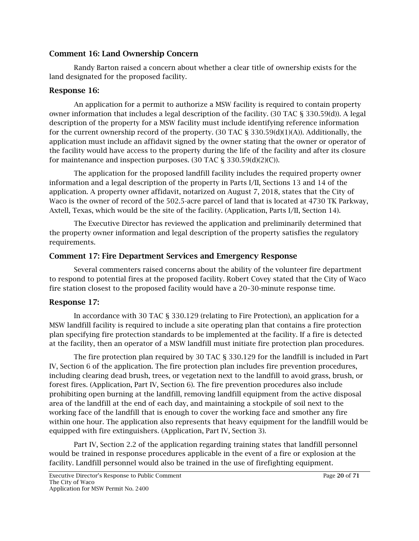#### Comment 16: Land Ownership Concern

Randy Barton raised a concern about whether a clear title of ownership exists for the land designated for the proposed facility.

#### Response 16:

An application for a permit to authorize a MSW facility is required to contain property owner information that includes a legal description of the facility. (30 TAC § 330.59(d)). A legal description of the property for a MSW facility must include identifying reference information for the current ownership record of the property. (30 TAC  $\S$  330.59(d)(1)(A)). Additionally, the application must include an affidavit signed by the owner stating that the owner or operator of the facility would have access to the property during the life of the facility and after its closure for maintenance and inspection purposes. (30 TAC § 330.59(d)(2)(C)).

The application for the proposed landfill facility includes the required property owner information and a legal description of the property in Parts I/II, Sections 13 and 14 of the application. A property owner affidavit, notarized on August 7, 2018, states that the City of Waco is the owner of record of the 502.5-acre parcel of land that is located at 4730 TK Parkway, Axtell, Texas, which would be the site of the facility. (Application, Parts I/II, Section 14).

The Executive Director has reviewed the application and preliminarily determined that the property owner information and legal description of the property satisfies the regulatory requirements.

#### Comment 17: Fire Department Services and Emergency Response

Several commenters raised concerns about the ability of the volunteer fire department to respond to potential fires at the proposed facility. Robert Covey stated that the City of Waco fire station closest to the proposed facility would have a 20–30-minute response time.

#### Response 17:

In accordance with 30 TAC § 330.129 (relating to Fire Protection), an application for a MSW landfill facility is required to include a site operating plan that contains a fire protection plan specifying fire protection standards to be implemented at the facility. If a fire is detected at the facility, then an operator of a MSW landfill must initiate fire protection plan procedures.

The fire protection plan required by 30 TAC § 330.129 for the landfill is included in Part IV, Section 6 of the application. The fire protection plan includes fire prevention procedures, including clearing dead brush, trees, or vegetation next to the landfill to avoid grass, brush, or forest fires. (Application, Part IV, Section 6). The fire prevention procedures also include prohibiting open burning at the landfill, removing landfill equipment from the active disposal area of the landfill at the end of each day, and maintaining a stockpile of soil next to the working face of the landfill that is enough to cover the working face and smother any fire within one hour. The application also represents that heavy equipment for the landfill would be equipped with fire extinguishers. (Application, Part IV, Section 3).

Part IV, Section 2.2 of the application regarding training states that landfill personnel would be trained in response procedures applicable in the event of a fire or explosion at the facility. Landfill personnel would also be trained in the use of firefighting equipment.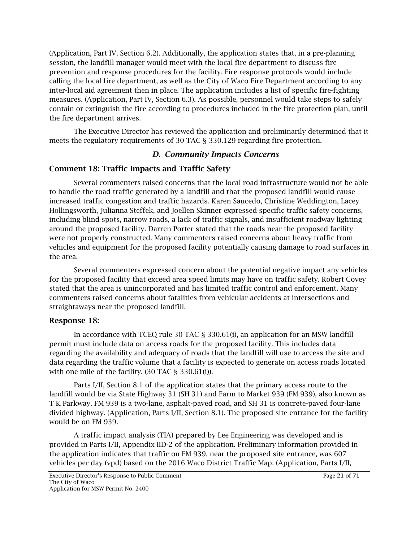(Application, Part IV, Section 6.2). Additionally, the application states that, in a pre-planning session, the landfill manager would meet with the local fire department to discuss fire prevention and response procedures for the facility. Fire response protocols would include calling the local fire department, as well as the City of Waco Fire Department according to any inter-local aid agreement then in place. The application includes a list of specific fire-fighting measures. (Application, Part IV, Section 6.3). As possible, personnel would take steps to safely contain or extinguish the fire according to procedures included in the fire protection plan, until the fire department arrives.

The Executive Director has reviewed the application and preliminarily determined that it meets the regulatory requirements of 30 TAC § 330.129 regarding fire protection.

# *D. Community Impacts Concerns*

### Comment 18: Traffic Impacts and Traffic Safety

Several commenters raised concerns that the local road infrastructure would not be able to handle the road traffic generated by a landfill and that the proposed landfill would cause increased traffic congestion and traffic hazards. Karen Saucedo, Christine Weddington, Lacey Hollingsworth, Julianna Steffek, and Joellen Skinner expressed specific traffic safety concerns, including blind spots, narrow roads, a lack of traffic signals, and insufficient roadway lighting around the proposed facility. Darren Porter stated that the roads near the proposed facility were not properly constructed. Many commenters raised concerns about heavy traffic from vehicles and equipment for the proposed facility potentially causing damage to road surfaces in the area.

Several commenters expressed concern about the potential negative impact any vehicles for the proposed facility that exceed area speed limits may have on traffic safety. Robert Covey stated that the area is unincorporated and has limited traffic control and enforcement. Many commenters raised concerns about fatalities from vehicular accidents at intersections and straightaways near the proposed landfill.

#### Response 18:

In accordance with TCEQ rule 30 TAC § 330.61(i), an application for an MSW landfill permit must include data on access roads for the proposed facility. This includes data regarding the availability and adequacy of roads that the landfill will use to access the site and data regarding the traffic volume that a facility is expected to generate on access roads located with one mile of the facility. (30 TAC § 330.61(i)).

Parts I/II, Section 8.1 of the application states that the primary access route to the landfill would be via State Highway 31 (SH 31) and Farm to Market 939 (FM 939), also known as T K Parkway. FM 939 is a two-lane, asphalt-paved road, and SH 31 is concrete-paved four-lane divided highway. (Application, Parts I/II, Section 8.1). The proposed site entrance for the facility would be on FM 939.

A traffic impact analysis (TIA) prepared by Lee Engineering was developed and is provided in Parts I/II, Appendix IID-2 of the application. Preliminary information provided in the application indicates that traffic on FM 939, near the proposed site entrance, was 607 vehicles per day (vpd) based on the 2016 Waco District Traffic Map. (Application, Parts I/II,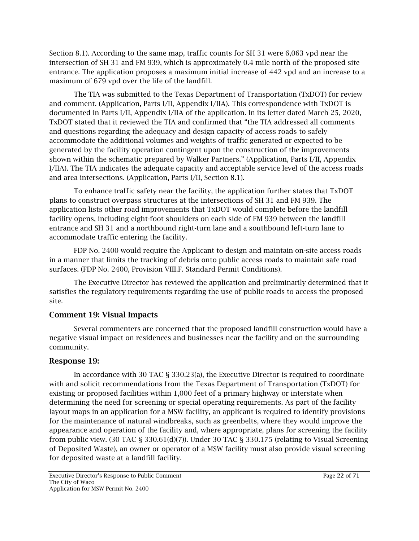Section 8.1). According to the same map, traffic counts for SH 31 were 6,063 vpd near the intersection of SH 31 and FM 939, which is approximately 0.4 mile north of the proposed site entrance. The application proposes a maximum initial increase of 442 vpd and an increase to a maximum of 679 vpd over the life of the landfill.

The TIA was submitted to the Texas Department of Transportation (TxDOT) for review and comment. (Application, Parts I/II, Appendix I/IIA). This correspondence with TxDOT is documented in Parts I/II, Appendix I/IIA of the application. In its letter dated March 25, 2020, TxDOT stated that it reviewed the TIA and confirmed that "the TIA addressed all comments and questions regarding the adequacy and design capacity of access roads to safely accommodate the additional volumes and weights of traffic generated or expected to be generated by the facility operation contingent upon the construction of the improvements shown within the schematic prepared by Walker Partners." (Application, Parts I/II, Appendix I/IIA). The TIA indicates the adequate capacity and acceptable service level of the access roads and area intersections. (Application, Parts I/II, Section 8.1).

To enhance traffic safety near the facility, the application further states that TxDOT plans to construct overpass structures at the intersections of SH 31 and FM 939. The application lists other road improvements that TxDOT would complete before the landfill facility opens, including eight-foot shoulders on each side of FM 939 between the landfill entrance and SH 31 and a northbound right-turn lane and a southbound left-turn lane to accommodate traffic entering the facility.

FDP No. 2400 would require the Applicant to design and maintain on-site access roads in a manner that limits the tracking of debris onto public access roads to maintain safe road surfaces. (FDP No. 2400, Provision VIII.F. Standard Permit Conditions).

The Executive Director has reviewed the application and preliminarily determined that it satisfies the regulatory requirements regarding the use of public roads to access the proposed site.

# Comment 19: Visual Impacts

Several commenters are concerned that the proposed landfill construction would have a negative visual impact on residences and businesses near the facility and on the surrounding community.

# Response 19:

In accordance with 30 TAC § 330.23(a), the Executive Director is required to coordinate with and solicit recommendations from the Texas Department of Transportation (TxDOT) for existing or proposed facilities within 1,000 feet of a primary highway or interstate when determining the need for screening or special operating requirements. As part of the facility layout maps in an application for a MSW facility, an applicant is required to identify provisions for the maintenance of natural windbreaks, such as greenbelts, where they would improve the appearance and operation of the facility and, where appropriate, plans for screening the facility from public view. (30 TAC § 330.61(d)(7)). Under 30 TAC § 330.175 (relating to Visual Screening of Deposited Waste), an owner or operator of a MSW facility must also provide visual screening for deposited waste at a landfill facility.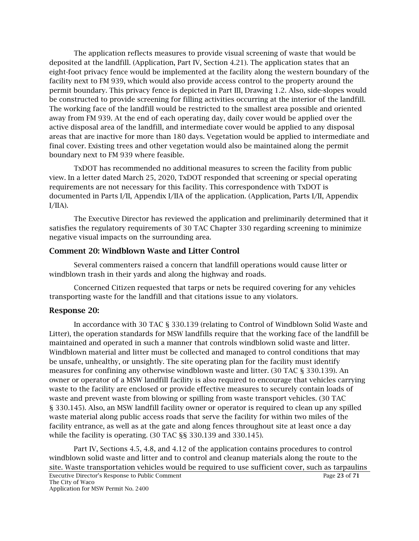The application reflects measures to provide visual screening of waste that would be deposited at the landfill. (Application, Part IV, Section 4.21). The application states that an eight-foot privacy fence would be implemented at the facility along the western boundary of the facility next to FM 939, which would also provide access control to the property around the permit boundary. This privacy fence is depicted in Part III, Drawing 1.2. Also, side-slopes would be constructed to provide screening for filling activities occurring at the interior of the landfill. The working face of the landfill would be restricted to the smallest area possible and oriented away from FM 939. At the end of each operating day, daily cover would be applied over the active disposal area of the landfill, and intermediate cover would be applied to any disposal areas that are inactive for more than 180 days. Vegetation would be applied to intermediate and final cover. Existing trees and other vegetation would also be maintained along the permit boundary next to FM 939 where feasible.

TxDOT has recommended no additional measures to screen the facility from public view. In a letter dated March 25, 2020, TxDOT responded that screening or special operating requirements are not necessary for this facility. This correspondence with TxDOT is documented in Parts I/II, Appendix I/IIA of the application. (Application, Parts I/II, Appendix  $I/IIA$ ).

The Executive Director has reviewed the application and preliminarily determined that it satisfies the regulatory requirements of 30 TAC Chapter 330 regarding screening to minimize negative visual impacts on the surrounding area.

## Comment 20: Windblown Waste and Litter Control

Several commenters raised a concern that landfill operations would cause litter or windblown trash in their yards and along the highway and roads.

Concerned Citizen requested that tarps or nets be required covering for any vehicles transporting waste for the landfill and that citations issue to any violators.

# Response 20:

In accordance with 30 TAC § 330.139 (relating to Control of Windblown Solid Waste and Litter), the operation standards for MSW landfills require that the working face of the landfill be maintained and operated in such a manner that controls windblown solid waste and litter. Windblown material and litter must be collected and managed to control conditions that may be unsafe, unhealthy, or unsightly. The site operating plan for the facility must identify measures for confining any otherwise windblown waste and litter. (30 TAC § 330.139). An owner or operator of a MSW landfill facility is also required to encourage that vehicles carrying waste to the facility are enclosed or provide effective measures to securely contain loads of waste and prevent waste from blowing or spilling from waste transport vehicles. (30 TAC § 330.145). Also, an MSW landfill facility owner or operator is required to clean up any spilled waste material along public access roads that serve the facility for within two miles of the facility entrance, as well as at the gate and along fences throughout site at least once a day while the facility is operating. (30 TAC §§ 330.139 and 330.145).

Part IV, Sections 4.5, 4.8, and 4.12 of the application contains procedures to control windblown solid waste and litter and to control and cleanup materials along the route to the site. Waste transportation vehicles would be required to use sufficient cover, such as tarpaulins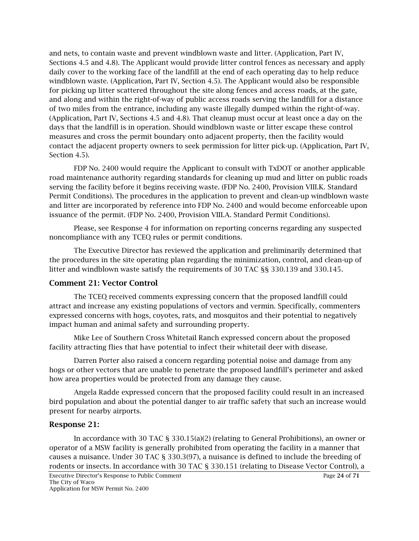and nets, to contain waste and prevent windblown waste and litter. (Application, Part IV, Sections 4.5 and 4.8). The Applicant would provide litter control fences as necessary and apply daily cover to the working face of the landfill at the end of each operating day to help reduce windblown waste. (Application, Part IV, Section 4.5). The Applicant would also be responsible for picking up litter scattered throughout the site along fences and access roads, at the gate, and along and within the right-of-way of public access roads serving the landfill for a distance of two miles from the entrance, including any waste illegally dumped within the right-of-way. (Application, Part IV, Sections 4.5 and 4.8). That cleanup must occur at least once a day on the days that the landfill is in operation. Should windblown waste or litter escape these control measures and cross the permit boundary onto adjacent property, then the facility would contact the adjacent property owners to seek permission for litter pick-up. (Application, Part IV, Section 4.5).

FDP No. 2400 would require the Applicant to consult with TxDOT or another applicable road maintenance authority regarding standards for cleaning up mud and litter on public roads serving the facility before it begins receiving waste. (FDP No. 2400, Provision VIII.K. Standard Permit Conditions). The procedures in the application to prevent and clean-up windblown waste and litter are incorporated by reference into FDP No. 2400 and would become enforceable upon issuance of the permit. (FDP No. 2400, Provision VIII.A. Standard Permit Conditions).

Please, see Response 4 for information on reporting concerns regarding any suspected noncompliance with any TCEQ rules or permit conditions.

The Executive Director has reviewed the application and preliminarily determined that the procedures in the site operating plan regarding the minimization, control, and clean-up of litter and windblown waste satisfy the requirements of 30 TAC §§ 330.139 and 330.145.

#### Comment 21: Vector Control

The TCEQ received comments expressing concern that the proposed landfill could attract and increase any existing populations of vectors and vermin. Specifically, commenters expressed concerns with hogs, coyotes, rats, and mosquitos and their potential to negatively impact human and animal safety and surrounding property.

Mike Lee of Southern Cross Whitetail Ranch expressed concern about the proposed facility attracting flies that have potential to infect their whitetail deer with disease.

Darren Porter also raised a concern regarding potential noise and damage from any hogs or other vectors that are unable to penetrate the proposed landfill's perimeter and asked how area properties would be protected from any damage they cause.

Angela Radde expressed concern that the proposed facility could result in an increased bird population and about the potential danger to air traffic safety that such an increase would present for nearby airports.

#### Response 21:

In accordance with 30 TAC § 330.15(a)(2) (relating to General Prohibitions), an owner or operator of a MSW facility is generally prohibited from operating the facility in a manner that causes a nuisance. Under 30 TAC § 330.3(97), a nuisance is defined to include the breeding of rodents or insects. In accordance with 30 TAC § 330.151 (relating to Disease Vector Control), a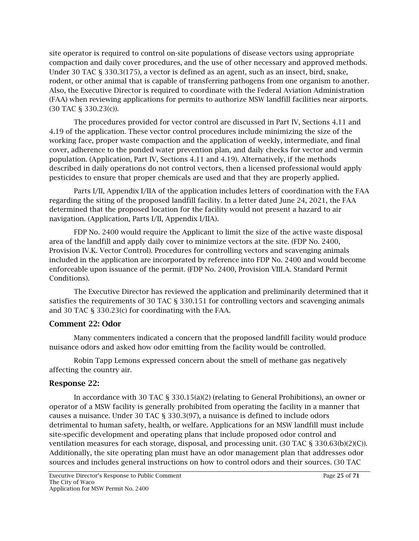site operator is required to control on-site populations of disease vectors using appropriate compaction and daily cover procedures, and the use of other necessary and approved methods. Under 30 TAC § 330.3(175), a vector is defined as an agent, such as an insect, bird, snake, rodent, or other animal that is capable of transferring pathogens from one organism to another. Also, the Executive Director is required to coordinate with the Federal Aviation Administration (FAA) when reviewing applications for permits to authorize MSW landfill facilities near airports. (30 TAC § 330.23(c)).

The procedures provided for vector control are discussed in Part IV, Sections 4.11 and 4.19 of the application. These vector control procedures include minimizing the size of the working face, proper waste compaction and the application of weekly, intermediate, and final cover, adherence to the ponded water prevention plan, and daily checks for vector and vermin population. (Application, Part IV, Sections 4.11 and 4.19). Alternatively, if the methods described in daily operations do not control vectors, then a licensed professional would apply pesticides to ensure that proper chemicals are used and that they are properly applied.

Parts I/II, Appendix I/IIA of the application includes letters of coordination with the FAA regarding the siting of the proposed landfill facility. In a letter dated June 24, 2021, the FAA determined that the proposed location for the facility would not present a hazard to air navigation. (Application, Parts I/II, Appendix I/IIA).

FDP No. 2400 would require the Applicant to limit the size of the active waste disposal area of the landfill and apply daily cover to minimize vectors at the site. (FDP No. 2400, Provision IV.K. Vector Control). Procedures for controlling vectors and scavenging animals included in the application are incorporated by reference into FDP No. 2400 and would become enforceable upon issuance of the permit. (FDP No. 2400, Provision VIII.A. Standard Permit Conditions).

The Executive Director has reviewed the application and preliminarily determined that it satisfies the requirements of 30 TAC § 330.151 for controlling vectors and scavenging animals and 30 TAC § 330.23(c) for coordinating with the FAA.

## Comment 22: Odor

Many commenters indicated a concern that the proposed landfill facility would produce nuisance odors and asked how odor emitting from the facility would be controlled.

Robin Tapp Lemons expressed concern about the smell of methane gas negatively affecting the country air.

## Response 22:

In accordance with 30 TAC § 330.15(a)(2) (relating to General Prohibitions), an owner or operator of a MSW facility is generally prohibited from operating the facility in a manner that causes a nuisance. Under 30 TAC § 330.3(97), a nuisance is defined to include odors detrimental to human safety, health, or welfare. Applications for an MSW landfill must include site-specific development and operating plans that include proposed odor control and ventilation measures for each storage, disposal, and processing unit. (30 TAC § 330.63(b)(2)(C)). Additionally, the site operating plan must have an odor management plan that addresses odor sources and includes general instructions on how to control odors and their sources. (30 TAC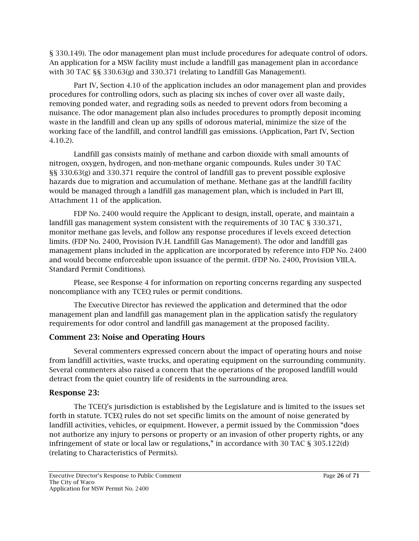§ 330.149). The odor management plan must include procedures for adequate control of odors. An application for a MSW facility must include a landfill gas management plan in accordance with 30 TAC §§ 330.63(g) and 330.371 (relating to Landfill Gas Management).

Part IV, Section 4.10 of the application includes an odor management plan and provides procedures for controlling odors, such as placing six inches of cover over all waste daily, removing ponded water, and regrading soils as needed to prevent odors from becoming a nuisance. The odor management plan also includes procedures to promptly deposit incoming waste in the landfill and clean up any spills of odorous material, minimize the size of the working face of the landfill, and control landfill gas emissions. (Application, Part IV, Section 4.10.2).

Landfill gas consists mainly of methane and carbon dioxide with small amounts of nitrogen, oxygen, hydrogen, and non-methane organic compounds. Rules under 30 TAC §§ 330.63(g) and 330.371 require the control of landfill gas to prevent possible explosive hazards due to migration and accumulation of methane. Methane gas at the landfill facility would be managed through a landfill gas management plan, which is included in Part III, Attachment 11 of the application.

FDP No. 2400 would require the Applicant to design, install, operate, and maintain a landfill gas management system consistent with the requirements of 30 TAC § 330.371, monitor methane gas levels, and follow any response procedures if levels exceed detection limits. (FDP No. 2400, Provision IV.H. Landfill Gas Management). The odor and landfill gas management plans included in the application are incorporated by reference into FDP No. 2400 and would become enforceable upon issuance of the permit. (FDP No. 2400, Provision VIII.A. Standard Permit Conditions).

Please, see Response 4 for information on reporting concerns regarding any suspected noncompliance with any TCEQ rules or permit conditions.

The Executive Director has reviewed the application and determined that the odor management plan and landfill gas management plan in the application satisfy the regulatory requirements for odor control and landfill gas management at the proposed facility.

# Comment 23: Noise and Operating Hours

Several commenters expressed concern about the impact of operating hours and noise from landfill activities, waste trucks, and operating equipment on the surrounding community. Several commenters also raised a concern that the operations of the proposed landfill would detract from the quiet country life of residents in the surrounding area.

## Response 23:

The TCEQ's jurisdiction is established by the Legislature and is limited to the issues set forth in statute. TCEQ rules do not set specific limits on the amount of noise generated by landfill activities, vehicles, or equipment. However, a permit issued by the Commission "does not authorize any injury to persons or property or an invasion of other property rights, or any infringement of state or local law or regulations," in accordance with 30 TAC § 305.122(d) (relating to Characteristics of Permits).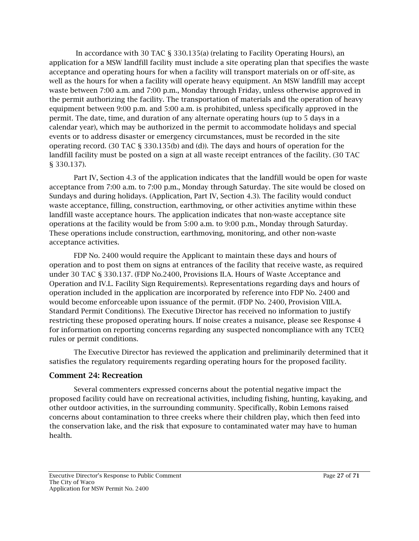In accordance with 30 TAC § 330.135(a) (relating to Facility Operating Hours), an application for a MSW landfill facility must include a site operating plan that specifies the waste acceptance and operating hours for when a facility will transport materials on or off-site, as well as the hours for when a facility will operate heavy equipment. An MSW landfill may accept waste between 7:00 a.m. and 7:00 p.m., Monday through Friday, unless otherwise approved in the permit authorizing the facility. The transportation of materials and the operation of heavy equipment between 9:00 p.m. and 5:00 a.m. is prohibited, unless specifically approved in the permit. The date, time, and duration of any alternate operating hours (up to 5 days in a calendar year), which may be authorized in the permit to accommodate holidays and special events or to address disaster or emergency circumstances, must be recorded in the site operating record. (30 TAC § 330.135(b) and (d)). The days and hours of operation for the landfill facility must be posted on a sign at all waste receipt entrances of the facility. (30 TAC § 330.137).

Part IV, Section 4.3 of the application indicates that the landfill would be open for waste acceptance from 7:00 a.m. to 7:00 p.m., Monday through Saturday. The site would be closed on Sundays and during holidays. (Application, Part IV, Section 4.3). The facility would conduct waste acceptance, filling, construction, earthmoving, or other activities anytime within these landfill waste acceptance hours. The application indicates that non-waste acceptance site operations at the facility would be from 5:00 a.m. to 9:00 p.m., Monday through Saturday. These operations include construction, earthmoving, monitoring, and other non-waste acceptance activities.

FDP No. 2400 would require the Applicant to maintain these days and hours of operation and to post them on signs at entrances of the facility that receive waste, as required under 30 TAC § 330.137. (FDP No.2400, Provisions II.A. Hours of Waste Acceptance and Operation and IV.L. Facility Sign Requirements). Representations regarding days and hours of operation included in the application are incorporated by reference into FDP No. 2400 and would become enforceable upon issuance of the permit. (FDP No. 2400, Provision VIII.A. Standard Permit Conditions). The Executive Director has received no information to justify restricting these proposed operating hours. If noise creates a nuisance, please see Response 4 for information on reporting concerns regarding any suspected noncompliance with any TCEQ rules or permit conditions.

The Executive Director has reviewed the application and preliminarily determined that it satisfies the regulatory requirements regarding operating hours for the proposed facility.

## Comment 24: Recreation

Several commenters expressed concerns about the potential negative impact the proposed facility could have on recreational activities, including fishing, hunting, kayaking, and other outdoor activities, in the surrounding community. Specifically, Robin Lemons raised concerns about contamination to three creeks where their children play, which then feed into the conservation lake, and the risk that exposure to contaminated water may have to human health.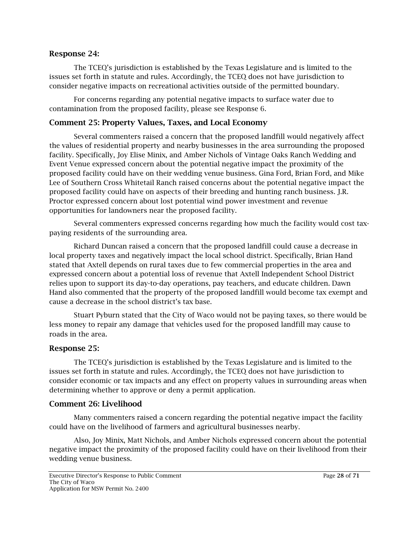#### Response 24:

The TCEQ's jurisdiction is established by the Texas Legislature and is limited to the issues set forth in statute and rules. Accordingly, the TCEQ does not have jurisdiction to consider negative impacts on recreational activities outside of the permitted boundary.

For concerns regarding any potential negative impacts to surface water due to contamination from the proposed facility, please see Response 6.

## Comment 25: Property Values, Taxes, and Local Economy

Several commenters raised a concern that the proposed landfill would negatively affect the values of residential property and nearby businesses in the area surrounding the proposed facility. Specifically, Joy Elise Minix, and Amber Nichols of Vintage Oaks Ranch Wedding and Event Venue expressed concern about the potential negative impact the proximity of the proposed facility could have on their wedding venue business. Gina Ford, Brian Ford, and Mike Lee of Southern Cross Whitetail Ranch raised concerns about the potential negative impact the proposed facility could have on aspects of their breeding and hunting ranch business. J.R. Proctor expressed concern about lost potential wind power investment and revenue opportunities for landowners near the proposed facility.

Several commenters expressed concerns regarding how much the facility would cost taxpaying residents of the surrounding area.

Richard Duncan raised a concern that the proposed landfill could cause a decrease in local property taxes and negatively impact the local school district. Specifically, Brian Hand stated that Axtell depends on rural taxes due to few commercial properties in the area and expressed concern about a potential loss of revenue that Axtell Independent School District relies upon to support its day-to-day operations, pay teachers, and educate children. Dawn Hand also commented that the property of the proposed landfill would become tax exempt and cause a decrease in the school district's tax base.

Stuart Pyburn stated that the City of Waco would not be paying taxes, so there would be less money to repair any damage that vehicles used for the proposed landfill may cause to roads in the area.

## Response 25:

The TCEQ's jurisdiction is established by the Texas Legislature and is limited to the issues set forth in statute and rules. Accordingly, the TCEQ does not have jurisdiction to consider economic or tax impacts and any effect on property values in surrounding areas when determining whether to approve or deny a permit application.

## Comment 26: Livelihood

Many commenters raised a concern regarding the potential negative impact the facility could have on the livelihood of farmers and agricultural businesses nearby.

Also, Joy Minix, Matt Nichols, and Amber Nichols expressed concern about the potential negative impact the proximity of the proposed facility could have on their livelihood from their wedding venue business.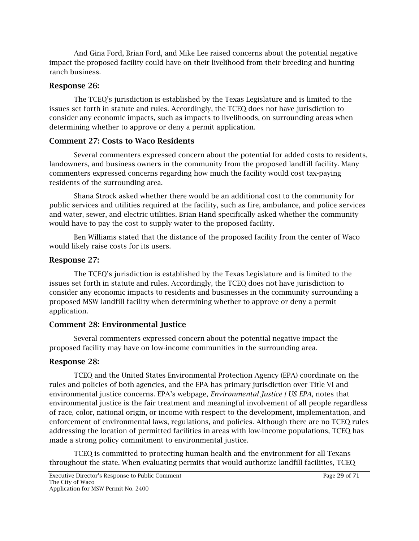And Gina Ford, Brian Ford, and Mike Lee raised concerns about the potential negative impact the proposed facility could have on their livelihood from their breeding and hunting ranch business.

## Response 26:

The TCEQ's jurisdiction is established by the Texas Legislature and is limited to the issues set forth in statute and rules. Accordingly, the TCEQ does not have jurisdiction to consider any economic impacts, such as impacts to livelihoods, on surrounding areas when determining whether to approve or deny a permit application.

## Comment 27: Costs to Waco Residents

Several commenters expressed concern about the potential for added costs to residents, landowners, and business owners in the community from the proposed landfill facility. Many commenters expressed concerns regarding how much the facility would cost tax-paying residents of the surrounding area.

Shana Strock asked whether there would be an additional cost to the community for public services and utilities required at the facility, such as fire, ambulance, and police services and water, sewer, and electric utilities. Brian Hand specifically asked whether the community would have to pay the cost to supply water to the proposed facility.

Ben Williams stated that the distance of the proposed facility from the center of Waco would likely raise costs for its users.

## Response 27:

The TCEQ's jurisdiction is established by the Texas Legislature and is limited to the issues set forth in statute and rules. Accordingly, the TCEQ does not have jurisdiction to consider any economic impacts to residents and businesses in the community surrounding a proposed MSW landfill facility when determining whether to approve or deny a permit application.

# Comment 28: Environmental Justice

Several commenters expressed concern about the potential negative impact the proposed facility may have on low-income communities in the surrounding area.

## Response 28:

TCEQ and the United States Environmental Protection Agency (EPA) coordinate on the rules and policies of both agencies, and the EPA has primary jurisdiction over Title VI and environmental justice concerns. EPA's webpage, *[Environmental Justice | US EPA](https://www.epa.gov/environmentaljustice)*, notes that environmental justice is the fair treatment and meaningful involvement of all people regardless of race, color, national origin, or income with respect to the development, implementation, and enforcement of environmental laws, regulations, and policies. Although there are no TCEQ rules addressing the location of permitted facilities in areas with low-income populations, TCEQ has made a strong policy commitment to environmental justice.

TCEQ is committed to protecting human health and the environment for all Texans throughout the state. When evaluating permits that would authorize landfill facilities, TCEQ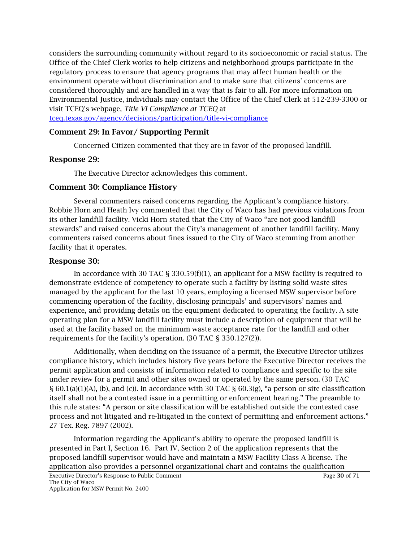considers the surrounding community without regard to its socioeconomic or racial status. The Office of the Chief Clerk works to help citizens and neighborhood groups participate in the regulatory process to ensure that agency programs that may affect human health or the environment operate without discrimination and to make sure that citizens' concerns are considered thoroughly and are handled in a way that is fair to all. For more information on Environmental Justice, individuals may contact the Office of the Chief Clerk at 512-239-3300 or visit TCEQ's webpage, *Title VI Compliance at TCEQ* at tceq.texas.gov/agency/decisions/participation/title-vi-compliance

## Comment 29: In Favor/ Supporting Permit

Concerned Citizen commented that they are in favor of the proposed landfill.

#### Response 29:

The Executive Director acknowledges this comment.

#### Comment 30: Compliance History

Several commenters raised concerns regarding the Applicant's compliance history. Robbie Horn and Heath Ivy commented that the City of Waco has had previous violations from its other landfill facility. Vicki Horn stated that the City of Waco "are not good landfill stewards" and raised concerns about the City's management of another landfill facility. Many commenters raised concerns about fines issued to the City of Waco stemming from another facility that it operates.

#### Response 30:

In accordance with 30 TAC § 330.59(f)(1), an applicant for a MSW facility is required to demonstrate evidence of competency to operate such a facility by listing solid waste sites managed by the applicant for the last 10 years, employing a licensed MSW supervisor before commencing operation of the facility, disclosing principals' and supervisors' names and experience, and providing details on the equipment dedicated to operating the facility. A site operating plan for a MSW landfill facility must include a description of equipment that will be used at the facility based on the minimum waste acceptance rate for the landfill and other requirements for the facility's operation. (30 TAC § 330.127(2)).

Additionally, when deciding on the issuance of a permit, the Executive Director utilizes compliance history, which includes history five years before the Executive Director receives the permit application and consists of information related to compliance and specific to the site under review for a permit and other sites owned or operated by the same person. (30 TAC § 60.1(a)(1)(A), (b), and (c)). In accordance with 30 TAC § 60.3(g), "a person or site classification itself shall not be a contested issue in a permitting or enforcement hearing." The preamble to this rule states: "A person or site classification will be established outside the contested case process and not litigated and re-litigated in the context of permitting and enforcement actions." 27 Tex. Reg. 7897 (2002).

Information regarding the Applicant's ability to operate the proposed landfill is presented in Part I, Section 16. Part IV, Section 2 of the application represents that the proposed landfill supervisor would have and maintain a MSW Facility Class A license. The application also provides a personnel organizational chart and contains the qualification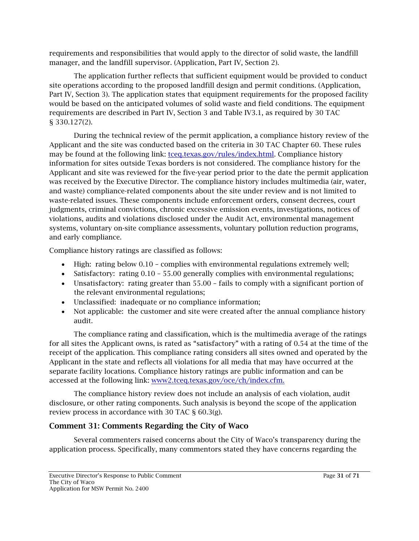requirements and responsibilities that would apply to the director of solid waste, the landfill manager, and the landfill supervisor. (Application, Part IV, Section 2).

The application further reflects that sufficient equipment would be provided to conduct site operations according to the proposed landfill design and permit conditions. (Application, Part IV, Section 3). The application states that equipment requirements for the proposed facility would be based on the anticipated volumes of solid waste and field conditions. The equipment requirements are described in Part IV, Section 3 and Table IV3.1, as required by 30 TAC § 330.127(2).

During the technical review of the permit application, a compliance history review of the Applicant and the site was conducted based on the criteria in 30 TAC Chapter 60. These rules may be found at the following link: [tceq.texas.gov/rules/index.html.](http://www.tceq.texas.gov/rules/index.html) Compliance history information for sites outside Texas borders is not considered. The compliance history for the Applicant and site was reviewed for the five-year period prior to the date the permit application was received by the Executive Director. The compliance history includes multimedia (air, water, and waste) compliance-related components about the site under review and is not limited to waste-related issues. These components include enforcement orders, consent decrees, court judgments, criminal convictions, chronic excessive emission events, investigations, notices of violations, audits and violations disclosed under the Audit Act, environmental management systems, voluntary on-site compliance assessments, voluntary pollution reduction programs, and early compliance.

Compliance history ratings are classified as follows:

- High: rating below 0.10 complies with environmental regulations extremely well;
- Satisfactory: rating 0.10 55.00 generally complies with environmental regulations;
- Unsatisfactory: rating greater than 55.00 fails to comply with a significant portion of the relevant environmental regulations;
- Unclassified: inadequate or no compliance information;
- Not applicable: the customer and site were created after the annual compliance history audit.

The compliance rating and classification, which is the multimedia average of the ratings for all sites the Applicant owns, is rated as "satisfactory" with a rating of 0.54 at the time of the receipt of the application. This compliance rating considers all sites owned and operated by the Applicant in the state and reflects all violations for all media that may have occurred at the separate facility locations. Compliance history ratings are public information and can be accessed at the following link: [www2.tceq.texas.gov/oce/ch/index.cfm.](http://www2.tceq.texas.gov/oce/ch/index.cfm) 

The compliance history review does not include an analysis of each violation, audit disclosure, or other rating components. Such analysis is beyond the scope of the application review process in accordance with 30 TAC § 60.3(g).

# Comment 31: Comments Regarding the City of Waco

Several commenters raised concerns about the City of Waco's transparency during the application process. Specifically, many commentors stated they have concerns regarding the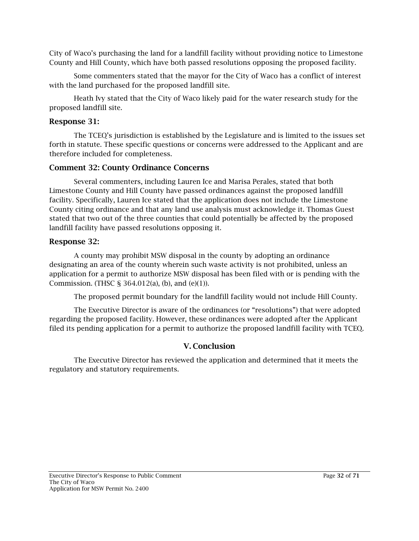City of Waco's purchasing the land for a landfill facility without providing notice to Limestone County and Hill County, which have both passed resolutions opposing the proposed facility.

Some commenters stated that the mayor for the City of Waco has a conflict of interest with the land purchased for the proposed landfill site.

Heath Ivy stated that the City of Waco likely paid for the water research study for the proposed landfill site.

## Response 31:

The TCEQ's jurisdiction is established by the Legislature and is limited to the issues set forth in statute. These specific questions or concerns were addressed to the Applicant and are therefore included for completeness.

# Comment 32: County Ordinance Concerns

Several commenters, including Lauren Ice and Marisa Perales, stated that both Limestone County and Hill County have passed ordinances against the proposed landfill facility. Specifically, Lauren Ice stated that the application does not include the Limestone County citing ordinance and that any land use analysis must acknowledge it. Thomas Guest stated that two out of the three counties that could potentially be affected by the proposed landfill facility have passed resolutions opposing it.

## Response 32:

A county may prohibit MSW disposal in the county by adopting an ordinance designating an area of the county wherein such waste activity is not prohibited, unless an application for a permit to authorize MSW disposal has been filed with or is pending with the Commission. (THSC § 364.012(a), (b), and (e)(1)).

The proposed permit boundary for the landfill facility would not include Hill County.

The Executive Director is aware of the ordinances (or "resolutions") that were adopted regarding the proposed facility. However, these ordinances were adopted after the Applicant filed its pending application for a permit to authorize the proposed landfill facility with TCEQ.

# V. Conclusion

The Executive Director has reviewed the application and determined that it meets the regulatory and statutory requirements.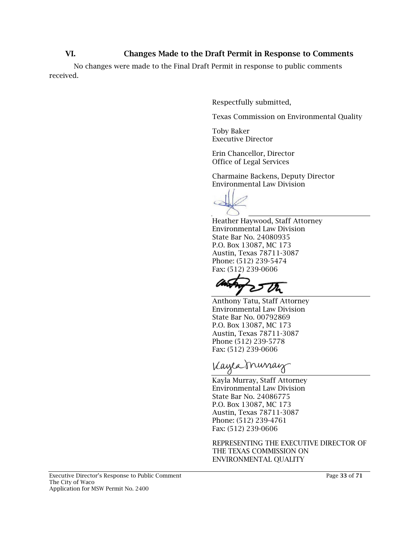## VI. Changes Made to the Draft Permit in Response to Comments

No changes were made to the Final Draft Permit in response to public comments received.

Respectfully submitted,

Texas Commission on Environmental Quality

Toby Baker Executive Director

Erin Chancellor, Director Office of Legal Services

Charmaine Backens, Deputy Director Environmental Law Division



Heather Haywood, Staff Attorney Environmental Law Division State Bar No. 24080935 P.O. Box 13087, MC 173 Austin, Texas 78711-3087 Phone: (512) 239-5474 Fax: (512) 239-0606

Anthony Tatu, Staff Attorney Environmental Law Division State Bar No. 00792869 P.O. Box 13087, MC 173 Austin, Texas 78711-3087 Phone (512) 239-5778 Fax: (512) 239-0606

Kayea murray

Kayla Murray, Staff Attorney Environmental Law Division State Bar No. 24086775 P.O. Box 13087, MC 173 Austin, Texas 78711-3087 Phone: (512) 239-4761 Fax: (512) 239-0606

REPRESENTING THE EXECUTIVE DIRECTOR OF THE TEXAS COMMISSION ON ENVIRONMENTAL QUALITY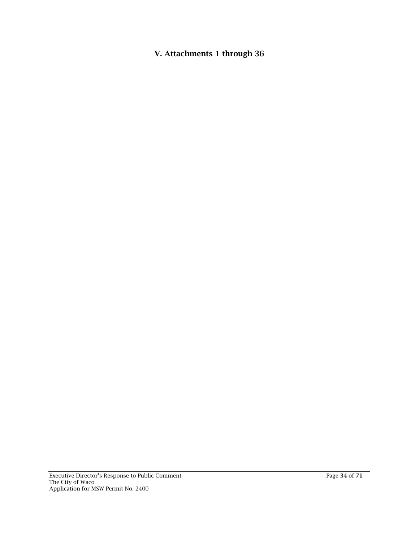V. Attachments 1 through 36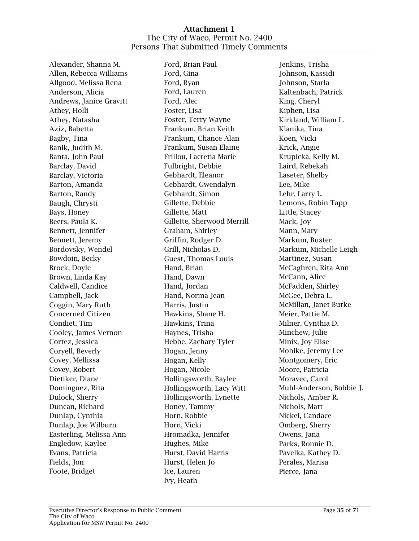#### Attachment 1 The City of Waco, Permit No. 2400 Persons That Submitted Timely Comments

Alexander, Shanna M. Allen, Rebecca Williams Allgood, Melissa Rena Anderson, Alicia Andrews, Janice Gravitt Athey, Holli Athey, Natasha Aziz, Babetta Bagby, Tina Banik, Judith M. Banta, John Paul Barclay, David Barclay, Victoria Barton, Amanda Barton, Randy Baugh, Chrysti Bays, Honey Beers, Paula K. Bennett, Jennifer Bennett, Jeremy Bordovsky, Wendel Bowdoin, Becky Brock, Doyle Brown, Linda Kay Caldwell, Candice Campbell, Jack Coggin, Mary Ruth Concerned Citizen Condiet, Tim Cooley, James Vernon Cortez, Jessica Coryell, Beverly Covey, Mellissa Covey, Robert Dietiker, Diane Dominguez, Rita Dulock, Sherry Duncan, Richard Dunlap, Cynthia Dunlap, Joe Wilburn Easterling, Melissa Ann Engledow, Kaylee Evans, Patricia Fields, Jon Foote, Bridget

Ford, Brian Paul Ford, Gina Ford, Ryan Ford, Lauren Ford, Alec Foster, Lisa Foster, Terry Wayne Frankum, Brian Keith Frankum, Chance Alan Frankum, Susan Elaine Frillou, Lacretia Marie Fulbright, Debbie Gebhardt, Eleanor Gebhardt, Gwendalyn Gebhardt, Simon Gillette, Debbie Gillette, Matt Gillette, Sherwood Merrill Graham, Shirley Griffin, Rodger D. Grill, Nicholas D. Guest, Thomas Louis Hand, Brian Hand, Dawn Hand, Jordan Hand, Norma Jean Harris, Justin Hawkins, Shane H. Hawkins, Trina Haynes, Trisha Hebbe, Zachary Tyler Hogan, Jenny Hogan, Kelly Hogan, Nicole Hollingsworth, Baylee Hollingsworth, Lacy Witt Hollingsworth, Lynette Honey, Tammy Horn, Robbie Horn, Vicki Hromadka, Jennifer Hughes, Mike Hurst, David Harris Hurst, Helen Jo Ice, Lauren Ivy, Heath

Jenkins, Trisha Johnson, Kassidi Johnson, Starla Kaltenbach, Patrick King, Cheryl Kiphen, Lisa Kirkland, William L. Klanika, Tina Koen, Vicki Krick, Angie Krupicka, Kelly M. Laird, Rebekah Laseter, Shelby Lee, Mike Lehr, Larry L. Lemons, Robin Tapp Little, Stacey Mack, Joy Mann, Mary Markum, Buster Markum, Michelle Leigh Martinez, Susan McCaghren, Rita Ann McCann, Alice McFadden, Shirley McGee, Debra L. McMillan, Janet Burke Meier, Pattie M. Milner, Cynthia D. Minchew, Julie Minix, Joy Elise Mohlke, Jeremy Lee Montgomery, Eric Moore, Patricia Moravec, Carol Muhl-Anderson, Bobbie J. Nichols, Amber R. Nichols, Matt Nickel, Candace Omberg, Sherry Owens, Jana Parks, Ronnie D. Pavelka, Kathey D. Perales, Marisa Pierce, Jana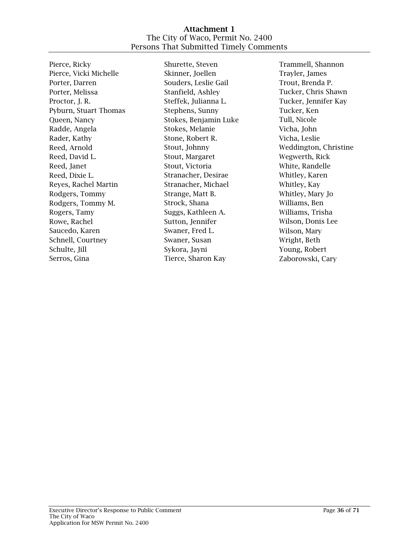#### Attachment 1 The City of Waco, Permit No. 2400 Persons That Submitted Timely Comments

Pierce, Ricky Pierce, Vicki Michelle Porter, Darren Porter, Melissa Proctor, J. R. Pyburn, Stuart Thomas Queen, Nancy Radde, Angela Rader, Kathy Reed, Arnold Reed, David L. Reed, Janet Reed, Dixie L. Reyes, Rachel Martin Rodgers, Tommy Rodgers, Tommy M. Rogers, Tamy Rowe, Rachel Saucedo, Karen Schnell, Courtney Schulte, Jill Serros, Gina

Shurette, Steven Skinner, Joellen Souders, Leslie Gail Stanfield, Ashley Steffek, Julianna L. Stephens, Sunny Stokes, Benjamin Luke Stokes, Melanie Stone, Robert R. Stout, Johnny Stout, Margaret Stout, Victoria Stranacher, Desirae Stranacher, Michael Strange, Matt B. Strock, Shana Suggs, Kathleen A. Sutton, Jennifer Swaner, Fred L. Swaner, Susan Sykora, Jayni Tierce, Sharon Kay

Trammell, Shannon Trayler, James Trout, Brenda P. Tucker, Chris Shawn Tucker, Jennifer Kay Tucker, Ken Tull, Nicole Vicha, John Vicha, Leslie Weddington, Christine Wegwerth, Rick White, Randelle Whitley, Karen Whitley, Kay Whitley, Mary Jo Williams, Ben Williams, Trisha Wilson, Donis Lee Wilson, Mary Wright, Beth Young, Robert Zaborowski, Cary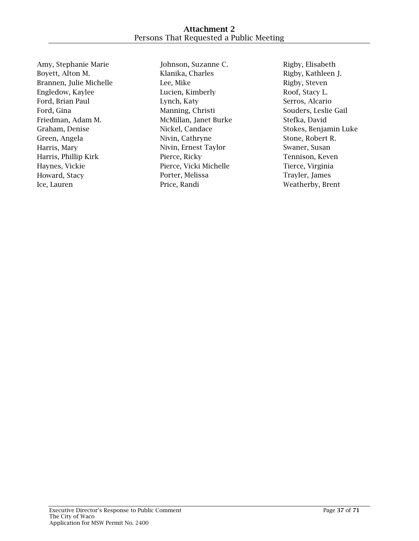Amy, Stephanie Marie Boyett, Alton M. Brannen, Julie Michelle Engledow, Kaylee Ford, Brian Paul Ford, Gina Friedman, Adam M. Graham, Denise Green, Angela Harris, Mary Harris, Phillip Kirk Haynes, Vickie Howard, Stacy Ice, Lauren

Johnson, Suzanne C. Klanika, Charles Lee, Mike Lucien, Kimberly Lynch, Katy Manning, Christi McMillan, Janet Burke Nickel, Candace Nivin, Cathryne Nivin, Ernest Taylor Pierce, Ricky Pierce, Vicki Michelle Porter, Melissa Price, Randi

Rigby, Elisabeth Rigby, Kathleen J. Rigby, Steven Roof, Stacy L. Serros, Alcario Souders, Leslie Gail Stefka, David Stokes, Benjamin Luke Stone, Robert R. Swaner, Susan Tennison, Keven Tierce, Virginia Trayler, James Weatherby, Brent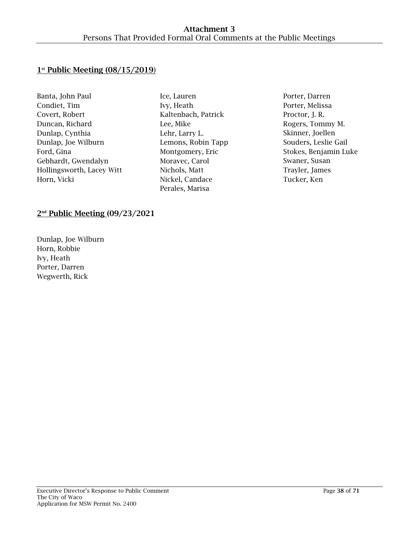# $1<sup>st</sup>$  Public Meeting  $(08/15/2019)$

| Banta, John Paul          |
|---------------------------|
| Condiet, Tim              |
| Covert, Robert            |
| Duncan, Richard           |
| Dunlap, Cynthia           |
| Dunlap, Joe Wilburn       |
| Ford, Gina                |
| Gebhardt, Gwendalyn       |
| Hollingsworth, Lacey Witt |
| Horn, Vicki               |

- Ice, Lauren Ivy, Heath Kaltenbach, Patrick Lee, Mike Lehr, Larry L. Lemons, Robin Tapp Montgomery, Eric Moravec, Carol Nichols, Matt Nickel, Candace Perales, Marisa
- Porter, Darren Porter, Melissa Proctor, J. R. Rogers, Tommy M. Skinner, Joellen Souders, Leslie Gail Stokes, Benjamin Luke Swaner, Susan Trayler, James Tucker, Ken

# 2<sup>nd</sup> Public Meeting (09/23/2021

Dunlap, Joe Wilburn Horn, Robbie Ivy, Heath Porter, Darren Wegwerth, Rick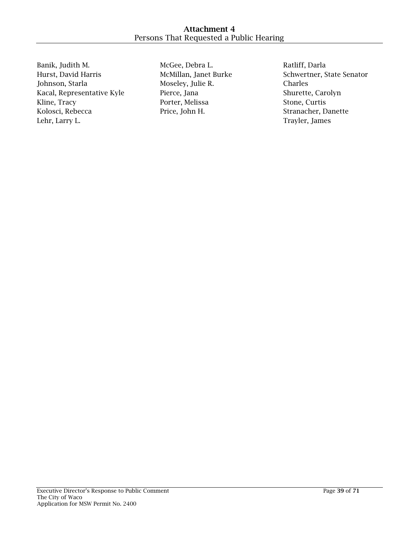Banik, Judith M. Hurst, David Harris Johnson, Starla Kacal, Representative Kyle Kline, Tracy Kolosci, Rebecca Lehr, Larry L.

McGee, Debra L. McMillan, Janet Burke Moseley, Julie R. Pierce, Jana Porter, Melissa Price, John H.

Ratliff, Darla Schwertner, State Senator Charles Shurette, Carolyn Stone, Curtis Stranacher, Danette Trayler, James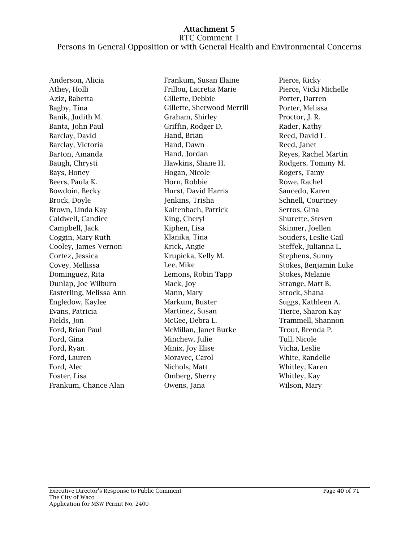Anderson, Alicia Athey, Holli Aziz, Babetta Bagby, Tina Banik, Judith M. Banta, John Paul Barclay, David Barclay, Victoria Barton, Amanda Baugh, Chrysti Bays, Honey Beers, Paula K. Bowdoin, Becky Brock, Doyle Brown, Linda Kay Caldwell, Candice Campbell, Jack Coggin, Mary Ruth Cooley, James Vernon Cortez, Jessica Covey, Mellissa Dominguez, Rita Dunlap, Joe Wilburn Easterling, Melissa Ann Engledow, Kaylee Evans, Patricia Fields, Jon Ford, Brian Paul Ford, Gina Ford, Ryan Ford, Lauren Ford, Alec Foster, Lisa Frankum, Chance Alan

Frankum, Susan Elaine Frillou, Lacretia Marie Gillette, Debbie Gillette, Sherwood Merrill Graham, Shirley Griffin, Rodger D. Hand, Brian Hand, Dawn Hand, Jordan Hawkins, Shane H. Hogan, Nicole Horn, Robbie Hurst, David Harris Jenkins, Trisha Kaltenbach, Patrick King, Cheryl Kiphen, Lisa Klanika, Tina Krick, Angie Krupicka, Kelly M. Lee, Mike Lemons, Robin Tapp Mack, Joy Mann, Mary Markum, Buster Martinez, Susan McGee, Debra L. McMillan, Janet Burke Minchew, Julie Minix, Joy Elise Moravec, Carol Nichols, Matt Omberg, Sherry Owens, Jana

Pierce, Ricky Pierce, Vicki Michelle Porter, Darren Porter, Melissa Proctor, J. R. Rader, Kathy Reed, David L. Reed, Janet Reyes, Rachel Martin Rodgers, Tommy M. Rogers, Tamy Rowe, Rachel Saucedo, Karen Schnell, Courtney Serros, Gina Shurette, Steven Skinner, Joellen Souders, Leslie Gail Steffek, Julianna L. Stephens, Sunny Stokes, Benjamin Luke Stokes, Melanie Strange, Matt B. Strock, Shana Suggs, Kathleen A. Tierce, Sharon Kay Trammell, Shannon Trout, Brenda P. Tull, Nicole Vicha, Leslie White, Randelle Whitley, Karen Whitley, Kay Wilson, Mary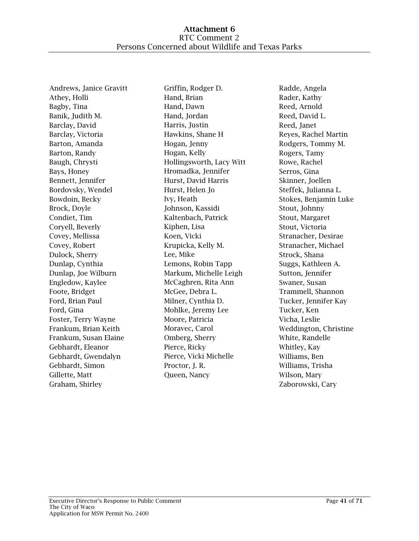Andrews, Janice Gravitt Athey, Holli Bagby, Tina Banik, Judith M. Barclay, David Barclay, Victoria Barton, Amanda Barton, Randy Baugh, Chrysti Bays, Honey Bennett, Jennifer Bordovsky, Wendel Bowdoin, Becky Brock, Doyle Condiet, Tim Coryell, Beverly Covey, Mellissa Covey, Robert Dulock, Sherry Dunlap, Cynthia Dunlap, Joe Wilburn Engledow, Kaylee Foote, Bridget Ford, Brian Paul Ford, Gina Foster, Terry Wayne Frankum, Brian Keith Frankum, Susan Elaine Gebhardt, Eleanor Gebhardt, Gwendalyn Gebhardt, Simon Gillette, Matt Graham, Shirley

Griffin, Rodger D. Hand, Brian Hand, Dawn Hand, Jordan Harris, Justin Hawkins, Shane H Hogan, Jenny Hogan, Kelly Hollingsworth, Lacy Witt Hromadka, Jennifer Hurst, David Harris Hurst, Helen Jo Ivy, Heath Johnson, Kassidi Kaltenbach, Patrick Kiphen, Lisa Koen, Vicki Krupicka, Kelly M. Lee, Mike Lemons, Robin Tapp Markum, Michelle Leigh McCaghren, Rita Ann McGee, Debra L. Milner, Cynthia D. Mohlke, Jeremy Lee Moore, Patricia Moravec, Carol Omberg, Sherry Pierce, Ricky Pierce, Vicki Michelle Proctor, J. R. Queen, Nancy

Radde, Angela Rader, Kathy Reed, Arnold Reed, David L. Reed, Janet Reyes, Rachel Martin Rodgers, Tommy M. Rogers, Tamy Rowe, Rachel Serros, Gina Skinner, Joellen Steffek, Julianna L. Stokes, Benjamin Luke Stout, Johnny Stout, Margaret Stout, Victoria Stranacher, Desirae Stranacher, Michael Strock, Shana Suggs, Kathleen A. Sutton, Jennifer Swaner, Susan Trammell, Shannon Tucker, Jennifer Kay Tucker, Ken Vicha, Leslie Weddington, Christine White, Randelle Whitley, Kay Williams, Ben Williams, Trisha Wilson, Mary Zaborowski, Cary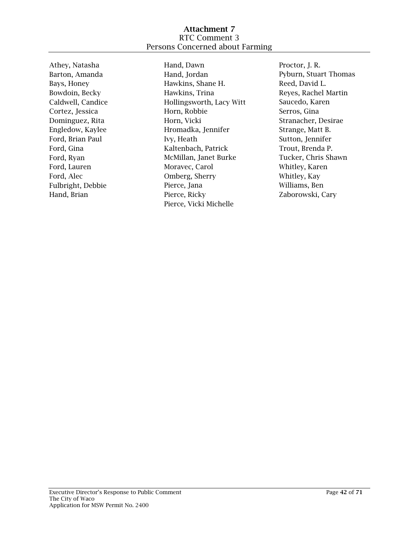## Attachment 7 RTC Comment 3 Persons Concerned about Farming

Athey, Natasha Barton, Amanda Bays, Honey Bowdoin, Becky Caldwell, Candice Cortez, Jessica Dominguez, Rita Engledow, Kaylee Ford, Brian Paul Ford, Gina Ford, Ryan Ford, Lauren Ford, Alec Fulbright, Debbie Hand, Brian

Hand, Dawn Hand, Jordan Hawkins, Shane H. Hawkins, Trina Hollingsworth, Lacy Witt Horn, Robbie Horn, Vicki Hromadka, Jennifer Ivy, Heath Kaltenbach, Patrick McMillan, Janet Burke Moravec, Carol Omberg, Sherry Pierce, Jana Pierce, Ricky Pierce, Vicki Michelle

Proctor, J. R. Pyburn, Stuart Thomas Reed, David L. Reyes, Rachel Martin Saucedo, Karen Serros, Gina Stranacher, Desirae Strange, Matt B. Sutton, Jennifer Trout, Brenda P. Tucker, Chris Shawn Whitley, Karen Whitley, Kay Williams, Ben Zaborowski, Cary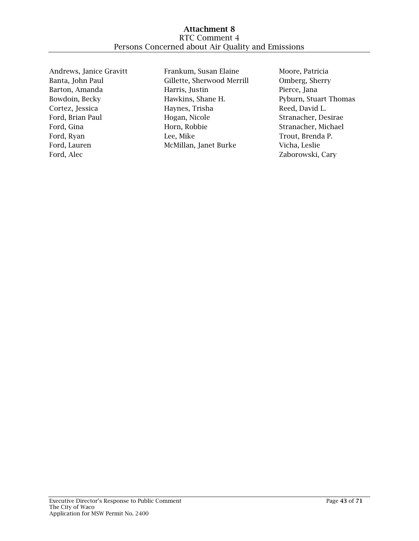Andrews, Janice Gravitt Banta, John Paul Barton, Amanda Bowdoin, Becky Cortez, Jessica Ford, Brian Paul Ford, Gina Ford, Ryan Ford, Lauren Ford, Alec

Frankum, Susan Elaine Gillette, Sherwood Merrill Harris, Justin Hawkins, Shane H. Haynes, Trisha Hogan, Nicole Horn, Robbie Lee, Mike McMillan, Janet Burke

Moore, Patricia Omberg, Sherry Pierce, Jana Pyburn, Stuart Thomas Reed, David L. Stranacher, Desirae Stranacher, Michael Trout, Brenda P. Vicha, Leslie Zaborowski, Cary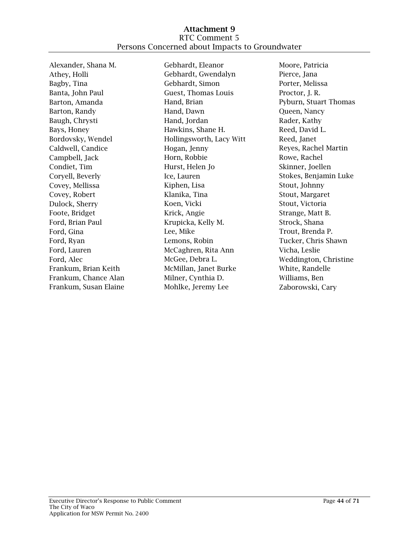Alexander, Shana M. Athey, Holli Bagby, Tina Banta, John Paul Barton, Amanda Barton, Randy Baugh, Chrysti Bays, Honey Bordovsky, Wendel Caldwell, Candice Campbell, Jack Condiet, Tim Coryell, Beverly Covey, Mellissa Covey, Robert Dulock, Sherry Foote, Bridget Ford, Brian Paul Ford, Gina Ford, Ryan Ford, Lauren Ford, Alec Frankum, Brian Keith Frankum, Chance Alan Frankum, Susan Elaine

Gebhardt, Eleanor Gebhardt, Gwendalyn Gebhardt, Simon Guest, Thomas Louis Hand, Brian Hand, Dawn Hand, Jordan Hawkins, Shane H. Hollingsworth, Lacy Witt Hogan, Jenny Horn, Robbie Hurst, Helen Jo Ice, Lauren Kiphen, Lisa Klanika, Tina Koen, Vicki Krick, Angie Krupicka, Kelly M. Lee, Mike Lemons, Robin McCaghren, Rita Ann McGee, Debra L. McMillan, Janet Burke Milner, Cynthia D. Mohlke, Jeremy Lee

Moore, Patricia Pierce, Jana Porter, Melissa Proctor, J. R. Pyburn, Stuart Thomas Queen, Nancy Rader, Kathy Reed, David L. Reed, Janet Reyes, Rachel Martin Rowe, Rachel Skinner, Joellen Stokes, Benjamin Luke Stout, Johnny Stout, Margaret Stout, Victoria Strange, Matt B. Strock, Shana Trout, Brenda P. Tucker, Chris Shawn Vicha, Leslie Weddington, Christine White, Randelle Williams, Ben Zaborowski, Cary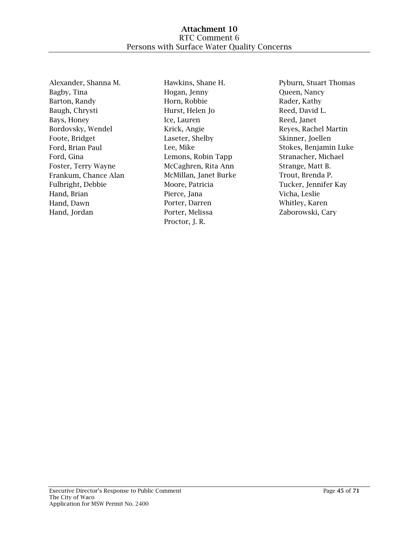Alexander, Shanna M. Bagby, Tina Barton, Randy Baugh, Chrysti Bays, Honey Bordovsky, Wendel Foote, Bridget Ford, Brian Paul Ford, Gina Foster, Terry Wayne Frankum, Chance Alan Fulbright, Debbie Hand, Brian Hand, Dawn Hand, Jordan

Hawkins, Shane H. Hogan, Jenny Horn, Robbie Hurst, Helen Jo Ice, Lauren Krick, Angie Laseter, Shelby Lee, Mike Lemons, Robin Tapp McCaghren, Rita Ann McMillan, Janet Burke Moore, Patricia Pierce, Jana Porter, Darren Porter, Melissa Proctor, J. R.

Pyburn, Stuart Thomas Queen, Nancy Rader, Kathy Reed, David L. Reed, Janet Reyes, Rachel Martin Skinner, Joellen Stokes, Benjamin Luke Stranacher, Michael Strange, Matt B. Trout, Brenda P. Tucker, Jennifer Kay Vicha, Leslie Whitley, Karen Zaborowski, Cary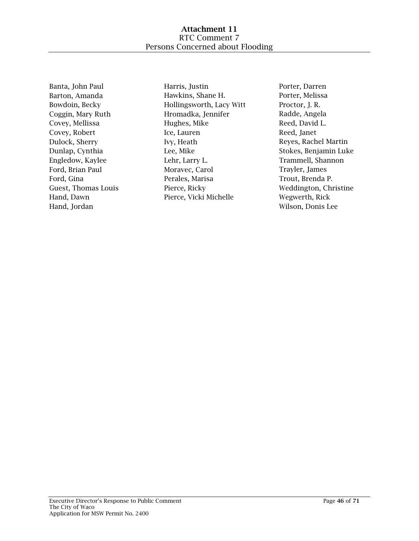Banta, John Paul Barton, Amanda Bowdoin, Becky Coggin, Mary Ruth Covey, Mellissa Covey, Robert Dulock, Sherry Dunlap, Cynthia Engledow, Kaylee Ford, Brian Paul Ford, Gina Guest, Thomas Louis Hand, Dawn Hand, Jordan

Harris, Justin Hawkins, Shane H. Hollingsworth, Lacy Witt Hromadka, Jennifer Hughes, Mike Ice, Lauren Ivy, Heath Lee, Mike Lehr, Larry L. Moravec, Carol Perales, Marisa Pierce, Ricky Pierce, Vicki Michelle

Porter, Darren Porter, Melissa Proctor, J. R. Radde, Angela Reed, David L. Reed, Janet Reyes, Rachel Martin Stokes, Benjamin Luke Trammell, Shannon Trayler, James Trout, Brenda P. Weddington, Christine Wegwerth, Rick Wilson, Donis Lee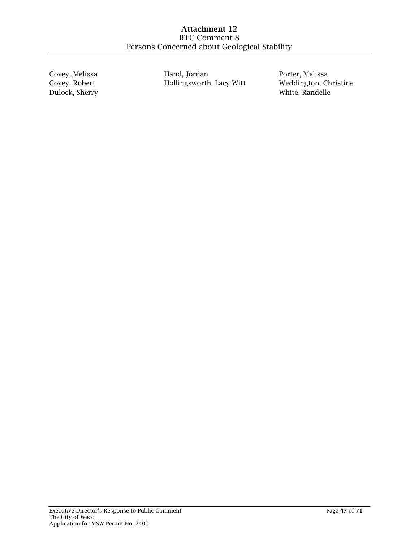Covey, Melissa Covey, Robert Dulock, Sherry Hand, Jordan Hollingsworth, Lacy Witt Porter, Melissa Weddington, Christine White, Randelle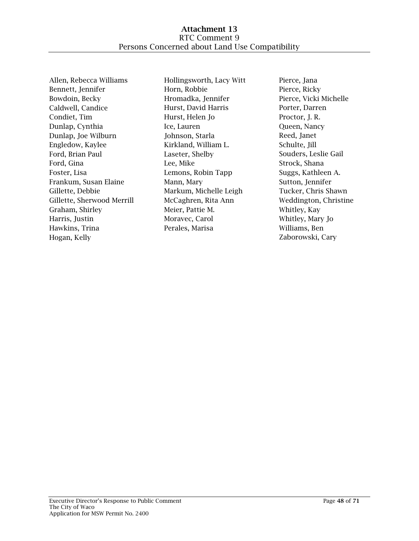Allen, Rebecca Williams Bennett, Jennifer Bowdoin, Becky Caldwell, Candice Condiet, Tim Dunlap, Cynthia Dunlap, Joe Wilburn Engledow, Kaylee Ford, Brian Paul Ford, Gina Foster, Lisa Frankum, Susan Elaine Gillette, Debbie Gillette, Sherwood Merrill Graham, Shirley Harris, Justin Hawkins, Trina Hogan, Kelly

Hollingsworth, Lacy Witt Horn, Robbie Hromadka, Jennifer Hurst, David Harris Hurst, Helen Jo Ice, Lauren Johnson, Starla Kirkland, William L. Laseter, Shelby Lee, Mike Lemons, Robin Tapp Mann, Mary Markum, Michelle Leigh McCaghren, Rita Ann Meier, Pattie M. Moravec, Carol Perales, Marisa

Pierce, Jana Pierce, Ricky Pierce, Vicki Michelle Porter, Darren Proctor, J. R. Queen, Nancy Reed, Janet Schulte, Jill Souders, Leslie Gail Strock, Shana Suggs, Kathleen A. Sutton, Jennifer Tucker, Chris Shawn Weddington, Christine Whitley, Kay Whitley, Mary Jo Williams, Ben Zaborowski, Cary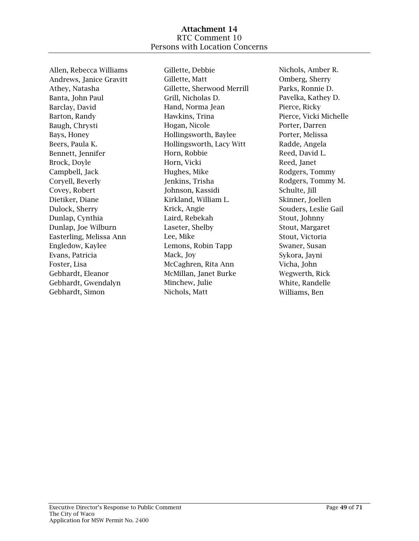Allen, Rebecca Williams Andrews, Janice Gravitt Athey, Natasha Banta, John Paul Barclay, David Barton, Randy Baugh, Chrysti Bays, Honey Beers, Paula K. Bennett, Jennifer Brock, Doyle Campbell, Jack Coryell, Beverly Covey, Robert Dietiker, Diane Dulock, Sherry Dunlap, Cynthia Dunlap, Joe Wilburn Easterling, Melissa Ann Engledow, Kaylee Evans, Patricia Foster, Lisa Gebhardt, Eleanor Gebhardt, Gwendalyn Gebhardt, Simon

Gillette, Debbie Gillette, Matt Gillette, Sherwood Merrill Grill, Nicholas D. Hand, Norma Jean Hawkins, Trina Hogan, Nicole Hollingsworth, Baylee Hollingsworth, Lacy Witt Horn, Robbie Horn, Vicki Hughes, Mike Jenkins, Trisha Johnson, Kassidi Kirkland, William L. Krick, Angie Laird, Rebekah Laseter, Shelby Lee, Mike Lemons, Robin Tapp Mack, Joy McCaghren, Rita Ann McMillan, Janet Burke Minchew, Julie Nichols, Matt

Nichols, Amber R. Omberg, Sherry Parks, Ronnie D. Pavelka, Kathey D. Pierce, Ricky Pierce, Vicki Michelle Porter, Darren Porter, Melissa Radde, Angela Reed, David L. Reed, Janet Rodgers, Tommy Rodgers, Tommy M. Schulte, Jill Skinner, Joellen Souders, Leslie Gail Stout, Johnny Stout, Margaret Stout, Victoria Swaner, Susan Sykora, Jayni Vicha, John Wegwerth, Rick White, Randelle Williams, Ben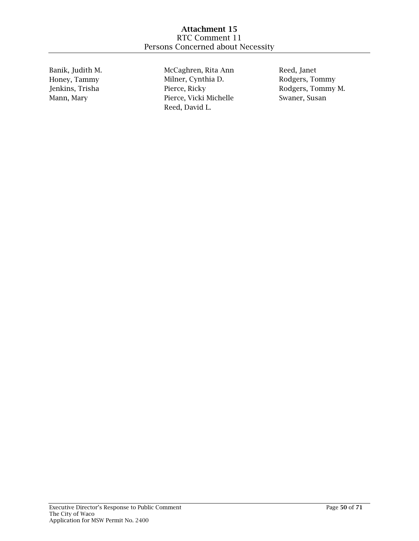Banik, Judith M. Honey, Tammy Jenkins, Trisha Mann, Mary

McCaghren, Rita Ann Milner, Cynthia D. Pierce, Ricky Pierce, Vicki Michelle Reed, David L.

Reed, Janet Rodgers, Tommy Rodgers, Tommy M. Swaner, Susan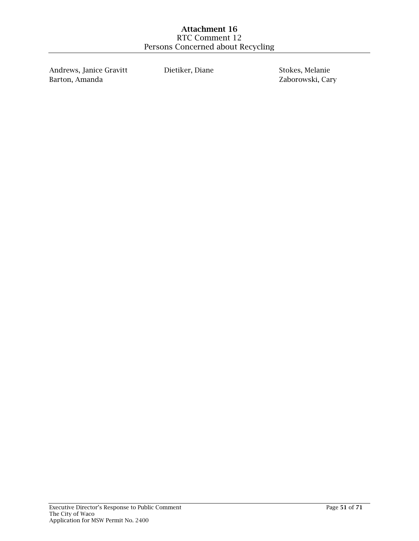Andrews, Janice Gravitt Barton, Amanda

Dietiker, Diane Stokes, Melanie

Zaborowski, Cary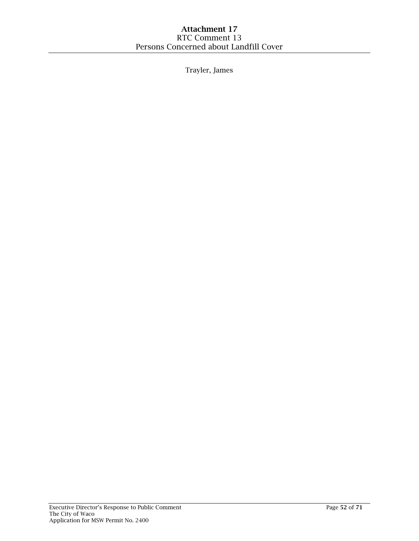Trayler, James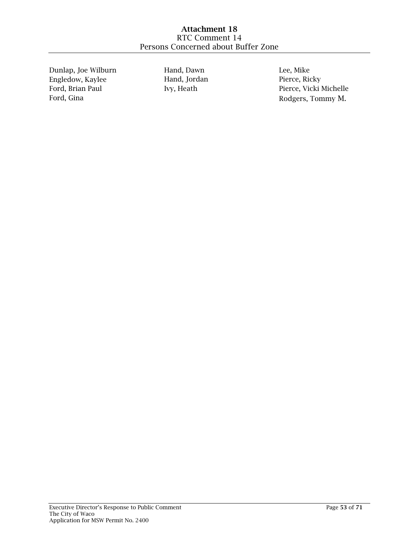Dunlap, Joe Wilburn Engledow, Kaylee Ford, Brian Paul Ford, Gina

Hand, Dawn Hand, Jordan Ivy, Heath

Lee, Mike Pierce, Ricky Pierce, Vicki Michelle Rodgers, Tommy M.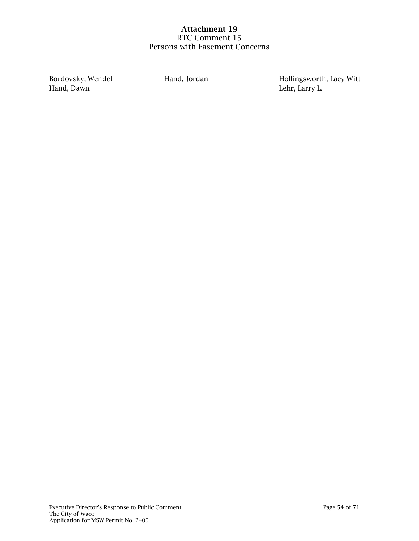Bordovsky, Wendel Hand, Dawn

Hand, Jordan Hollingsworth, Lacy Witt Lehr, Larry L.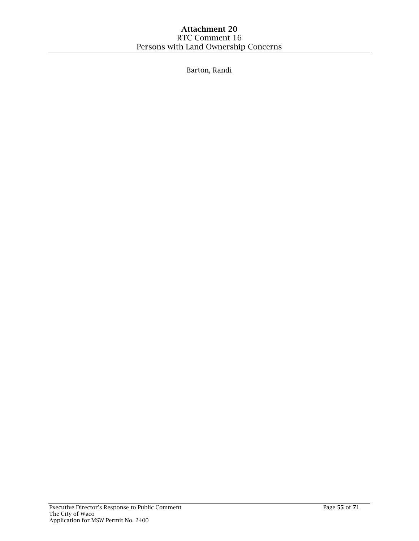Barton, Randi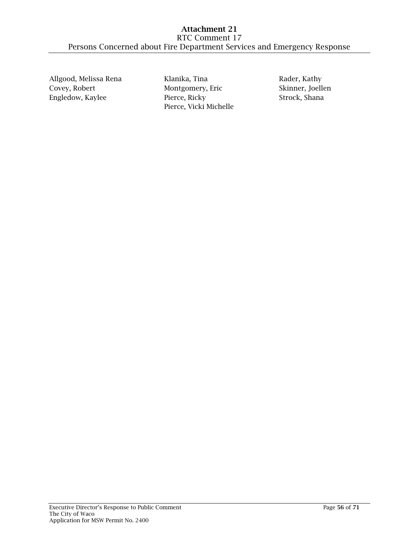Allgood, Melissa Rena Covey, Robert Engledow, Kaylee

Klanika, Tina Montgomery, Eric Pierce, Ricky Pierce, Vicki Michelle

Rader, Kathy Skinner, Joellen Strock, Shana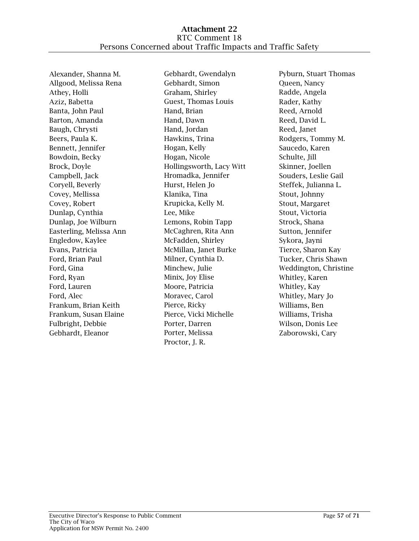Alexander, Shanna M. Allgood, Melissa Rena Athey, Holli Aziz, Babetta Banta, John Paul Barton, Amanda Baugh, Chrysti Beers, Paula K. Bennett, Jennifer Bowdoin, Becky Brock, Doyle Campbell, Jack Coryell, Beverly Covey, Mellissa Covey, Robert Dunlap, Cynthia Dunlap, Joe Wilburn Easterling, Melissa Ann Engledow, Kaylee Evans, Patricia Ford, Brian Paul Ford, Gina Ford, Ryan Ford, Lauren Ford, Alec Frankum, Brian Keith Frankum, Susan Elaine Fulbright, Debbie Gebhardt, Eleanor

Gebhardt, Gwendalyn Gebhardt, Simon Graham, Shirley Guest, Thomas Louis Hand, Brian Hand, Dawn Hand, Jordan Hawkins, Trina Hogan, Kelly Hogan, Nicole Hollingsworth, Lacy Witt Hromadka, Jennifer Hurst, Helen Jo Klanika, Tina Krupicka, Kelly M. Lee, Mike Lemons, Robin Tapp McCaghren, Rita Ann McFadden, Shirley McMillan, Janet Burke Milner, Cynthia D. Minchew, Julie Minix, Joy Elise Moore, Patricia Moravec, Carol Pierce, Ricky Pierce, Vicki Michelle Porter, Darren Porter, Melissa Proctor, J. R.

Pyburn, Stuart Thomas Queen, Nancy Radde, Angela Rader, Kathy Reed, Arnold Reed, David L. Reed, Janet Rodgers, Tommy M. Saucedo, Karen Schulte, Jill Skinner, Joellen Souders, Leslie Gail Steffek, Julianna L. Stout, Johnny Stout, Margaret Stout, Victoria Strock, Shana Sutton, Jennifer Sykora, Jayni Tierce, Sharon Kay Tucker, Chris Shawn Weddington, Christine Whitley, Karen Whitley, Kay Whitley, Mary Jo Williams, Ben Williams, Trisha Wilson, Donis Lee Zaborowski, Cary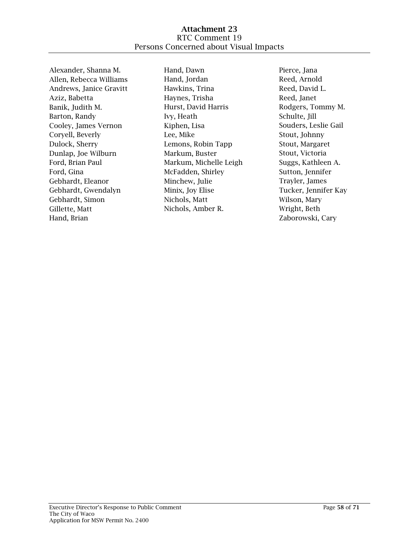Alexander, Shanna M. Allen, Rebecca Williams Andrews, Janice Gravitt Aziz, Babetta Banik, Judith M. Barton, Randy Cooley, James Vernon Coryell, Beverly Dulock, Sherry Dunlap, Joe Wilburn Ford, Brian Paul Ford, Gina Gebhardt, Eleanor Gebhardt, Gwendalyn Gebhardt, Simon Gillette, Matt Hand, Brian

Hand, Dawn Hand, Jordan Hawkins, Trina Haynes, Trisha Hurst, David Harris Ivy, Heath Kiphen, Lisa Lee, Mike Lemons, Robin Tapp Markum, Buster Markum, Michelle Leigh McFadden, Shirley Minchew, Julie Minix, Joy Elise Nichols, Matt Nichols, Amber R.

Pierce, Jana Reed, Arnold Reed, David L. Reed, Janet Rodgers, Tommy M. Schulte, Jill Souders, Leslie Gail Stout, Johnny Stout, Margaret Stout, Victoria Suggs, Kathleen A. Sutton, Jennifer Trayler, James Tucker, Jennifer Kay Wilson, Mary Wright, Beth Zaborowski, Cary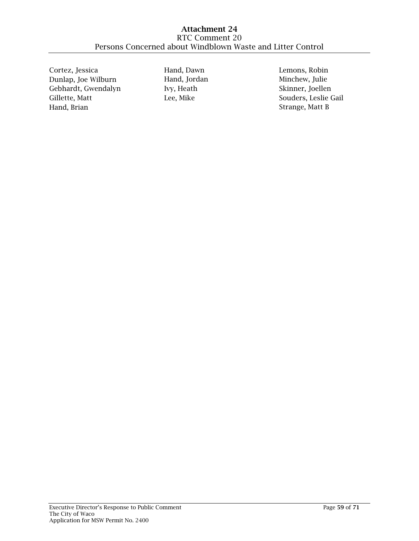Cortez, Jessica Dunlap, Joe Wilburn Gebhardt, Gwendalyn Gillette, Matt Hand, Brian

Hand, Dawn Hand, Jordan Ivy, Heath Lee, Mike

Lemons, Robin Minchew, Julie Skinner, Joellen Souders, Leslie Gail Strange, Matt B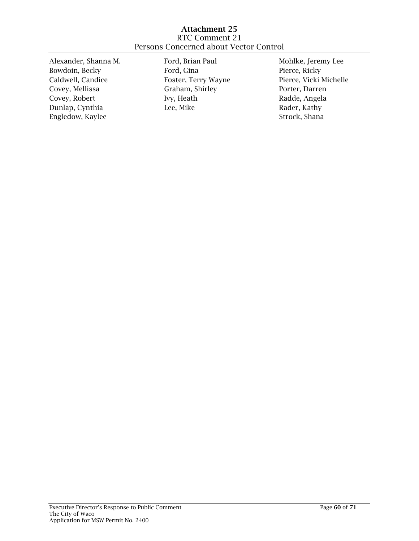### Attachment 25 RTC Comment 21 Persons Concerned about Vector Control

Alexander, Shanna M. Bowdoin, Becky Caldwell, Candice Covey, Mellissa Covey, Robert Dunlap, Cynthia Engledow, Kaylee

Ford, Brian Paul Ford, Gina Foster, Terry Wayne Graham, Shirley Ivy, Heath Lee, Mike

Mohlke, Jeremy Lee Pierce, Ricky Pierce, Vicki Michelle Porter, Darren Radde, Angela Rader, Kathy Strock, Shana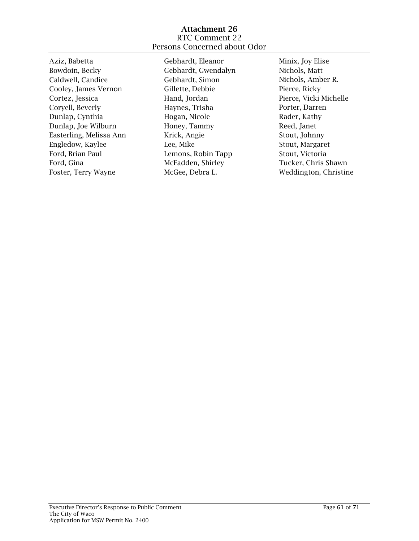### Attachment 26 RTC Comment 22 Persons Concerned about Odor

Aziz, Babetta Bowdoin, Becky Caldwell, Candice Cooley, James Vernon Cortez, Jessica Coryell, Beverly Dunlap, Cynthia Dunlap, Joe Wilburn Easterling, Melissa Ann Engledow, Kaylee Ford, Brian Paul Ford, Gina Foster, Terry Wayne

Gebhardt, Eleanor Gebhardt, Gwendalyn Gebhardt, Simon Gillette, Debbie Hand, Jordan Haynes, Trisha Hogan, Nicole Honey, Tammy Krick, Angie Lee, Mike Lemons, Robin Tapp McFadden, Shirley McGee, Debra L.

Minix, Joy Elise Nichols, Matt Nichols, Amber R. Pierce, Ricky Pierce, Vicki Michelle Porter, Darren Rader, Kathy Reed, Janet Stout, Johnny Stout, Margaret Stout, Victoria Tucker, Chris Shawn Weddington, Christine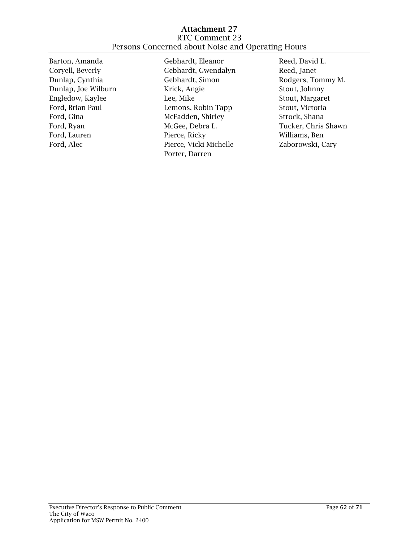### Attachment 27 RTC Comment 23 Persons Concerned about Noise and Operating Hours

Barton, Amanda Coryell, Beverly Dunlap, Cynthia Dunlap, Joe Wilburn Engledow, Kaylee Ford, Brian Paul Ford, Gina Ford, Ryan Ford, Lauren Ford, Alec

Gebhardt, Eleanor Gebhardt, Gwendalyn Gebhardt, Simon Krick, Angie Lee, Mike Lemons, Robin Tapp McFadden, Shirley McGee, Debra L. Pierce, Ricky Pierce, Vicki Michelle Porter, Darren

Reed, David L. Reed, Janet Rodgers, Tommy M. Stout, Johnny Stout, Margaret Stout, Victoria Strock, Shana Tucker, Chris Shawn Williams, Ben Zaborowski, Cary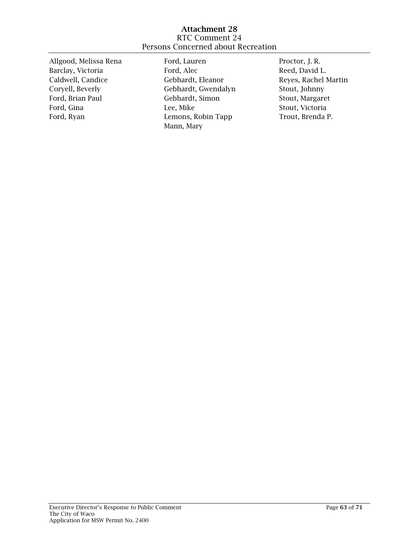## Attachment 28 RTC Comment 24 Persons Concerned about Recreation

| Ford, Lauren        | Proctor, J. R.       |
|---------------------|----------------------|
| Ford, Alec          | Reed, David L.       |
| Gebhardt, Eleanor   | Reyes, Rachel Martin |
| Gebhardt, Gwendalyn | Stout, Johnny        |
| Gebhardt, Simon     | Stout, Margaret      |
| Lee, Mike           | Stout, Victoria      |
| Lemons, Robin Tapp  | Trout, Brenda P.     |
| Mann, Mary          |                      |
|                     |                      |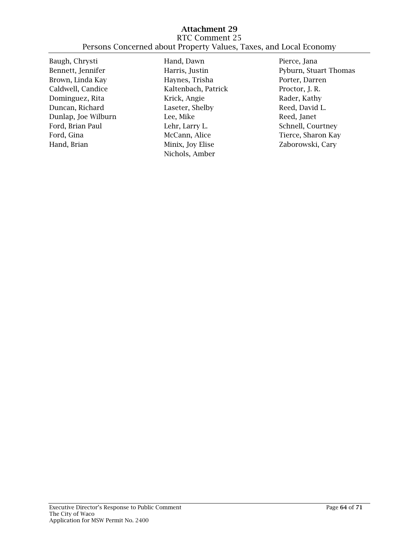Baugh, Chrysti Bennett, Jennifer Brown, Linda Kay Caldwell, Candice Dominguez, Rita Duncan, Richard Dunlap, Joe Wilburn Ford, Brian Paul Ford, Gina Hand, Brian

Hand, Dawn Harris, Justin Haynes, Trisha Kaltenbach, Patrick Krick, Angie Laseter, Shelby Lee, Mike Lehr, Larry L. McCann, Alice Minix, Joy Elise Nichols, Amber

Pierce, Jana Pyburn, Stuart Thomas Porter, Darren Proctor, J. R. Rader, Kathy Reed, David L. Reed, Janet Schnell, Courtney Tierce, Sharon Kay Zaborowski, Cary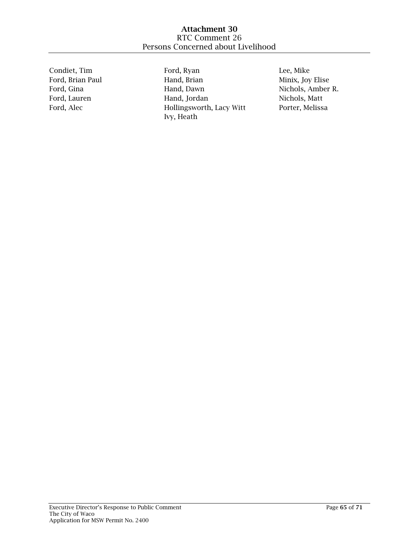Condiet, Tim Ford, Brian Paul Ford, Gina Ford, Lauren Ford, Alec

Ford, Ryan Hand, Brian Hand, Dawn Hand, Jordan Hollingsworth, Lacy Witt Ivy, Heath

Lee, Mike Minix, Joy Elise Nichols, Amber R. Nichols, Matt Porter, Melissa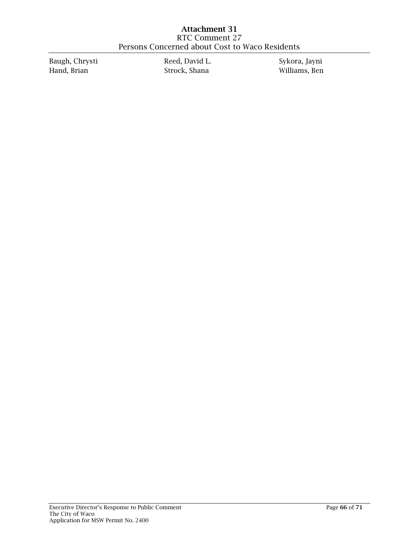Baugh, Chrysti Hand, Brian

Reed, David L. Strock, Shana

Sykora, Jayni Williams, Ben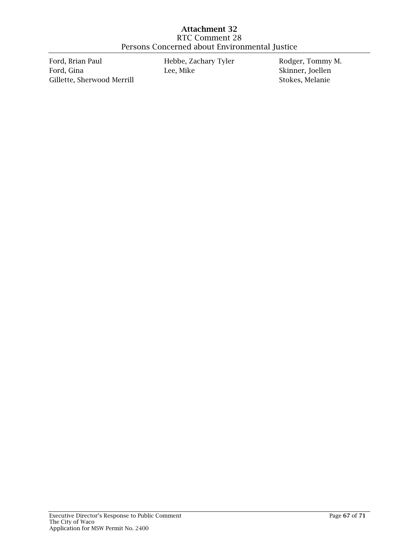Ford, Brian Paul Ford, Gina Gillette, Sherwood Merrill Hebbe, Zachary Tyler Lee, Mike

Rodger, Tommy M. Skinner, Joellen Stokes, Melanie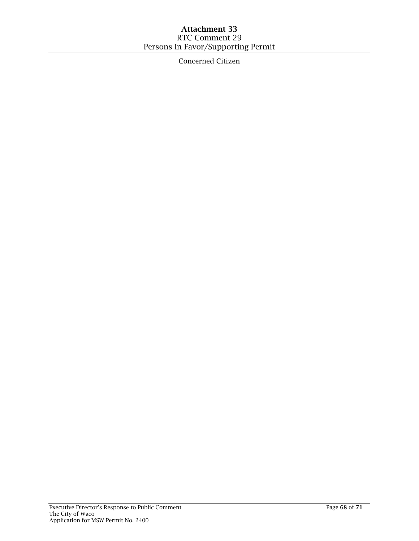# Attachment 33 RTC Comment 29 Persons In Favor/Supporting Permit

Concerned Citizen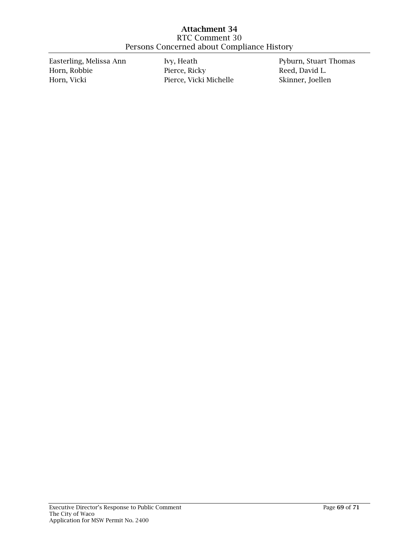Easterling, Melissa Ann Horn, Robbie Horn, Vicki

Ivy, Heath Pierce, Ricky Pierce, Vicki Michelle Pyburn, Stuart Thomas Reed, David L. Skinner, Joellen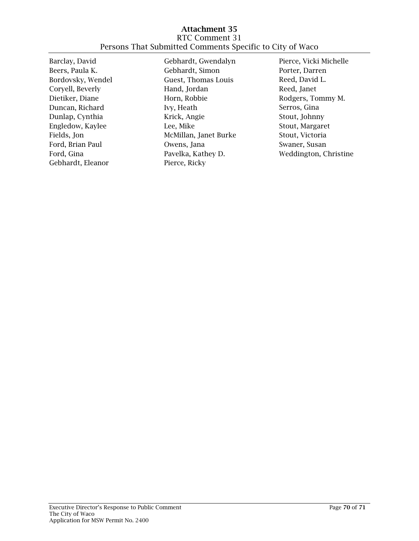### Attachment 35 RTC Comment 31 Persons That Submitted Comments Specific to City of Waco

Barclay, David Beers, Paula K. Bordovsky, Wendel Coryell, Beverly Dietiker, Diane Duncan, Richard Dunlap, Cynthia Engledow, Kaylee Fields, Jon Ford, Brian Paul Ford, Gina Gebhardt, Eleanor

Gebhardt, Gwendalyn Gebhardt, Simon Guest, Thomas Louis Hand, Jordan Horn, Robbie Ivy, Heath Krick, Angie Lee, Mike McMillan, Janet Burke Owens, Jana Pavelka, Kathey D. Pierce, Ricky

Pierce, Vicki Michelle Porter, Darren Reed, David L. Reed, Janet Rodgers, Tommy M. Serros, Gina Stout, Johnny Stout, Margaret Stout, Victoria Swaner, Susan Weddington, Christine